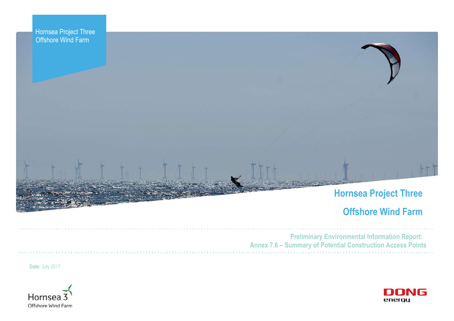



# **Offshore Wind Farm**



**Preliminary Environmental Information Report: Annex 7.6 – Summary of Potential Construction Access Points**

**Date:** July 2017

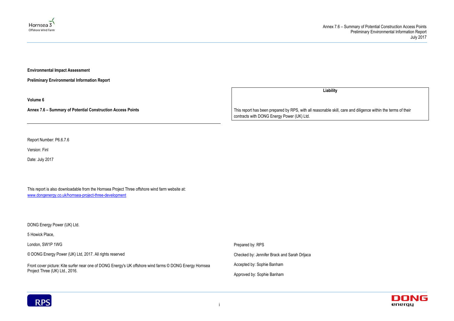



**Environmental Impact Assessment** 

**Preliminary Environmental Information Report**

**Volume 6**

**Annex 7.6 – Summary of Potential Construction Access Points**

Report Number: P6.6.7.6

Version: Finl

Date: July 2017

This report is also downloadable from the Hornsea Project Three offshore wind farm website at: [www.dongenergy.co.uk/hornsea-project-three-development](http://www.dongenergy.co.uk/hornsea-project-three-development)

DONG Energy Power (UK) Ltd.

5 Howick Place,

London, SW1P 1WG

© DONG Energy Power (UK) Ltd, 2017. All rights reserved

Front cover picture: Kite surfer near one of DONG Energy's UK offshore wind farms © DONG Energy Hornsea Project Three (UK) Ltd., 2016.

**Liability**

This report has been prepared by RPS, with all reasonable skill, care and diligence within the terms of their contracts with DONG Energy Power (UK) Ltd.

Prepared by: RPS

Checked by: Jennifer Brack and Sarah Drljaca

Accepted by: Sophie Banham

Approved by: Sophie Banham

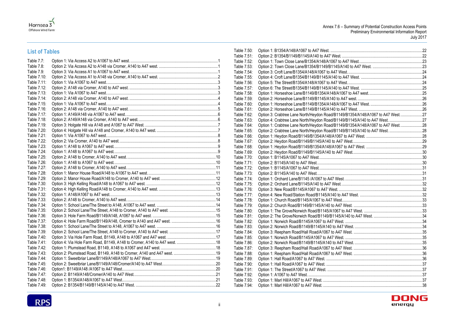



# **List of Tables**

| Table 7.7:  |  |
|-------------|--|
| Table 7.8:  |  |
| Table 7.9:  |  |
| Table 7.10: |  |
| Table 7.11: |  |
| Table 7.12: |  |
| Table 7.13: |  |
| Table 7.14: |  |
| Table 7.15: |  |
| Table 7.16: |  |
| Table 7.17: |  |
| Table 7.18: |  |
| Table 7.19: |  |
| Table 7.20: |  |
| Table 7.21: |  |
| Table 7.22: |  |
| Table 7.23: |  |
| Table 7.24: |  |
| Table 7.25: |  |
| Table 7.26: |  |
| Table 7.27: |  |
| Table 7.28: |  |
| Table 7.29: |  |
| Table 7.30: |  |
| Table 7.31: |  |
| Table 7.32: |  |
| Table 7.33: |  |
| Table 7.34: |  |
| Table 7.35: |  |
| Table 7.36: |  |
| Table 7.37: |  |
| Table 7.38: |  |
| Table 7.39: |  |
| Table 7.40: |  |
| Table 7.41: |  |
| Table 7.42: |  |
| Table 7.43: |  |
| Table 7.44: |  |
| Table 7.45: |  |
| Table 7.46: |  |
| Table 7.47: |  |
| Table 7.48: |  |
| Table 7.49: |  |

| Table 7.50: |                                                                                |  |
|-------------|--------------------------------------------------------------------------------|--|
| Table 7.51: |                                                                                |  |
| Table 7.52: |                                                                                |  |
| Table 7.53: |                                                                                |  |
| Table 7.54: |                                                                                |  |
| Table 7.55: |                                                                                |  |
| Table 7.56: |                                                                                |  |
| Table 7.57: |                                                                                |  |
| Table 7.58: |                                                                                |  |
| Table 7.59: |                                                                                |  |
| Table 7.60: |                                                                                |  |
| Table 7.61: |                                                                                |  |
| Table 7.62: | Option 3: Crabtree Lane North/Heydon Road/B1149/B1354/A148/A1067 to A47 West27 |  |
| Table 7.63: | Option 4: Crabtree Lane North/Heydon Road/B1149/B1145/A140 to A47 West. 27     |  |
| Table 7.64: | Option 1: Crabtree Lane North/Heydon Road/B1149/B1354/A148/A1067 to A47 West   |  |
| Table 7.65: |                                                                                |  |
| Table 7.66: |                                                                                |  |
| Table 7.67: |                                                                                |  |
| Table 7.68: |                                                                                |  |
| Table 7.69: |                                                                                |  |
| Table 7.70: |                                                                                |  |
| Table 7.71: |                                                                                |  |
| Table 7.72: |                                                                                |  |
| Table 7.73: |                                                                                |  |
| Table 7.74: |                                                                                |  |
| Table 7.75: |                                                                                |  |
| Table 7.76: |                                                                                |  |
| Table 7.77: |                                                                                |  |
| Table 7.78: |                                                                                |  |
| Table 7.79: |                                                                                |  |
| Table 7.80: |                                                                                |  |
| Table 7.81: |                                                                                |  |
| Table 7.82: |                                                                                |  |
| Table 7.83: |                                                                                |  |
| Table 7.84: |                                                                                |  |
| Table 7.85: |                                                                                |  |
| Table 7.86: |                                                                                |  |
| Table 7.87: |                                                                                |  |
| Table 7.88: |                                                                                |  |
| Table 7.89: |                                                                                |  |
| Table 7.90: |                                                                                |  |
| Table 7.91: |                                                                                |  |
| Table 7.92: |                                                                                |  |
| Table 7.93: |                                                                                |  |
| Table 7.94: |                                                                                |  |

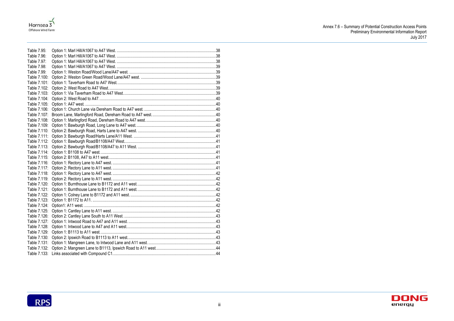



| Table 7.95:  |  |
|--------------|--|
| Table 7.96:  |  |
| Table 7.97:  |  |
| Table 7.98:  |  |
| Table 7.99:  |  |
| Table 7.100: |  |
| Table 7.101: |  |
| Table 7.102: |  |
| Table 7.103: |  |
| Table 7.104: |  |
| Table 7.105: |  |
| Table 7.106: |  |
| Table 7.107: |  |
| Table 7.108: |  |
| Table 7.109: |  |
| Table 7.110: |  |
| Table 7.111: |  |
| Table 7.112: |  |
| Table 7.113: |  |
| Table 7.114: |  |
| Table 7.115: |  |
| Table 7.116: |  |
| Table 7.117: |  |
| Table 7.118: |  |
| Table 7.119: |  |
| Table 7.120: |  |
| Table 7.121: |  |
| Table 7.122: |  |
| Table 7.123: |  |
| Table 7.124: |  |
| Table 7.125: |  |
| Table 7.126: |  |
| Table 7.127: |  |
| Table 7.128: |  |
| Table 7.129: |  |
| Table 7.130: |  |
| Table 7.131: |  |
| Table 7.132: |  |
| Table 7.133: |  |



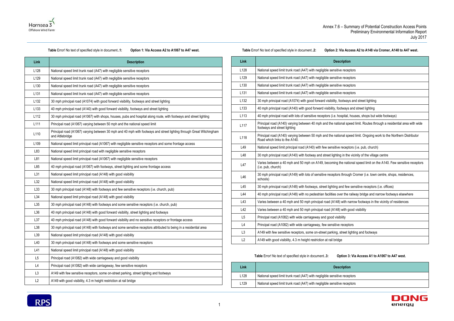### **Option 2: Via Access A2 to A148 via Cromer, A140 to A47 west.**





### **Table** Error! No text of specified style in document.**.1: Option 1: Via Access A2 to A1067 to A47 west.**

| Table Error! No text of specified style in document2: |  |
|-------------------------------------------------------|--|
|-------------------------------------------------------|--|

<span id="page-4-0"></span>

| Link             | <b>Description</b>                                                                                                                      |
|------------------|-----------------------------------------------------------------------------------------------------------------------------------------|
| L128             | National speed limit trunk road (A47) with negligible sensitive receptors                                                               |
| L129             | National speed limit trunk road (A47) with negligible sensitive receptors                                                               |
| L <sub>130</sub> | National speed limit trunk road (A47) with negligible sensitive receptors                                                               |
| L <sub>131</sub> | National speed limit trunk road (A47) with negligible sensitive receptors                                                               |
| L <sub>132</sub> | 30 mph principal road (A1074) with good forward visibility, footways and street lighting                                                |
| L <sub>133</sub> | 40 mph principal road (A140) with good forward visibility, footways and street lighting                                                 |
| L112             | 30 mph principal road (A1067) with shops, houses, pubs and hospital along route, with footways and street lighting                      |
| L <sub>111</sub> | Principal road (A1067) varying between 50 mph and the national speed limit                                                              |
| L110             | Principal road (A1067) varying between 30 mph and 40 mph with footways and street lighting through Great Witchingham<br>and Attlebridge |
| L <sub>109</sub> | National speed limit principal road (A1067) with negligible sensitive receptors and some frontage access                                |
| L83              | National speed limit principal road with negligible sensitive receptors                                                                 |
| L81              | National speed limit principal road (A1067) with negligible sensitive receptors                                                         |
| L85              | 40 mph principal road (A1067) with footways, street lighting and some frontage access                                                   |
| L31              | National speed limit principal road (A148) with good visibility                                                                         |
| L32              | National speed limit principal road (A148) with good visibility                                                                         |
| L33              | 30 mph principal road (A148) with footways and few sensitive receptors (i.e. church, pub)                                               |
| L34              | National speed limit principal road (A148) with good visibility                                                                         |
| L35              | 30 mph principal road (A148) with footways and some sensitive receptors (i.e. church, pub)                                              |
| L36              | 40 mph principal road (A148) with good forward visibility, street lighting and footways                                                 |
| L37              | 40 mph principal road (A148) with good forward visibility and no sensitive receptors or frontage access                                 |
| L38              | 30 mph principal road (A148) with footways and some sensitive receptors attributed to being in a residential area                       |
| L39              | National speed limit principal road (A148) with good visibility                                                                         |
| L40              | 30 mph principal road (A148) with footways and some sensitive receptors                                                                 |
| L41              | National speed limit principal road (A148) with good visibility                                                                         |
| L <sub>5</sub>   | Principal road (A1082) with wide carriageway and good visibility                                                                        |
| L4               | Principal road (A1082) with wide carriageway, few sensitive receptors                                                                   |
| L <sub>3</sub>   | A149 with few sensitive receptors, some on-street parking, street lighting and footways                                                 |
| L2               | A149 with good visibility, 4.3 m height restriction at rail bridge                                                                      |

<span id="page-4-1"></span>

| Link             | <b>Description</b>                                                                                                                                     |
|------------------|--------------------------------------------------------------------------------------------------------------------------------------------------------|
| L128             | National speed limit trunk road (A47) with negligible sensitive receptors                                                                              |
| L129             | National speed limit trunk road (A47) with negligible sensitive receptors                                                                              |
| L <sub>130</sub> | National speed limit trunk road (A47) with negligible sensitive receptors                                                                              |
| L <sub>131</sub> | National speed limit trunk road (A47) with negligible sensitive receptors                                                                              |
| L <sub>132</sub> | 30 mph principal road (A1074) with good forward visibility, footways and street lighting                                                               |
| L <sub>133</sub> | 40 mph principal road (A140) with good forward visibility, footways and street lighting                                                                |
| L113             | 40 mph principal road with lots of sensitive receptors (i.e. hospital, houses, shops but wide footways)                                                |
| L117             | Principal road (A140) varying between 40 mph and the national speed limit. Routes through a residential area with wide<br>footways and street lighting |
| L118             | Principal road (A140) varying between 50 mph and the national speed limit. Ongoing work to the Northern Distributor<br>Road which links to the A140.   |
| L49              | National speed limit principal road (A140) with few sensitive receptors (i.e. pub, church)                                                             |
| L48              | 30 mph principal road (A140) with footway and street lighting in the vicinity of the village centre                                                    |
| L47              | Varies between a 40 mph and 50 mph on A149, becoming the national speed limit on the A140. Few sensitive receptors<br>(i.e. pub, church)               |
| L46              | 30 mph principal road (A149) with lots of sensitive receptors through Cromer (i.e. town centre, shops, residences,<br>schools)                         |
| L45              | 30 mph principal road (A148) with footways, street lighting and few sensitive receptors (i.e. offices)                                                 |
| L44              | 40 mph principal road (A148) with no pedestrian facilities over the railway bridge and narrow footways elsewhere                                       |
| L43              | Varies between a 40 mph and 50 mph principal road (A148) with narrow footways in the vicinity of residences                                            |
| L42              | Varies between a 40 mph and 50 mph principal road (A148) with good visibility                                                                          |
| L <sub>5</sub>   | Principal road (A1082) with wide carriageway and good visibility                                                                                       |
| L4               | Principal road (A1082) with wide carriageway, few sensitive receptors                                                                                  |
| L3               | A149 with few sensitive receptors, some on-street parking, street lighting and footways                                                                |
| L2               | A149 with good visibility, 4.3 m height restriction at rail bridge                                                                                     |

**Table** Error! No text of specified style in document.**.3: Option 3: Via Access A1 to A1067 to A47 west.**

<span id="page-4-2"></span>

| Link | <b>Description</b>                                                        |
|------|---------------------------------------------------------------------------|
| L128 | National speed limit trunk road (A47) with negligible sensitive receptors |
| L129 | National speed limit trunk road (A47) with negligible sensitive receptors |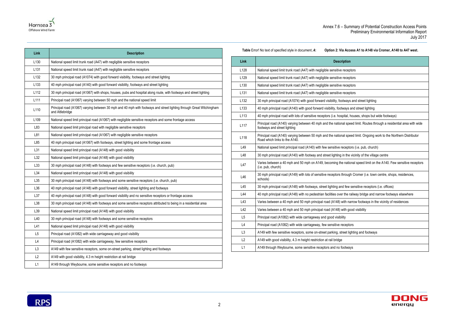

| Link             | <b>Description</b>                                                                                                                      |
|------------------|-----------------------------------------------------------------------------------------------------------------------------------------|
| L <sub>130</sub> | National speed limit trunk road (A47) with negligible sensitive receptors                                                               |
| L <sub>131</sub> | National speed limit trunk road (A47) with negligible sensitive receptors                                                               |
| L132             | 30 mph principal road (A1074) with good forward visibility, footways and street lighting                                                |
| L <sub>133</sub> | 40 mph principal road (A140) with good forward visibility, footways and street lighting                                                 |
| L <sub>112</sub> | 30 mph principal road (A1067) with shops, houses, pubs and hospital along route, with footways and street lighting                      |
| L111             | Principal road (A1067) varying between 50 mph and the national speed limit                                                              |
| L110             | Principal road (A1067) varying between 30 mph and 40 mph with footways and street lighting through Great Witchingham<br>and Attlebridge |
| L109             | National speed limit principal road (A1067) with negligible sensitive receptors and some frontage access                                |
| L83              | National speed limit principal road with negligible sensitive receptors                                                                 |
| L81              | National speed limit principal road (A1067) with negligible sensitive receptors                                                         |
| L85              | 40 mph principal road (A1067) with footways, street lighting and some frontage access                                                   |
| L31              | National speed limit principal road (A148) with good visibility                                                                         |
| L32              | National speed limit principal road (A148) with good visibility                                                                         |
| L33              | 30 mph principal road (A148) with footways and few sensitive receptors (i.e. church, pub)                                               |
| L34              | National speed limit principal road (A148) with good visibility                                                                         |
| L35              | 30 mph principal road (A148) with footways and some sensitive receptors (i.e. church, pub)                                              |
| L36              | 40 mph principal road (A148) with good forward visibility, street lighting and footways                                                 |
| L37              | 40 mph principal road (A148) with good forward visibility and no sensitive receptors or frontage access                                 |
| L38              | 30 mph principal road (A148) with footways and some sensitive receptors attributed to being in a residential area                       |
| L39              | National speed limit principal road (A148) with good visibility                                                                         |
| L40              | 30 mph principal road (A148) with footways and some sensitive receptors                                                                 |
| L41              | National speed limit principal road (A148) with good visibility                                                                         |
| L <sub>5</sub>   | Principal road (A1082) with wide carriageway and good visibility                                                                        |
| L4               | Principal road (A1082) with wide carriageway, few sensitive receptors                                                                   |
| L3               | A149 with few sensitive receptors, some on-street parking, street lighting and footways                                                 |
| L2               | A149 with good visibility, 4.3 m height restriction at rail bridge                                                                      |
| L1               | A149 through Weybourne, some sensitive receptors and no footways                                                                        |

### **Table** Error! No text of specified style in document.**.4: Option 2: Via Access A1 to A148 via Cromer, A140 to A47 west.**



<span id="page-5-0"></span>

| Link             | <b>Description</b>                                                                                                                                     |
|------------------|--------------------------------------------------------------------------------------------------------------------------------------------------------|
| L128             | National speed limit trunk road (A47) with negligible sensitive receptors                                                                              |
| L129             | National speed limit trunk road (A47) with negligible sensitive receptors                                                                              |
| L <sub>130</sub> | National speed limit trunk road (A47) with negligible sensitive receptors                                                                              |
| L <sub>131</sub> | National speed limit trunk road (A47) with negligible sensitive receptors                                                                              |
| L <sub>132</sub> | 30 mph principal road (A1074) with good forward visibility, footways and street lighting                                                               |
| L <sub>133</sub> | 40 mph principal road (A140) with good forward visibility, footways and street lighting                                                                |
| L113             | 40 mph principal road with lots of sensitive receptors (i.e. hospital, houses, shops but wide footways)                                                |
| L117             | Principal road (A140) varying between 40 mph and the national speed limit. Routes through a residential area with wide<br>footways and street lighting |
| L118             | Principal road (A140) varying between 50 mph and the national speed limit. Ongoing work to the Northern Distributor<br>Road which links to the A140.   |
| L49              | National speed limit principal road (A140) with few sensitive receptors (i.e. pub, church)                                                             |
| L48              | 30 mph principal road (A140) with footway and street lighting in the vicinity of the village centre                                                    |
| L47              | Varies between a 40 mph and 50 mph on A149, becoming the national speed limit on the A140. Few sensitive receptors<br>(i.e. pub, church)               |
| L46              | 30 mph principal road (A149) with lots of sensitive receptors through Cromer (i.e. town centre, shops, residences,<br>schools)                         |
| L45              | 30 mph principal road (A148) with footways, street lighting and few sensitive receptors (i.e. offices)                                                 |
| L44              | 40 mph principal road (A148) with no pedestrian facilities over the railway bridge and narrow footways elsewhere                                       |
| L43              | Varies between a 40 mph and 50 mph principal road (A148) with narrow footways in the vicinity of residences                                            |
| L42              | Varies between a 40 mph and 50 mph principal road (A148) with good visibility                                                                          |
| L5               | Principal road (A1082) with wide carriageway and good visibility                                                                                       |
| L4               | Principal road (A1082) with wide carriageway, few sensitive receptors                                                                                  |
| L3               | A149 with few sensitive receptors, some on-street parking, street lighting and footways                                                                |
| L2               | A149 with good visibility, 4.3 m height restriction at rail bridge                                                                                     |
| L1               | A149 through Weybourne, some sensitive receptors and no footways                                                                                       |

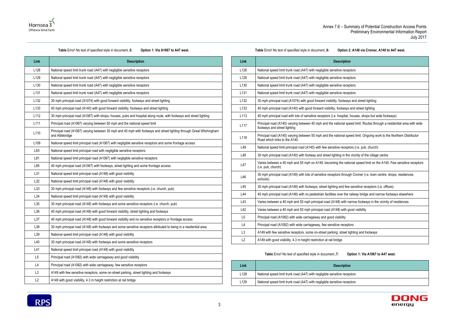exteed receptors

e receptors





### **Table** Error! No text of specified style in document.**.5: Option 1: Via A1067 to A47 west.**

<span id="page-6-0"></span>

| Link             | <b>Description</b>                                                                                                                      |  |
|------------------|-----------------------------------------------------------------------------------------------------------------------------------------|--|
| L128             | National speed limit trunk road (A47) with negligible sensitive receptors                                                               |  |
| L <sub>129</sub> | National speed limit trunk road (A47) with negligible sensitive receptors                                                               |  |
| L <sub>130</sub> | National speed limit trunk road (A47) with negligible sensitive receptors                                                               |  |
| L <sub>131</sub> | National speed limit trunk road (A47) with negligible sensitive receptors                                                               |  |
| L <sub>132</sub> | 30 mph principal road (A1074) with good forward visibility, footways and street lighting                                                |  |
| L <sub>133</sub> | 40 mph principal road (A140) with good forward visibility, footways and street lighting                                                 |  |
| L112             | 30 mph principal road (A1067) with shops, houses, pubs and hospital along route, with footways and street lighting                      |  |
| L <sub>111</sub> | Principal road (A1067) varying between 50 mph and the national speed limit                                                              |  |
| L110             | Principal road (A1067) varying between 30 mph and 40 mph with footways and street lighting through Great Witchingham<br>and Attlebridge |  |
| L <sub>109</sub> | National speed limit principal road (A1067) with negligible sensitive receptors and some frontage access                                |  |
| L83              | National speed limit principal road with negligible sensitive receptors                                                                 |  |
| L81              | National speed limit principal road (A1067) with negligible sensitive receptors                                                         |  |
| L85              | 40 mph principal road (A1067) with footways, street lighting and some frontage access                                                   |  |
| L31              | National speed limit principal road (A148) with good visibility                                                                         |  |
| L32              | National speed limit principal road (A148) with good visibility                                                                         |  |
| L33              | 30 mph principal road (A148) with footways and few sensitive receptors (i.e. church, pub)                                               |  |
| L34              | National speed limit principal road (A148) with good visibility                                                                         |  |
| L35              | 30 mph principal road (A148) with footways and some sensitive receptors (i.e. church, pub)                                              |  |
| L36              | 40 mph principal road (A148) with good forward visibility, street lighting and footways                                                 |  |
| L37              | 40 mph principal road (A148) with good forward visibility and no sensitive receptors or frontage access                                 |  |
| L38              | 30 mph principal road (A148) with footways and some sensitive receptors attributed to being in a residential area                       |  |
| L39              | National speed limit principal road (A148) with good visibility                                                                         |  |
| L40              | 30 mph principal road (A148) with footways and some sensitive receptors                                                                 |  |
| L41              | National speed limit principal road (A148) with good visibility                                                                         |  |
| L <sub>5</sub>   | Principal road (A1082) with wide carriageway and good visibility                                                                        |  |
| L4               | Principal road (A1082) with wide carriageway, few sensitive receptors                                                                   |  |
| L3               | A149 with few sensitive receptors, some on-street parking, street lighting and footways                                                 |  |
| L2               | A149 with good visibility, 4.3 m height restriction at rail bridge                                                                      |  |

**Table** Error! No text of specified style in document.**.6: Option 2: A148 via Cromer, A140 to A47 west.**

<span id="page-6-1"></span>

| Link             | <b>Description</b>                                                                                                                                     |
|------------------|--------------------------------------------------------------------------------------------------------------------------------------------------------|
| L128             | National speed limit trunk road (A47) with negligible sensitive receptors                                                                              |
| L129             | National speed limit trunk road (A47) with negligible sensitive receptors                                                                              |
| L <sub>130</sub> | National speed limit trunk road (A47) with negligible sensitive receptors                                                                              |
| L <sub>131</sub> | National speed limit trunk road (A47) with negligible sensitive receptors                                                                              |
| L132             | 30 mph principal road (A1074) with good forward visibility, footways and street lighting                                                               |
| L133             | 40 mph principal road (A140) with good forward visibility, footways and street lighting                                                                |
| L113             | 40 mph principal road with lots of sensitive receptors (i.e. hospital, houses, shops but wide footways)                                                |
| L117             | Principal road (A140) varying between 40 mph and the national speed limit. Routes through a residential area with wide<br>footways and street lighting |
| L118             | Principal road (A140) varying between 50 mph and the national speed limit. Ongoing work to the Northern Distributor<br>Road which links to the A140.   |
| L49              | National speed limit principal road (A140) with few sensitive receptors (i.e. pub, church)                                                             |
| L48              | 30 mph principal road (A140) with footway and street lighting in the vicinity of the village centre                                                    |
| L47              | Varies between a 40 mph and 50 mph on A149, becoming the national speed limit on the A140. Few sensitive receptors<br>(i.e. pub, church)               |
| L46              | 30 mph principal road (A149) with lots of sensitive receptors through Cromer (i.e. town centre, shops, residences,<br>schools)                         |
| L45              | 30 mph principal road (A148) with footways, street lighting and few sensitive receptors (i.e. offices)                                                 |
| L44              | 40 mph principal road (A148) with no pedestrian facilities over the railway bridge and narrow footways elsewhere                                       |
| L43              | Varies between a 40 mph and 50 mph principal road (A148) with narrow footways in the vicinity of residences                                            |
| L42              | Varies between a 40 mph and 50 mph principal road (A148) with good visibility                                                                          |
| L5               | Principal road (A1082) with wide carriageway and good visibility                                                                                       |
| L4               | Principal road (A1082) with wide carriageway, few sensitive receptors                                                                                  |
| L <sub>3</sub>   | A149 with few sensitive receptors, some on-street parking, street lighting and footways                                                                |
| L2               | A149 with good visibility, 4.3 m height restriction at rail bridge                                                                                     |

**Table** Error! No text of specified style in document.**.7: Option 1: Via A1067 to A47 west.**

<span id="page-6-2"></span>

| Link             | <b>Description</b>                                                    |
|------------------|-----------------------------------------------------------------------|
| L <sub>128</sub> | National speed limit trunk road (A47) with negligible sensitive recep |
| L <sub>129</sub> | National speed limit trunk road (A47) with negligible sensitive recep |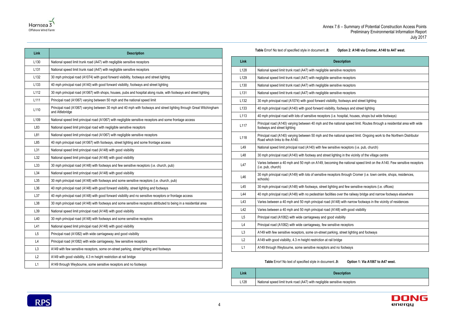receptors



| Link             | <b>Description</b>                                                                                                                      |
|------------------|-----------------------------------------------------------------------------------------------------------------------------------------|
| L <sub>130</sub> | National speed limit trunk road (A47) with negligible sensitive receptors                                                               |
| L <sub>131</sub> | National speed limit trunk road (A47) with negligible sensitive receptors                                                               |
| L <sub>132</sub> | 30 mph principal road (A1074) with good forward visibility, footways and street lighting                                                |
| L <sub>133</sub> | 40 mph principal road (A140) with good forward visibility, footways and street lighting                                                 |
| L <sub>112</sub> | 30 mph principal road (A1067) with shops, houses, pubs and hospital along route, with footways and street lighting                      |
| L <sub>111</sub> | Principal road (A1067) varying between 50 mph and the national speed limit                                                              |
| L110             | Principal road (A1067) varying between 30 mph and 40 mph with footways and street lighting through Great Witchingham<br>and Attlebridge |
| L <sub>109</sub> | National speed limit principal road (A1067) with negligible sensitive receptors and some frontage access                                |
| L83              | National speed limit principal road with negligible sensitive receptors                                                                 |
| L81              | National speed limit principal road (A1067) with negligible sensitive receptors                                                         |
| L85              | 40 mph principal road (A1067) with footways, street lighting and some frontage access                                                   |
| L31              | National speed limit principal road (A148) with good visibility                                                                         |
| L32              | National speed limit principal road (A148) with good visibility                                                                         |
| L33              | 30 mph principal road (A148) with footways and few sensitive receptors (i.e. church, pub)                                               |
| L34              | National speed limit principal road (A148) with good visibility                                                                         |
| L35              | 30 mph principal road (A148) with footways and some sensitive receptors (i.e. church, pub)                                              |
| L36              | 40 mph principal road (A148) with good forward visibility, street lighting and footways                                                 |
| L37              | 40 mph principal road (A148) with good forward visibility and no sensitive receptors or frontage access                                 |
| L38              | 30 mph principal road (A148) with footways and some sensitive receptors attributed to being in a residential area                       |
| L39              | National speed limit principal road (A148) with good visibility                                                                         |
| L40              | 30 mph principal road (A148) with footways and some sensitive receptors                                                                 |
| L41              | National speed limit principal road (A148) with good visibility                                                                         |
| L <sub>5</sub>   | Principal road (A1082) with wide carriageway and good visibility                                                                        |
| L4               | Principal road (A1082) with wide carriageway, few sensitive receptors                                                                   |
| L <sub>3</sub>   | A149 with few sensitive receptors, some on-street parking, street lighting and footways                                                 |
| L2               | A149 with good visibility, 4.3 m height restriction at rail bridge                                                                      |
| L1               | A149 through Weybourne, some sensitive receptors and no footways                                                                        |
|                  |                                                                                                                                         |



# **Table** Error! No text of specified style in document.**.8: Option 2: A148 via Cromer, A140 to A47 west.**

<span id="page-7-0"></span>

| Link             | <b>Description</b>                                                                                                                                     |
|------------------|--------------------------------------------------------------------------------------------------------------------------------------------------------|
| L128             | National speed limit trunk road (A47) with negligible sensitive receptors                                                                              |
| L129             | National speed limit trunk road (A47) with negligible sensitive receptors                                                                              |
| L <sub>130</sub> | National speed limit trunk road (A47) with negligible sensitive receptors                                                                              |
| L <sub>131</sub> | National speed limit trunk road (A47) with negligible sensitive receptors                                                                              |
| L <sub>132</sub> | 30 mph principal road (A1074) with good forward visibility, footways and street lighting                                                               |
| L <sub>133</sub> | 40 mph principal road (A140) with good forward visibility, footways and street lighting                                                                |
| L113             | 40 mph principal road with lots of sensitive receptors (i.e. hospital, houses, shops but wide footways)                                                |
| L <sub>117</sub> | Principal road (A140) varying between 40 mph and the national speed limit. Routes through a residential area with wide<br>footways and street lighting |
| L118             | Principal road (A140) varying between 50 mph and the national speed limit. Ongoing work to the Northern Distributor<br>Road which links to the A140.   |
| L49              | National speed limit principal road (A140) with few sensitive receptors (i.e. pub, church)                                                             |
| L48              | 30 mph principal road (A140) with footway and street lighting in the vicinity of the village centre                                                    |
| L47              | Varies between a 40 mph and 50 mph on A149, becoming the national speed limit on the A140. Few sensitive receptors<br>(i.e. pub, church)               |
| L46              | 30 mph principal road (A149) with lots of sensitive receptors through Cromer (i.e. town centre, shops, residences,<br>schools)                         |
| L45              | 30 mph principal road (A148) with footways, street lighting and few sensitive receptors (i.e. offices)                                                 |
| L44              | 40 mph principal road (A148) with no pedestrian facilities over the railway bridge and narrow footways elsewhere                                       |
| L43              | Varies between a 40 mph and 50 mph principal road (A148) with narrow footways in the vicinity of residences                                            |
| L42              | Varies between a 40 mph and 50 mph principal road (A148) with good visibility                                                                          |
| L5               | Principal road (A1082) with wide carriageway and good visibility                                                                                       |
| L4               | Principal road (A1082) with wide carriageway, few sensitive receptors                                                                                  |
| L <sub>3</sub>   | A149 with few sensitive receptors, some on-street parking, street lighting and footways                                                                |
| L2               | A149 with good visibility, 4.3 m height restriction at rail bridge                                                                                     |
| L1               | A149 through Weybourne, some sensitive receptors and no footways                                                                                       |

# **Table** Error! No text of specified style in document.**.9: Option 1: Via A1067 to A47 west.**

<span id="page-7-1"></span>

| Link             | <b>Description</b>                                                    |
|------------------|-----------------------------------------------------------------------|
| L <sub>128</sub> | National speed limit trunk road (A47) with negligible sensitive recep |

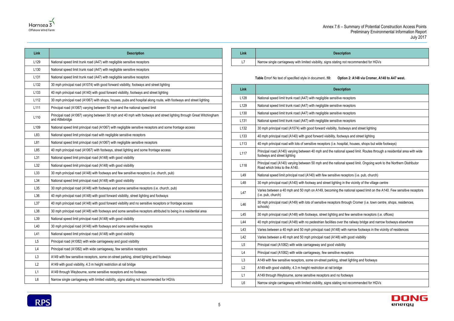

**Link Description** L7 Narrow single carriageway with limited visibility, signs stating not recommended for HGVs



| Link             | <b>Description</b>                                                                                                                      |
|------------------|-----------------------------------------------------------------------------------------------------------------------------------------|
| L <sub>129</sub> | National speed limit trunk road (A47) with negligible sensitive receptors                                                               |
| L130             | National speed limit trunk road (A47) with negligible sensitive receptors                                                               |
| L <sub>131</sub> | National speed limit trunk road (A47) with negligible sensitive receptors                                                               |
| L <sub>132</sub> | 30 mph principal road (A1074) with good forward visibility, footways and street lighting                                                |
| L133             | 40 mph principal road (A140) with good forward visibility, footways and street lighting                                                 |
| L112             | 30 mph principal road (A1067) with shops, houses, pubs and hospital along route, with footways and street lighting                      |
| L <sub>111</sub> | Principal road (A1067) varying between 50 mph and the national speed limit                                                              |
| L110             | Principal road (A1067) varying between 30 mph and 40 mph with footways and street lighting through Great Witchingham<br>and Attlebridge |
| L <sub>109</sub> | National speed limit principal road (A1067) with negligible sensitive receptors and some frontage access                                |
| L83              | National speed limit principal road with negligible sensitive receptors                                                                 |
| L81              | National speed limit principal road (A1067) with negligible sensitive receptors                                                         |
| L85              | 40 mph principal road (A1067) with footways, street lighting and some frontage access                                                   |
| L31              | National speed limit principal road (A148) with good visibility                                                                         |
| L32              | National speed limit principal road (A148) with good visibility                                                                         |
| L33              | 30 mph principal road (A148) with footways and few sensitive receptors (i.e. church, pub)                                               |
| L34              | National speed limit principal road (A148) with good visibility                                                                         |
| L35              | 30 mph principal road (A148) with footways and some sensitive receptors (i.e. church, pub)                                              |
| L36              | 40 mph principal road (A148) with good forward visibility, street lighting and footways                                                 |
| L37              | 40 mph principal road (A148) with good forward visibility and no sensitive receptors or frontage access                                 |
| L38              | 30 mph principal road (A148) with footways and some sensitive receptors attributed to being in a residential area                       |
| L39              | National speed limit principal road (A148) with good visibility                                                                         |
| L40              | 30 mph principal road (A148) with footways and some sensitive receptors                                                                 |
| L41              | National speed limit principal road (A148) with good visibility                                                                         |
| L <sub>5</sub>   | Principal road (A1082) with wide carriageway and good visibility                                                                        |
| L4               | Principal road (A1082) with wide carriageway, few sensitive receptors                                                                   |
| L <sub>3</sub>   | A149 with few sensitive receptors, some on-street parking, street lighting and footways                                                 |
| L2               | A149 with good visibility, 4.3 m height restriction at rail bridge                                                                      |
| L1               | A149 through Weybourne, some sensitive receptors and no footways                                                                        |
| L6               | Narrow single carriageway with limited visibility, signs stating not recommended for HGVs                                               |

**Table** Error! No text of specified style in document.**.10: Option 2: A148 via Cromer, A140 to A47 west.**

<span id="page-8-0"></span>

| Link             | <b>Description</b>                                                                                                                                     |
|------------------|--------------------------------------------------------------------------------------------------------------------------------------------------------|
| L128             | National speed limit trunk road (A47) with negligible sensitive receptors                                                                              |
| L129             | National speed limit trunk road (A47) with negligible sensitive receptors                                                                              |
| L <sub>130</sub> | National speed limit trunk road (A47) with negligible sensitive receptors                                                                              |
| L <sub>131</sub> | National speed limit trunk road (A47) with negligible sensitive receptors                                                                              |
| L132             | 30 mph principal road (A1074) with good forward visibility, footways and street lighting                                                               |
| L <sub>133</sub> | 40 mph principal road (A140) with good forward visibility, footways and street lighting                                                                |
| L113             | 40 mph principal road with lots of sensitive receptors (i.e. hospital, houses, shops but wide footways)                                                |
| L117             | Principal road (A140) varying between 40 mph and the national speed limit. Routes through a residential area with wide<br>footways and street lighting |
| L118             | Principal road (A140) varying between 50 mph and the national speed limit. Ongoing work to the Northern Distributor<br>Road which links to the A140.   |
| L49              | National speed limit principal road (A140) with few sensitive receptors (i.e. pub, church)                                                             |
| L48              | 30 mph principal road (A140) with footway and street lighting in the vicinity of the village centre                                                    |
| L47              | Varies between a 40 mph and 50 mph on A149, becoming the national speed limit on the A140. Few sensitive receptors<br>(i.e. pub, church)               |
| L46              | 30 mph principal road (A149) with lots of sensitive receptors through Cromer (i.e. town centre, shops, residences,<br>schools)                         |
| L45              | 30 mph principal road (A148) with footways, street lighting and few sensitive receptors (i.e. offices)                                                 |
| L44              | 40 mph principal road (A148) with no pedestrian facilities over the railway bridge and narrow footways elsewhere                                       |
| L43              | Varies between a 40 mph and 50 mph principal road (A148) with narrow footways in the vicinity of residences                                            |
| L42              | Varies between a 40 mph and 50 mph principal road (A148) with good visibility                                                                          |
| L <sub>5</sub>   | Principal road (A1082) with wide carriageway and good visibility                                                                                       |
| L4               | Principal road (A1082) with wide carriageway, few sensitive receptors                                                                                  |
| L <sub>3</sub>   | A149 with few sensitive receptors, some on-street parking, street lighting and footways                                                                |
| L2               | A149 with good visibility, 4.3 m height restriction at rail bridge                                                                                     |
| L1               | A149 through Weybourne, some sensitive receptors and no footways                                                                                       |
| L <sub>6</sub>   | Narrow single carriageway with limited visibility, signs stating not recommended for HGVs                                                              |

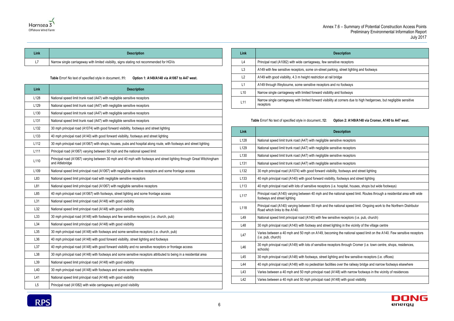



| ∟ink | <b>Description</b>                                                                        |
|------|-------------------------------------------------------------------------------------------|
| L7   | Narrow single carriageway with limited visibility, signs stating not recommended for HGVs |

**Table** Error! No text of specified style in document.**.11: Option 1: A149/A148 via A1067 to A47 west.**

<span id="page-9-0"></span>

| Link             | <b>Description</b>                                                                                                                      |
|------------------|-----------------------------------------------------------------------------------------------------------------------------------------|
| L128             | National speed limit trunk road (A47) with negligible sensitive receptors                                                               |
| L129             | National speed limit trunk road (A47) with negligible sensitive receptors                                                               |
| L <sub>130</sub> | National speed limit trunk road (A47) with negligible sensitive receptors                                                               |
| L <sub>131</sub> | National speed limit trunk road (A47) with negligible sensitive receptors                                                               |
| L <sub>132</sub> | 30 mph principal road (A1074) with good forward visibility, footways and street lighting                                                |
| L <sub>133</sub> | 40 mph principal road (A140) with good forward visibility, footways and street lighting                                                 |
| L <sub>112</sub> | 30 mph principal road (A1067) with shops, houses, pubs and hospital along route, with footways and street lighting                      |
| L <sub>111</sub> | Principal road (A1067) varying between 50 mph and the national speed limit                                                              |
| L110             | Principal road (A1067) varying between 30 mph and 40 mph with footways and street lighting through Great Witchingham<br>and Attlebridge |
| L <sub>109</sub> | National speed limit principal road (A1067) with negligible sensitive receptors and some frontage access                                |
| L83              | National speed limit principal road with negligible sensitive receptors                                                                 |
| L81              | National speed limit principal road (A1067) with negligible sensitive receptors                                                         |
| L85              | 40 mph principal road (A1067) with footways, street lighting and some frontage access                                                   |
| L31              | National speed limit principal road (A148) with good visibility                                                                         |
| L32              | National speed limit principal road (A148) with good visibility                                                                         |
| L33              | 30 mph principal road (A148) with footways and few sensitive receptors (i.e. church, pub)                                               |
| L34              | National speed limit principal road (A148) with good visibility                                                                         |
| L35              | 30 mph principal road (A148) with footways and some sensitive receptors (i.e. church, pub)                                              |
| L36              | 40 mph principal road (A148) with good forward visibility, street lighting and footways                                                 |
| L37              | 40 mph principal road (A148) with good forward visibility and no sensitive receptors or frontage access                                 |
| L38              | 30 mph principal road (A148) with footways and some sensitive receptors attributed to being in a residential area                       |
| L39              | National speed limit principal road (A148) with good visibility                                                                         |
| L40              | 30 mph principal road (A148) with footways and some sensitive receptors                                                                 |
| L41              | National speed limit principal road (A148) with good visibility                                                                         |
| L <sub>5</sub>   | Principal road (A1082) with wide carriageway and good visibility                                                                        |

| Link           | <b>Description</b>                                                                                                                |
|----------------|-----------------------------------------------------------------------------------------------------------------------------------|
| L4             | Principal road (A1082) with wide carriageway, few sensitive receptors                                                             |
| L3             | A149 with few sensitive receptors, some on-street parking, street lighting and footways                                           |
| L2             | A149 with good visibility, 4.3 m height restriction at rail bridge                                                                |
| $\mathsf{L}$ 1 | A149 through Weybourne, some sensitive receptors and no footways                                                                  |
| L10            | Narrow single carriageway with limited forward visibility and footways                                                            |
| L11            | Narrow single carriageway with limited forward visibility at corners due to high hedgerows, but negligible sensitive<br>receptors |

### **Table** Error! No text of specified style in document.**.12: Option 2: A149/A148 via Cromer, A140 to A47 west.**

<span id="page-9-1"></span>

| Link             | <b>Description</b>                                                                                                                                     |
|------------------|--------------------------------------------------------------------------------------------------------------------------------------------------------|
| L128             | National speed limit trunk road (A47) with negligible sensitive receptors                                                                              |
| L129             | National speed limit trunk road (A47) with negligible sensitive receptors                                                                              |
| L <sub>130</sub> | National speed limit trunk road (A47) with negligible sensitive receptors                                                                              |
| L131             | National speed limit trunk road (A47) with negligible sensitive receptors                                                                              |
| L132             | 30 mph principal road (A1074) with good forward visibility, footways and street lighting                                                               |
| L <sub>133</sub> | 40 mph principal road (A140) with good forward visibility, footways and street lighting                                                                |
| L113             | 40 mph principal road with lots of sensitive receptors (i.e. hospital, houses, shops but wide footways)                                                |
| L117             | Principal road (A140) varying between 40 mph and the national speed limit. Routes through a residential area with wide<br>footways and street lighting |
| L118             | Principal road (A140) varying between 50 mph and the national speed limit. Ongoing work to the Northern Distributor<br>Road which links to the A140.   |
| L49              | National speed limit principal road (A140) with few sensitive receptors (i.e. pub, church)                                                             |
| L48              | 30 mph principal road (A140) with footway and street lighting in the vicinity of the village centre                                                    |
| L47              | Varies between a 40 mph and 50 mph on A149, becoming the national speed limit on the A140. Few sensitive receptors<br>(i.e. pub, church)               |
| L46              | 30 mph principal road (A149) with lots of sensitive receptors through Cromer (i.e. town centre, shops, residences,<br>schools)                         |
| L45              | 30 mph principal road (A148) with footways, street lighting and few sensitive receptors (i.e. offices)                                                 |
| L44              | 40 mph principal road (A148) with no pedestrian facilities over the railway bridge and narrow footways elsewhere                                       |
| L43              | Varies between a 40 mph and 50 mph principal road (A148) with narrow footways in the vicinity of residences                                            |
| L42              | Varies between a 40 mph and 50 mph principal road (A148) with good visibility                                                                          |
|                  |                                                                                                                                                        |

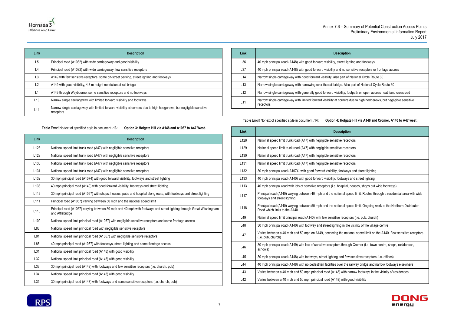

| Link            | <b>Description</b>                                                                                                                |
|-----------------|-----------------------------------------------------------------------------------------------------------------------------------|
| L5              | Principal road (A1082) with wide carriageway and good visibility                                                                  |
| L4              | Principal road (A1082) with wide carriageway, few sensitive receptors                                                             |
| L <sub>3</sub>  | A149 with few sensitive receptors, some on-street parking, street lighting and footways                                           |
| L2              | A149 with good visibility, 4.3 m height restriction at rail bridge                                                                |
| L1              | A149 through Weybourne, some sensitive receptors and no footways                                                                  |
| L <sub>10</sub> | Narrow single carriageway with limited forward visibility and footways                                                            |
| L <sub>11</sub> | Narrow single carriageway with limited forward visibility at corners due to high hedgerows, but negligible sensitive<br>receptors |

| <b>Table</b> Error! No text of specified style in document13: | Option 3: Holgate Hill via A148 and A1067 to A47 West. |
|---------------------------------------------------------------|--------------------------------------------------------|
|                                                               |                                                        |

<span id="page-10-0"></span>

| Link             | <b>Description</b>                                                                                                                      |
|------------------|-----------------------------------------------------------------------------------------------------------------------------------------|
| L128             | National speed limit trunk road (A47) with negligible sensitive receptors                                                               |
| L <sub>129</sub> | National speed limit trunk road (A47) with negligible sensitive receptors                                                               |
| L <sub>130</sub> | National speed limit trunk road (A47) with negligible sensitive receptors                                                               |
| L <sub>131</sub> | National speed limit trunk road (A47) with negligible sensitive receptors                                                               |
| L <sub>132</sub> | 30 mph principal road (A1074) with good forward visibility, footways and street lighting                                                |
| L <sub>133</sub> | 40 mph principal road (A140) with good forward visibility, footways and street lighting                                                 |
| L112             | 30 mph principal road (A1067) with shops, houses, pubs and hospital along route, with footways and street lighting                      |
| L <sub>111</sub> | Principal road (A1067) varying between 50 mph and the national speed limit                                                              |
| L110             | Principal road (A1067) varying between 30 mph and 40 mph with footways and street lighting through Great Witchingham<br>and Attlebridge |
| L <sub>109</sub> | National speed limit principal road (A1067) with negligible sensitive receptors and some frontage access                                |
| L83              | National speed limit principal road with negligible sensitive receptors                                                                 |
| L81              | National speed limit principal road (A1067) with negligible sensitive receptors                                                         |
| L85              | 40 mph principal road (A1067) with footways, street lighting and some frontage access                                                   |
| L31              | National speed limit principal road (A148) with good visibility                                                                         |
| L32              | National speed limit principal road (A148) with good visibility                                                                         |
| L33              | 30 mph principal road (A148) with footways and few sensitive receptors (i.e. church, pub)                                               |
| L34              | National speed limit principal road (A148) with good visibility                                                                         |
| L35              | 30 mph principal road (A148) with footways and some sensitive receptors (i.e. church, pub)                                              |

**RPS** 

| Link            | <b>Description</b>                                                                                                                |
|-----------------|-----------------------------------------------------------------------------------------------------------------------------------|
| L36             | 40 mph principal road (A148) with good forward visibility, street lighting and footways                                           |
| L37             | 40 mph principal road (A148) with good forward visibility and no sensitive receptors or frontage access                           |
| L 14            | Narrow single carriageway with good forward visibility, also part of National Cycle Route 30                                      |
| L13             | Narrow single carriageway with narrowing over the rail bridge. Also part of National Cycle Route 30                               |
| L12             | Narrow single carriageway with generally good forward visibility, footpath on open access heathland crossroad                     |
| L <sub>11</sub> | Narrow single carriageway with limited forward visibility at corners due to high hedgerows, but negligible sensitive<br>receptors |

**Table** Error! No text of specified style in document.**.14: Option 4: Holgate Hill via A148 and Cromer, A140 to A47 west.**

<span id="page-10-1"></span>

| Link             | <b>Description</b>                                                                                                                                     |
|------------------|--------------------------------------------------------------------------------------------------------------------------------------------------------|
| L128             | National speed limit trunk road (A47) with negligible sensitive receptors                                                                              |
| L129             | National speed limit trunk road (A47) with negligible sensitive receptors                                                                              |
| L <sub>130</sub> | National speed limit trunk road (A47) with negligible sensitive receptors                                                                              |
| L <sub>131</sub> | National speed limit trunk road (A47) with negligible sensitive receptors                                                                              |
| L132             | 30 mph principal road (A1074) with good forward visibility, footways and street lighting                                                               |
| L <sub>133</sub> | 40 mph principal road (A140) with good forward visibility, footways and street lighting                                                                |
| L113             | 40 mph principal road with lots of sensitive receptors (i.e. hospital, houses, shops but wide footways)                                                |
| L117             | Principal road (A140) varying between 40 mph and the national speed limit. Routes through a residential area with wide<br>footways and street lighting |
| L118             | Principal road (A140) varying between 50 mph and the national speed limit. Ongoing work to the Northern Distributor<br>Road which links to the A140.   |
| L49              | National speed limit principal road (A140) with few sensitive receptors (i.e. pub, church)                                                             |
| L48              | 30 mph principal road (A140) with footway and street lighting in the vicinity of the village centre                                                    |
| L47              | Varies between a 40 mph and 50 mph on A149, becoming the national speed limit on the A140. Few sensitive receptors<br>(i.e. pub, church)               |
| L46              | 30 mph principal road (A149) with lots of sensitive receptors through Cromer (i.e. town centre, shops, residences,<br>schools)                         |
| L45              | 30 mph principal road (A148) with footways, street lighting and few sensitive receptors (i.e. offices)                                                 |
| L44              | 40 mph principal road (A148) with no pedestrian facilities over the railway bridge and narrow footways elsewhere                                       |
| L43              | Varies between a 40 mph and 50 mph principal road (A148) with narrow footways in the vicinity of residences                                            |
| L42              | Varies between a 40 mph and 50 mph principal road (A148) with good visibility                                                                          |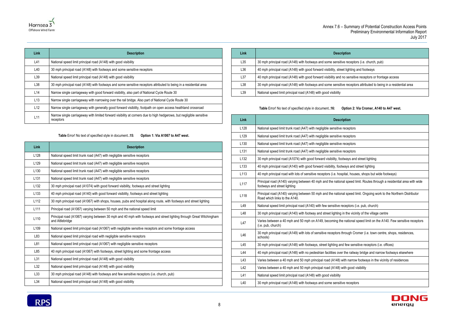

| Link | <b>Description</b>                                                                                                                |
|------|-----------------------------------------------------------------------------------------------------------------------------------|
| L41  | National speed limit principal road (A148) with good visibility                                                                   |
| L40  | 30 mph principal road (A148) with footways and some sensitive receptors                                                           |
| L39  | National speed limit principal road (A148) with good visibility                                                                   |
| L38  | 30 mph principal road (A148) with footways and some sensitive receptors attributed to being in a residential area                 |
| L14  | Narrow single carriageway with good forward visibility, also part of National Cycle Route 30                                      |
| L13  | Narrow single carriageway with narrowing over the rail bridge. Also part of National Cycle Route 30                               |
| L12  | Narrow single carriageway with generally good forward visibility, footpath on open access heathland crossroad                     |
| L11  | Narrow single carriageway with limited forward visibility at corners due to high hedgerows, but negligible sensitive<br>receptors |

**Table** Error! No text of specified style in document.**.15: Option 1: Via A1067 to A47 west.**

<span id="page-11-0"></span>

| Link             | <b>Description</b>                                                                                                                      |
|------------------|-----------------------------------------------------------------------------------------------------------------------------------------|
| L128             | National speed limit trunk road (A47) with negligible sensitive receptors                                                               |
| L <sub>129</sub> | National speed limit trunk road (A47) with negligible sensitive receptors                                                               |
| L <sub>130</sub> | National speed limit trunk road (A47) with negligible sensitive receptors                                                               |
| L <sub>131</sub> | National speed limit trunk road (A47) with negligible sensitive receptors                                                               |
| L <sub>132</sub> | 30 mph principal road (A1074) with good forward visibility, footways and street lighting                                                |
| L <sub>133</sub> | 40 mph principal road (A140) with good forward visibility, footways and street lighting                                                 |
| L112             | 30 mph principal road (A1067) with shops, houses, pubs and hospital along route, with footways and street lighting                      |
| L <sub>111</sub> | Principal road (A1067) varying between 50 mph and the national speed limit                                                              |
| L110             | Principal road (A1067) varying between 30 mph and 40 mph with footways and street lighting through Great Witchingham<br>and Attlebridge |
| L <sub>109</sub> | National speed limit principal road (A1067) with negligible sensitive receptors and some frontage access                                |
| L83              | National speed limit principal road with negligible sensitive receptors                                                                 |
| L81              | National speed limit principal road (A1067) with negligible sensitive receptors                                                         |
| L85              | 40 mph principal road (A1067) with footways, street lighting and some frontage access                                                   |
| L31              | National speed limit principal road (A148) with good visibility                                                                         |
| L32              | National speed limit principal road (A148) with good visibility                                                                         |
| L33              | 30 mph principal road (A148) with footways and few sensitive receptors (i.e. church, pub)                                               |
| L34              | National speed limit principal road (A148) with good visibility                                                                         |

| Link | <b>Description</b>                                                                                                |
|------|-------------------------------------------------------------------------------------------------------------------|
| L35  | 30 mph principal road (A148) with footways and some sensitive receptors (i.e. church, pub)                        |
| L36  | 40 mph principal road (A148) with good forward visibility, street lighting and footways                           |
| L37  | 40 mph principal road (A148) with good forward visibility and no sensitive receptors or frontage access           |
| L38  | 30 mph principal road (A148) with footways and some sensitive receptors attributed to being in a residential area |
| L39  | National speed limit principal road (A148) with good visibility                                                   |

### **Table** Error! No text of specified style in document.**.16: Option 2: Via Cromer, A140 to A47 west.**

<span id="page-11-1"></span>

| Link             | <b>Description</b>                                                                                                                                     |
|------------------|--------------------------------------------------------------------------------------------------------------------------------------------------------|
| L128             | National speed limit trunk road (A47) with negligible sensitive receptors                                                                              |
| L129             | National speed limit trunk road (A47) with negligible sensitive receptors                                                                              |
| L <sub>130</sub> | National speed limit trunk road (A47) with negligible sensitive receptors                                                                              |
| L <sub>131</sub> | National speed limit trunk road (A47) with negligible sensitive receptors                                                                              |
| L132             | 30 mph principal road (A1074) with good forward visibility, footways and street lighting                                                               |
| L <sub>133</sub> | 40 mph principal road (A140) with good forward visibility, footways and street lighting                                                                |
| L113             | 40 mph principal road with lots of sensitive receptors (i.e. hospital, houses, shops but wide footways)                                                |
| L <sub>117</sub> | Principal road (A140) varying between 40 mph and the national speed limit. Routes through a residential area with wide<br>footways and street lighting |
| L118             | Principal road (A140) varying between 50 mph and the national speed limit. Ongoing work to the Northern Distributor<br>Road which links to the A140.   |
| L49              | National speed limit principal road (A140) with few sensitive receptors (i.e. pub, church)                                                             |
| L48              | 30 mph principal road (A140) with footway and street lighting in the vicinity of the village centre                                                    |
| L47              | Varies between a 40 mph and 50 mph on A149, becoming the national speed limit on the A140. Few sensitive receptors<br>(i.e. pub, church)               |
| L46              | 30 mph principal road (A149) with lots of sensitive receptors through Cromer (i.e. town centre, shops, residences,<br>schools)                         |
| L45              | 30 mph principal road (A148) with footways, street lighting and few sensitive receptors (i.e. offices)                                                 |
| L44              | 40 mph principal road (A148) with no pedestrian facilities over the railway bridge and narrow footways elsewhere                                       |
| L43              | Varies between a 40 mph and 50 mph principal road (A148) with narrow footways in the vicinity of residences                                            |
| L42              | Varies between a 40 mph and 50 mph principal road (A148) with good visibility                                                                          |
| L41              | National speed limit principal road (A148) with good visibility                                                                                        |
| L40              | 30 mph principal road (A148) with footways and some sensitive receptors                                                                                |

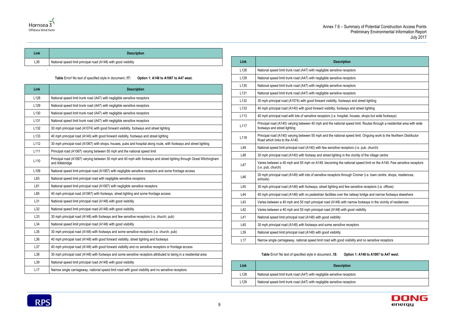# e receptors exteed receptors





| Link | <b>Description</b>                                              |
|------|-----------------------------------------------------------------|
| L39  | National speed limit principal road (A148) with good visibility |
|      |                                                                 |

**Table** Error! No text of specified style in document.**.17: Option 1: A148 to A1067 to A47 west.**

<span id="page-12-0"></span>

| Link             | <b>Description</b>                                                                                                                      |
|------------------|-----------------------------------------------------------------------------------------------------------------------------------------|
| L128             | National speed limit trunk road (A47) with negligible sensitive receptors                                                               |
| L <sub>129</sub> | National speed limit trunk road (A47) with negligible sensitive receptors                                                               |
| L <sub>130</sub> | National speed limit trunk road (A47) with negligible sensitive receptors                                                               |
| L <sub>131</sub> | National speed limit trunk road (A47) with negligible sensitive receptors                                                               |
| L132             | 30 mph principal road (A1074) with good forward visibility, footways and street lighting                                                |
| L <sub>133</sub> | 40 mph principal road (A140) with good forward visibility, footways and street lighting                                                 |
| L112             | 30 mph principal road (A1067) with shops, houses, pubs and hospital along route, with footways and street lighting                      |
| L <sub>111</sub> | Principal road (A1067) varying between 50 mph and the national speed limit                                                              |
| L110             | Principal road (A1067) varying between 30 mph and 40 mph with footways and street lighting through Great Witchingham<br>and Attlebridge |
| L <sub>109</sub> | National speed limit principal road (A1067) with negligible sensitive receptors and some frontage access                                |
| L83              | National speed limit principal road with negligible sensitive receptors                                                                 |
| L81              | National speed limit principal road (A1067) with negligible sensitive receptors                                                         |
| L85              | 40 mph principal road (A1067) with footways, street lighting and some frontage access                                                   |
| L31              | National speed limit principal road (A148) with good visibility                                                                         |
| L32              | National speed limit principal road (A148) with good visibility                                                                         |
| L33              | 30 mph principal road (A148) with footways and few sensitive receptors (i.e. church, pub)                                               |
| L34              | National speed limit principal road (A148) with good visibility                                                                         |
| L35              | 30 mph principal road (A148) with footways and some sensitive receptors (i.e. church, pub)                                              |
| L36              | 40 mph principal road (A148) with good forward visibility, street lighting and footways                                                 |
| L37              | 40 mph principal road (A148) with good forward visibility and no sensitive receptors or frontage access                                 |
| L38              | 30 mph principal road (A148) with footways and some sensitive receptors attributed to being in a residential area                       |
| L39              | National speed limit principal road (A148) with good visibility                                                                         |
| L17              | Narrow single carriageway, national speed limit road with good visibility and no sensitive receptors                                    |

| Link             | <b>Description</b>                                                                                                                                     |
|------------------|--------------------------------------------------------------------------------------------------------------------------------------------------------|
| L128             | National speed limit trunk road (A47) with negligible sensitive receptors                                                                              |
| L129             | National speed limit trunk road (A47) with negligible sensitive receptors                                                                              |
| L <sub>130</sub> | National speed limit trunk road (A47) with negligible sensitive receptors                                                                              |
| L131             | National speed limit trunk road (A47) with negligible sensitive receptors                                                                              |
| L <sub>132</sub> | 30 mph principal road (A1074) with good forward visibility, footways and street lighting                                                               |
| L <sub>133</sub> | 40 mph principal road (A140) with good forward visibility, footways and street lighting                                                                |
| L113             | 40 mph principal road with lots of sensitive receptors (i.e. hospital, houses, shops but wide footways)                                                |
| L117             | Principal road (A140) varying between 40 mph and the national speed limit. Routes through a residential area with wide<br>footways and street lighting |
| L118             | Principal road (A140) varying between 50 mph and the national speed limit. Ongoing work to the Northern Distributor<br>Road which links to the A140.   |
| L49              | National speed limit principal road (A140) with few sensitive receptors (i.e. pub, church)                                                             |
| L48              | 30 mph principal road (A140) with footway and street lighting in the vicinity of the village centre                                                    |
| L47              | Varies between a 40 mph and 50 mph on A149, becoming the national speed limit on the A140. Few sensitive receptors<br>(i.e. pub, church)               |
| L46              | 30 mph principal road (A149) with lots of sensitive receptors through Cromer (i.e. town centre, shops, residences,<br>schools)                         |
| L45              | 30 mph principal road (A148) with footways, street lighting and few sensitive receptors (i.e. offices)                                                 |
| L44              | 40 mph principal road (A148) with no pedestrian facilities over the railway bridge and narrow footways elsewhere                                       |
| L43              | Varies between a 40 mph and 50 mph principal road (A148) with narrow footways in the vicinity of residences                                            |
| L42              | Varies between a 40 mph and 50 mph principal road (A148) with good visibility                                                                          |
| L41              | National speed limit principal road (A148) with good visibility                                                                                        |
| L40              | 30 mph principal road (A148) with footways and some sensitive receptors                                                                                |
| L39              | National speed limit principal road (A148) with good visibility                                                                                        |
| L17              | Narrow single carriageway, national speed limit road with good visibility and no sensitive receptors                                                   |

**Table** Error! No text of specified style in document.**.18: Option 1: A148 to A1067 to A47 west.**

<span id="page-12-1"></span>

| Link             | <b>Description</b>                                                    |
|------------------|-----------------------------------------------------------------------|
| L <sub>128</sub> | National speed limit trunk road (A47) with negligible sensitive recep |
| L <sub>129</sub> | National speed limit trunk road (A47) with negligible sensitive recep |

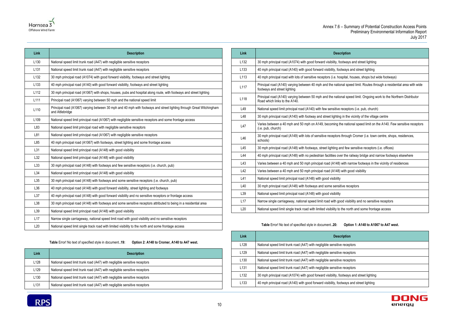



| Link             | <b>Description</b>                                                                                                                      |
|------------------|-----------------------------------------------------------------------------------------------------------------------------------------|
| L <sub>130</sub> | National speed limit trunk road (A47) with negligible sensitive receptors                                                               |
| L <sub>131</sub> | National speed limit trunk road (A47) with negligible sensitive receptors                                                               |
| L <sub>132</sub> | 30 mph principal road (A1074) with good forward visibility, footways and street lighting                                                |
| L <sub>133</sub> | 40 mph principal road (A140) with good forward visibility, footways and street lighting                                                 |
| L112             | 30 mph principal road (A1067) with shops, houses, pubs and hospital along route, with footways and street lighting                      |
| L <sub>111</sub> | Principal road (A1067) varying between 50 mph and the national speed limit                                                              |
| L110             | Principal road (A1067) varying between 30 mph and 40 mph with footways and street lighting through Great Witchingham<br>and Attlebridge |
| L <sub>109</sub> | National speed limit principal road (A1067) with negligible sensitive receptors and some frontage access                                |
| L83              | National speed limit principal road with negligible sensitive receptors                                                                 |
| L81              | National speed limit principal road (A1067) with negligible sensitive receptors                                                         |
| L85              | 40 mph principal road (A1067) with footways, street lighting and some frontage access                                                   |
| L31              | National speed limit principal road (A148) with good visibility                                                                         |
| L32              | National speed limit principal road (A148) with good visibility                                                                         |
| L33              | 30 mph principal road (A148) with footways and few sensitive receptors (i.e. church, pub)                                               |
| L34              | National speed limit principal road (A148) with good visibility                                                                         |
| L35              | 30 mph principal road (A148) with footways and some sensitive receptors (i.e. church, pub)                                              |
| L36              | 40 mph principal road (A148) with good forward visibility, street lighting and footways                                                 |
| L37              | 40 mph principal road (A148) with good forward visibility and no sensitive receptors or frontage access                                 |
| L38              | 30 mph principal road (A148) with footways and some sensitive receptors attributed to being in a residential area                       |
| L39              | National speed limit principal road (A148) with good visibility                                                                         |
| L17              | Narrow single carriageway, national speed limit road with good visibility and no sensitive receptors                                    |
| L20              | National speed limit single track road with limited visibility to the north and some frontage access                                    |

**Table** Error! No text of specified style in document.**.19: Option 2: A148 to Cromer, A140 to A47 west.**

<span id="page-13-0"></span>

| Link             | <b>Description</b>                                                        |
|------------------|---------------------------------------------------------------------------|
| L <sub>128</sub> | National speed limit trunk road (A47) with negligible sensitive receptors |
| L <sub>129</sub> | National speed limit trunk road (A47) with negligible sensitive receptors |
| L <sub>130</sub> | National speed limit trunk road (A47) with negligible sensitive receptors |
| L <sub>131</sub> | National speed limit trunk road (A47) with negligible sensitive receptors |

| Link             | <b>Description</b>                                                                                                                                     |
|------------------|--------------------------------------------------------------------------------------------------------------------------------------------------------|
| L <sub>132</sub> | 30 mph principal road (A1074) with good forward visibility, footways and street lighting                                                               |
| L <sub>133</sub> | 40 mph principal road (A140) with good forward visibility, footways and street lighting                                                                |
| L113             | 40 mph principal road with lots of sensitive receptors (i.e. hospital, houses, shops but wide footways)                                                |
| L117             | Principal road (A140) varying between 40 mph and the national speed limit. Routes through a residential area with wide<br>footways and street lighting |
| L118             | Principal road (A140) varying between 50 mph and the national speed limit. Ongoing work to the Northern Distributor<br>Road which links to the A140.   |
| L49              | National speed limit principal road (A140) with few sensitive receptors (i.e. pub, church)                                                             |
| L48              | 30 mph principal road (A140) with footway and street lighting in the vicinity of the village centre                                                    |
| L47              | Varies between a 40 mph and 50 mph on A149, becoming the national speed limit on the A140. Few sensitive receptors<br>(i.e. pub, church)               |
| L46              | 30 mph principal road (A149) with lots of sensitive receptors through Cromer (i.e. town centre, shops, residences,<br>schools)                         |
| L45              | 30 mph principal road (A148) with footways, street lighting and few sensitive receptors (i.e. offices)                                                 |
| L44              | 40 mph principal road (A148) with no pedestrian facilities over the railway bridge and narrow footways elsewhere                                       |
| L43              | Varies between a 40 mph and 50 mph principal road (A148) with narrow footways in the vicinity of residences                                            |
| L42              | Varies between a 40 mph and 50 mph principal road (A148) with good visibility                                                                          |
| L41              | National speed limit principal road (A148) with good visibility                                                                                        |
| L40              | 30 mph principal road (A148) with footways and some sensitive receptors                                                                                |
| L39              | National speed limit principal road (A148) with good visibility                                                                                        |
| L17              | Narrow single carriageway, national speed limit road with good visibility and no sensitive receptors                                                   |
| L20              | National speed limit single track road with limited visibility to the north and some frontage access                                                   |

### **Table** Error! No text of specified style in document.**.20: Option 1: A148 to A1067 to A47 west.**

<span id="page-13-1"></span>

| Link             | <b>Description</b>                                                                       |
|------------------|------------------------------------------------------------------------------------------|
| L128             | National speed limit trunk road (A47) with negligible sensitive receptors                |
| L <sub>129</sub> | National speed limit trunk road (A47) with negligible sensitive receptors                |
| L <sub>130</sub> | National speed limit trunk road (A47) with negligible sensitive receptors                |
| L <sub>131</sub> | National speed limit trunk road (A47) with negligible sensitive receptors                |
| L <sub>132</sub> | 30 mph principal road (A1074) with good forward visibility, footways and street lighting |
| L <sub>133</sub> | 40 mph principal road (A140) with good forward visibility, footways and street lighting  |

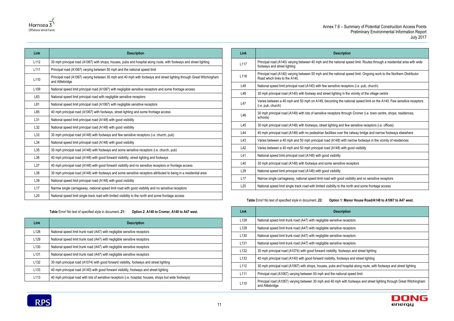al speed limit. Routes through a residential area with wide

al speed limit. Ongoing work to the Northern Distributor

eceptors (i.e. pub, church)

in the vicinity of the village centre

e national speed limit on the A140. Few sensitive receptors

hrough Cromer (i.e. town centre, shops, residences,

d few sensitive receptors (i.e. offices)

the railway bridge and narrow footways elsewhere

vith narrow footways in the vicinity of residences

vith good visibility

ve receptors

d visibility and no sensitive receptors

he north and some frontage access





| Link             | <b>Description</b>                                                                                                                      |
|------------------|-----------------------------------------------------------------------------------------------------------------------------------------|
| L112             | 30 mph principal road (A1067) with shops, houses, pubs and hospital along route, with footways and street lighting                      |
| L111             | Principal road (A1067) varying between 50 mph and the national speed limit                                                              |
| L110             | Principal road (A1067) varying between 30 mph and 40 mph with footways and street lighting through Great Witchingham<br>and Attlebridge |
| L <sub>109</sub> | National speed limit principal road (A1067) with negligible sensitive receptors and some frontage access                                |
| L83              | National speed limit principal road with negligible sensitive receptors                                                                 |
| L81              | National speed limit principal road (A1067) with negligible sensitive receptors                                                         |
| L85              | 40 mph principal road (A1067) with footways, street lighting and some frontage access                                                   |
| L31              | National speed limit principal road (A148) with good visibility                                                                         |
| L32              | National speed limit principal road (A148) with good visibility                                                                         |
| L33              | 30 mph principal road (A148) with footways and few sensitive receptors (i.e. church, pub)                                               |
| L34              | National speed limit principal road (A148) with good visibility                                                                         |
| L35              | 30 mph principal road (A148) with footways and some sensitive receptors (i.e. church, pub)                                              |
| L36              | 40 mph principal road (A148) with good forward visibility, street lighting and footways                                                 |
| L37              | 40 mph principal road (A148) with good forward visibility and no sensitive receptors or frontage access                                 |
| L38              | 30 mph principal road (A148) with footways and some sensitive receptors attributed to being in a residential area                       |
| L39              | National speed limit principal road (A148) with good visibility                                                                         |
| L17              | Narrow single carriageway, national speed limit road with good visibility and no sensitive receptors                                    |
| L20              | National speed limit single track road with limited visibility to the north and some frontage access                                    |

| Table Error! No text of specified style in document21: | Option 2: A148 to Cromer, A140 to A47 west. |
|--------------------------------------------------------|---------------------------------------------|
|--------------------------------------------------------|---------------------------------------------|

<span id="page-14-0"></span>

| <b>Link</b>      | <b>Description</b>                                                                                      |
|------------------|---------------------------------------------------------------------------------------------------------|
| L <sub>128</sub> | National speed limit trunk road (A47) with negligible sensitive receptors                               |
| L <sub>129</sub> | National speed limit trunk road (A47) with negligible sensitive receptors                               |
| L <sub>130</sub> | National speed limit trunk road (A47) with negligible sensitive receptors                               |
| L <sub>131</sub> | National speed limit trunk road (A47) with negligible sensitive receptors                               |
| L <sub>132</sub> | 30 mph principal road (A1074) with good forward visibility, footways and street lighting                |
| L <sub>133</sub> | 40 mph principal road (A140) with good forward visibility, footways and street lighting                 |
| L113             | 40 mph principal road with lots of sensitive receptors (i.e. hospital, houses, shops but wide footways) |

| <b>Description</b>                                                                                 | Link            |
|----------------------------------------------------------------------------------------------------|-----------------|
| Principal road (A140) varying between 40 mph and the national spe<br>footways and street lighting  | L117            |
| Principal road (A140) varying between 50 mph and the national spe<br>Road which links to the A140. | L118            |
| National speed limit principal road (A140) with few sensitive receptor                             | L49             |
| 30 mph principal road (A140) with footway and street lighting in the                               | L48             |
| Varies between a 40 mph and 50 mph on A149, becoming the nation<br>(i.e. pub, church)              | L47             |
| 30 mph principal road (A149) with lots of sensitive receptors througl<br>schools)                  | L46             |
| 30 mph principal road (A148) with footways, street lighting and few                                | L45             |
| 40 mph principal road (A148) with no pedestrian facilities over the ra                             | L44             |
| Varies between a 40 mph and 50 mph principal road (A148) with na                                   | L43             |
| Varies between a 40 mph and 50 mph principal road (A148) with go                                   | L42             |
| National speed limit principal road (A148) with good visibility                                    | L41             |
| 30 mph principal road (A148) with footways and some sensitive rec                                  | L40             |
| National speed limit principal road (A148) with good visibility                                    | L <sub>39</sub> |
| Narrow single carriageway, national speed limit road with good visit                               | L17             |
| National speed limit single track road with limited visibility to the nor                          | L <sub>20</sub> |
|                                                                                                    |                 |

**Table** Error! No text of specified style in document.**.22: Option 1: Manor House Road/A148 to A1067 to A47 west.**

<span id="page-14-1"></span>

| <b>Link</b>      | <b>Description</b>                                                                                                                      |
|------------------|-----------------------------------------------------------------------------------------------------------------------------------------|
| L <sub>128</sub> | National speed limit trunk road (A47) with negligible sensitive receptors                                                               |
| L129             | National speed limit trunk road (A47) with negligible sensitive receptors                                                               |
| L <sub>130</sub> | National speed limit trunk road (A47) with negligible sensitive receptors                                                               |
| L131             | National speed limit trunk road (A47) with negligible sensitive receptors                                                               |
| L <sub>132</sub> | 30 mph principal road (A1074) with good forward visibility, footways and street lighting                                                |
| L <sub>133</sub> | 40 mph principal road (A140) with good forward visibility, footways and street lighting                                                 |
| L112             | 30 mph principal road (A1067) with shops, houses, pubs and hospital along route, with footways and street lighting                      |
| L <sub>111</sub> | Principal road (A1067) varying between 50 mph and the national speed limit                                                              |
| L <sub>110</sub> | Principal road (A1067) varying between 30 mph and 40 mph with footways and street lighting through Great Witchingham<br>and Attlebridge |

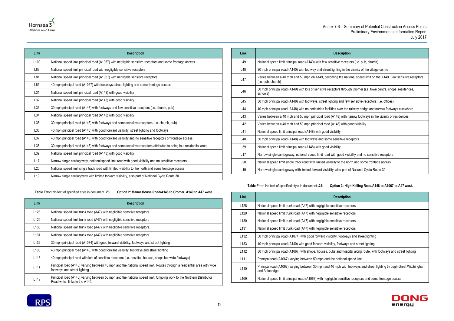

| Link             | <b>Description</b>                                                                                                |
|------------------|-------------------------------------------------------------------------------------------------------------------|
| L <sub>109</sub> | National speed limit principal road (A1067) with negligible sensitive receptors and some frontage access          |
| L83              | National speed limit principal road with negligible sensitive receptors                                           |
| L81              | National speed limit principal road (A1067) with negligible sensitive receptors                                   |
| L85              | 40 mph principal road (A1067) with footways, street lighting and some frontage access                             |
| L31              | National speed limit principal road (A148) with good visibility                                                   |
| L32              | National speed limit principal road (A148) with good visibility                                                   |
| L33              | 30 mph principal road (A148) with footways and few sensitive receptors (i.e. church, pub)                         |
| L34              | National speed limit principal road (A148) with good visibility                                                   |
| L35              | 30 mph principal road (A148) with footways and some sensitive receptors (i.e. church, pub)                        |
| L36              | 40 mph principal road (A148) with good forward visibility, street lighting and footways                           |
| L37              | 40 mph principal road (A148) with good forward visibility and no sensitive receptors or frontage access           |
| L38              | 30 mph principal road (A148) with footways and some sensitive receptors attributed to being in a residential area |
| L <sub>39</sub>  | National speed limit principal road (A148) with good visibility                                                   |
| L17              | Narrow single carriageway, national speed limit road with good visibility and no sensitive receptors              |
| L20              | National speed limit single track road with limited visibility to the north and some frontage access              |
| L <sub>19</sub>  | Narrow single carriageway with limited forward visibility, also part of National Cycle Route 30                   |

<span id="page-15-0"></span>**Table** Error! No text of specified style in document.**.23: Option 2: Manor House Road/A148 to Cromer, A140 to A47 west.**

| Link             | <b>Description</b>                                                                                                                                     |
|------------------|--------------------------------------------------------------------------------------------------------------------------------------------------------|
| L <sub>128</sub> | National speed limit trunk road (A47) with negligible sensitive receptors                                                                              |
| L <sub>129</sub> | National speed limit trunk road (A47) with negligible sensitive receptors                                                                              |
| L <sub>130</sub> | National speed limit trunk road (A47) with negligible sensitive receptors                                                                              |
| L <sub>131</sub> | National speed limit trunk road (A47) with negligible sensitive receptors                                                                              |
| L <sub>132</sub> | 30 mph principal road (A1074) with good forward visibility, footways and street lighting                                                               |
| L <sub>133</sub> | 40 mph principal road (A140) with good forward visibility, footways and street lighting                                                                |
| L <sub>113</sub> | 40 mph principal road with lots of sensitive receptors (i.e. hospital, houses, shops but wide footways)                                                |
| L <sub>117</sub> | Principal road (A140) varying between 40 mph and the national speed limit. Routes through a residential area with wide<br>footways and street lighting |
| L118             | Principal road (A140) varying between 50 mph and the national speed limit. Ongoing work to the Northern Distributor<br>Road which links to the A140.   |

| Link            | <b>Description</b>                                                                                                                       |
|-----------------|------------------------------------------------------------------------------------------------------------------------------------------|
| L49             | National speed limit principal road (A140) with few sensitive receptors (i.e. pub, church)                                               |
| L48             | 30 mph principal road (A140) with footway and street lighting in the vicinity of the village centre                                      |
| L47             | Varies between a 40 mph and 50 mph on A149, becoming the national speed limit on the A140. Few sensitive receptors<br>(i.e. pub, church) |
| L46             | 30 mph principal road (A149) with lots of sensitive receptors through Cromer (i.e. town centre, shops, residences,<br>schools)           |
| L45             | 30 mph principal road (A148) with footways, street lighting and few sensitive receptors (i.e. offices)                                   |
| L44             | 40 mph principal road (A148) with no pedestrian facilities over the railway bridge and narrow footways elsewhere                         |
| L43             | Varies between a 40 mph and 50 mph principal road (A148) with narrow footways in the vicinity of residences                              |
| L42             | Varies between a 40 mph and 50 mph principal road (A148) with good visibility                                                            |
| L41             | National speed limit principal road (A148) with good visibility                                                                          |
| L40             | 30 mph principal road (A148) with footways and some sensitive receptors                                                                  |
| L39             | National speed limit principal road (A148) with good visibility                                                                          |
| L17             | Narrow single carriageway, national speed limit road with good visibility and no sensitive receptors                                     |
| L20             | National speed limit single track road with limited visibility to the north and some frontage access                                     |
| L <sub>19</sub> | Narrow single carriageway with limited forward visibility, also part of National Cycle Route 30                                          |

# **Table** Error! No text of specified style in document.**.24: Option 3: High Kelling Road/A148 to A1067 to A47 west.**

<span id="page-15-1"></span>

| Link             | <b>Description</b>                                                                                                                      |
|------------------|-----------------------------------------------------------------------------------------------------------------------------------------|
| L <sub>128</sub> | National speed limit trunk road (A47) with negligible sensitive receptors                                                               |
| L <sub>129</sub> | National speed limit trunk road (A47) with negligible sensitive receptors                                                               |
| L <sub>130</sub> | National speed limit trunk road (A47) with negligible sensitive receptors                                                               |
| L <sub>131</sub> | National speed limit trunk road (A47) with negligible sensitive receptors                                                               |
| L <sub>132</sub> | 30 mph principal road (A1074) with good forward visibility, footways and street lighting                                                |
| L <sub>133</sub> | 40 mph principal road (A140) with good forward visibility, footways and street lighting                                                 |
| L <sub>112</sub> | 30 mph principal road (A1067) with shops, houses, pubs and hospital along route, with footways and street lighting                      |
| L <sub>111</sub> | Principal road (A1067) varying between 50 mph and the national speed limit                                                              |
| L <sub>110</sub> | Principal road (A1067) varying between 30 mph and 40 mph with footways and street lighting through Great Witchingham<br>and Attlebridge |
| L <sub>109</sub> | National speed limit principal road (A1067) with negligible sensitive receptors and some frontage access                                |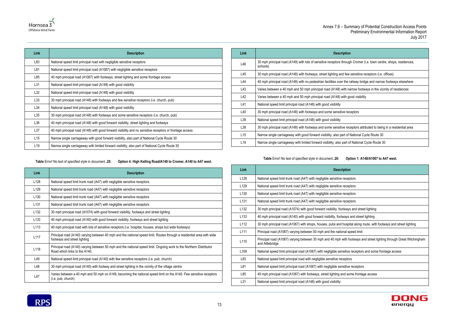

| Link            | <b>Description</b>                                                                                      |
|-----------------|---------------------------------------------------------------------------------------------------------|
| L83             | National speed limit principal road with negligible sensitive receptors                                 |
| L81             | National speed limit principal road (A1067) with negligible sensitive receptors                         |
| L85             | 40 mph principal road (A1067) with footways, street lighting and some frontage access                   |
| L31             | National speed limit principal road (A148) with good visibility                                         |
| L32             | National speed limit principal road (A148) with good visibility                                         |
| L33             | 30 mph principal road (A148) with footways and few sensitive receptors (i.e. church, pub)               |
| L34             | National speed limit principal road (A148) with good visibility                                         |
| L35             | 30 mph principal road (A148) with footways and some sensitive receptors (i.e. church, pub)              |
| L36             | 40 mph principal road (A148) with good forward visibility, street lighting and footways                 |
| L37             | 40 mph principal road (A148) with good forward visibility and no sensitive receptors or frontage access |
| L15             | Narrow single carriageway with good forward visibility, also part of National Cycle Route 30            |
| L <sub>19</sub> | Narrow single carriageway with limited forward visibility, also part of National Cycle Route 30         |

### <span id="page-16-0"></span>**Table** Error! No text of specified style in document.**.25: Option 4: High Kelling Road/A148 to Cromer, A140 to A47 west.**

| Link             | <b>Description</b>                                                                                                                                     |
|------------------|--------------------------------------------------------------------------------------------------------------------------------------------------------|
| L128             | National speed limit trunk road (A47) with negligible sensitive receptors                                                                              |
| L <sub>129</sub> | National speed limit trunk road (A47) with negligible sensitive receptors                                                                              |
| L <sub>130</sub> | National speed limit trunk road (A47) with negligible sensitive receptors                                                                              |
| L131             | National speed limit trunk road (A47) with negligible sensitive receptors                                                                              |
| L <sub>132</sub> | 30 mph principal road (A1074) with good forward visibility, footways and street lighting                                                               |
| L <sub>133</sub> | 40 mph principal road (A140) with good forward visibility, footways and street lighting                                                                |
| L113             | 40 mph principal road with lots of sensitive receptors (i.e. hospital, houses, shops but wide footways)                                                |
| L117             | Principal road (A140) varying between 40 mph and the national speed limit. Routes through a residential area with wide<br>footways and street lighting |
| L118             | Principal road (A140) varying between 50 mph and the national speed limit. Ongoing work to the Northern Distributor<br>Road which links to the A140.   |
| L49              | National speed limit principal road (A140) with few sensitive receptors (i.e. pub, church)                                                             |
| L48              | 30 mph principal road (A140) with footway and street lighting in the vicinity of the village centre                                                    |
| L47              | Varies between a 40 mph and 50 mph on A149, becoming the national speed limit on the A140. Few sensitive receptors<br>(i.e. pub, church)               |

| Link            | <b>Description</b>                                                                                                             |
|-----------------|--------------------------------------------------------------------------------------------------------------------------------|
| L46             | 30 mph principal road (A149) with lots of sensitive receptors through Cromer (i.e. town centre, shops, residences,<br>schools) |
| L45             | 30 mph principal road (A148) with footways, street lighting and few sensitive receptors (i.e. offices)                         |
| L44             | 40 mph principal road (A148) with no pedestrian facilities over the railway bridge and narrow footways elsewhere               |
| L43             | Varies between a 40 mph and 50 mph principal road (A148) with narrow footways in the vicinity of residences                    |
| L42             | Varies between a 40 mph and 50 mph principal road (A148) with good visibility                                                  |
| L41             | National speed limit principal road (A148) with good visibility                                                                |
| L40             | 30 mph principal road (A148) with footways and some sensitive receptors                                                        |
| L39             | National speed limit principal road (A148) with good visibility                                                                |
| L38             | 30 mph principal road (A148) with footways and some sensitive receptors attributed to being in a residential area              |
| L15             | Narrow single carriageway with good forward visibility, also part of National Cycle Route 30                                   |
| L <sub>19</sub> | Narrow single carriageway with limited forward visibility, also part of National Cycle Route 30                                |
|                 |                                                                                                                                |

**Table** Error! No text of specified style in document.**.26: Option 1: A148/A1067 to A47 west.**

<span id="page-16-1"></span>

| Link             | <b>Description</b>                                                                                                                      |
|------------------|-----------------------------------------------------------------------------------------------------------------------------------------|
| L128             | National speed limit trunk road (A47) with negligible sensitive receptors                                                               |
| L129             | National speed limit trunk road (A47) with negligible sensitive receptors                                                               |
| L <sub>130</sub> | National speed limit trunk road (A47) with negligible sensitive receptors                                                               |
| L131             | National speed limit trunk road (A47) with negligible sensitive receptors                                                               |
| L <sub>132</sub> | 30 mph principal road (A1074) with good forward visibility, footways and street lighting                                                |
| L <sub>133</sub> | 40 mph principal road (A140) with good forward visibility, footways and street lighting                                                 |
| L112             | 30 mph principal road (A1067) with shops, houses, pubs and hospital along route, with footways and street lighting                      |
| L111             | Principal road (A1067) varying between 50 mph and the national speed limit                                                              |
| L110             | Principal road (A1067) varying between 30 mph and 40 mph with footways and street lighting through Great Witchingham<br>and Attlebridge |
| L <sub>109</sub> | National speed limit principal road (A1067) with negligible sensitive receptors and some frontage access                                |
| L83              | National speed limit principal road with negligible sensitive receptors                                                                 |
| L81              | National speed limit principal road (A1067) with negligible sensitive receptors                                                         |
| L85              | 40 mph principal road (A1067) with footways, street lighting and some frontage access                                                   |
| L31              | National speed limit principal road (A148) with good visibility                                                                         |

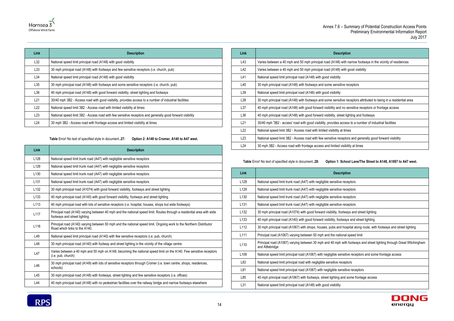

| Link | <b>Description</b>                                                                                        |
|------|-----------------------------------------------------------------------------------------------------------|
| L32  | National speed limit principal road (A148) with good visibility                                           |
| L33  | 30 mph principal road (A148) with footways and few sensitive receptors (i.e. church, pub)                 |
| L34  | National speed limit principal road (A148) with good visibility                                           |
| L35  | 30 mph principal road (A148) with footways and some sensitive receptors (i.e. church, pub)                |
| L36  | 40 mph principal road (A148) with good forward visibility, street lighting and footways                   |
| L21  | 30/40 mph 3B2 - Access road with good visibility, provides access to a number of industrial facilities    |
| L22  | National speed limit 3B2 - Access road with limited visibility at times                                   |
| L23  | National speed limit 3B2 - Access road with few sensitive receptors and generally good forward visibility |
| L24  | 30 mph 3B2 - Access road with frontage access and limited visibility at times                             |

### **Table** Error! No text of specified style in document.**.27: Option 2: A148 to Cromer, A140 to A47 west.**

<span id="page-17-0"></span>

| Link             | <b>Description</b>                                                                                                                                     |
|------------------|--------------------------------------------------------------------------------------------------------------------------------------------------------|
| L128             | National speed limit trunk road (A47) with negligible sensitive receptors                                                                              |
| L <sub>129</sub> | National speed limit trunk road (A47) with negligible sensitive receptors                                                                              |
| L <sub>130</sub> | National speed limit trunk road (A47) with negligible sensitive receptors                                                                              |
| L <sub>131</sub> | National speed limit trunk road (A47) with negligible sensitive receptors                                                                              |
| L <sub>132</sub> | 30 mph principal road (A1074) with good forward visibility, footways and street lighting                                                               |
| L <sub>133</sub> | 40 mph principal road (A140) with good forward visibility, footways and street lighting                                                                |
| L113             | 40 mph principal road with lots of sensitive receptors (i.e. hospital, houses, shops but wide footways)                                                |
| L <sub>117</sub> | Principal road (A140) varying between 40 mph and the national speed limit. Routes through a residential area with wide<br>footways and street lighting |
| L118             | Principal road (A140) varying between 50 mph and the national speed limit. Ongoing work to the Northern Distributor<br>Road which links to the A140.   |
| L49              | National speed limit principal road (A140) with few sensitive receptors (i.e. pub, church)                                                             |
| L48              | 30 mph principal road (A140) with footway and street lighting in the vicinity of the village centre                                                    |
| L47              | Varies between a 40 mph and 50 mph on A149, becoming the national speed limit on the A140. Few sensitive receptors<br>(i.e. pub, church)               |
| L46              | 30 mph principal road (A149) with lots of sensitive receptors through Cromer (i.e. town centre, shops, residences,<br>schools)                         |
| L45              | 30 mph principal road (A148) with footways, street lighting and few sensitive receptors (i.e. offices)                                                 |
| L44              | 40 mph principal road (A148) with no pedestrian facilities over the railway bridge and narrow footways elsewhere                                       |

| Link | <b>Description</b>                                                                                                |
|------|-------------------------------------------------------------------------------------------------------------------|
| L43  | Varies between a 40 mph and 50 mph principal road (A148) with narrow footways in the vicinity of residences       |
| L42  | Varies between a 40 mph and 50 mph principal road (A148) with good visibility                                     |
| L41  | National speed limit principal road (A148) with good visibility                                                   |
| L40  | 30 mph principal road (A148) with footways and some sensitive receptors                                           |
| L39  | National speed limit principal road (A148) with good visibility                                                   |
| L38  | 30 mph principal road (A148) with footways and some sensitive receptors attributed to being in a residential area |
| L37  | 40 mph principal road (A148) with good forward visibility and no sensitive receptors or frontage access           |
| L36  | 40 mph principal road (A148) with good forward visibility, street lighting and footways                           |
| L21  | 30/40 mph '3B2 - access' road with good visibility, provides access to a number of industrial facilities          |
| L22  | National speed limit 3B2 - Access road with limited visibility at times                                           |
| L23  | National speed limit 3B2 - Access road with few sensitive receptors and generally good forward visibility         |
| L24  | 30 mph 3B2 - Access road with frontage access and limited visibility at times                                     |

# **Table** Error! No text of specified style in document.**.28: Option 1: School Lane/The Street to A148, A1067 to A47 west.**

<span id="page-17-1"></span>

| Link             | <b>Description</b>                                                                                                                      |
|------------------|-----------------------------------------------------------------------------------------------------------------------------------------|
| L128             | National speed limit trunk road (A47) with negligible sensitive receptors                                                               |
| L129             | National speed limit trunk road (A47) with negligible sensitive receptors                                                               |
| L <sub>130</sub> | National speed limit trunk road (A47) with negligible sensitive receptors                                                               |
| L131             | National speed limit trunk road (A47) with negligible sensitive receptors                                                               |
| L <sub>132</sub> | 30 mph principal road (A1074) with good forward visibility, footways and street lighting                                                |
| L <sub>133</sub> | 40 mph principal road (A140) with good forward visibility, footways and street lighting                                                 |
| L112             | 30 mph principal road (A1067) with shops, houses, pubs and hospital along route, with footways and street lighting                      |
| L <sub>111</sub> | Principal road (A1067) varying between 50 mph and the national speed limit                                                              |
| L <sub>110</sub> | Principal road (A1067) varying between 30 mph and 40 mph with footways and street lighting through Great Witchingham<br>and Attlebridge |
| L <sub>109</sub> | National speed limit principal road (A1067) with negligible sensitive receptors and some frontage access                                |
| L83              | National speed limit principal road with negligible sensitive receptors                                                                 |
| L81              | National speed limit principal road (A1067) with negligible sensitive receptors                                                         |
| L85              | 40 mph principal road (A1067) with footways, street lighting and some frontage access                                                   |
| L31              | National speed limit principal road (A148) with good visibility                                                                         |

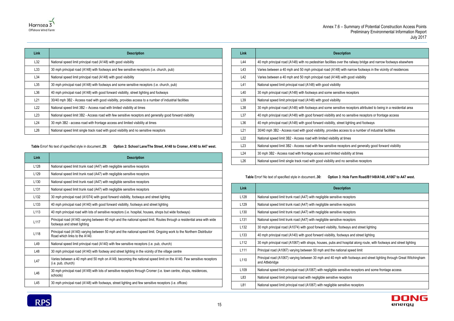

| Link | <b>Description</b>                                                                                        |
|------|-----------------------------------------------------------------------------------------------------------|
| L32  | National speed limit principal road (A148) with good visibility                                           |
| L33  | 30 mph principal road (A148) with footways and few sensitive receptors (i.e. church, pub)                 |
| L34  | National speed limit principal road (A148) with good visibility                                           |
| L35  | 30 mph principal road (A148) with footways and some sensitive receptors (i.e. church, pub)                |
| L36  | 40 mph principal road (A148) with good forward visibility, street lighting and footways                   |
| L21  | 30/40 mph 3B2 - Access road with good visibility, provides access to a number of industrial facilities    |
| L22  | National speed limit 3B2 - Access road with limited visibility at times                                   |
| L23  | National speed limit 3B2 - Access road with few sensitive receptors and generally good forward visibility |
| L24  | 30 mph 3B2 - access road with frontage access and limited visibility at times                             |
| L26  | National speed limit single track road with good visibility and no sensitive receptors                    |

<span id="page-18-0"></span>

**Table** Error! No text of specified style in document.**.29: Option 2: School Lane/The Street, A148 to Cromer, A140 to A47 west.**

| Link             | <b>Description</b>                                                                                                                                     |
|------------------|--------------------------------------------------------------------------------------------------------------------------------------------------------|
| L <sub>128</sub> | National speed limit trunk road (A47) with negligible sensitive receptors                                                                              |
| L129             | National speed limit trunk road (A47) with negligible sensitive receptors                                                                              |
| L <sub>130</sub> | National speed limit trunk road (A47) with negligible sensitive receptors                                                                              |
| L <sub>131</sub> | National speed limit trunk road (A47) with negligible sensitive receptors                                                                              |
| L <sub>132</sub> | 30 mph principal road (A1074) with good forward visibility, footways and street lighting                                                               |
| L <sub>133</sub> | 40 mph principal road (A140) with good forward visibility, footways and street lighting                                                                |
| L113             | 40 mph principal road with lots of sensitive receptors (i.e. hospital, houses, shops but wide footways)                                                |
| L117             | Principal road (A140) varying between 40 mph and the national speed limit. Routes through a residential area with wide<br>footways and street lighting |
| L118             | Principal road (A140) varying between 50 mph and the national speed limit. Ongoing work to the Northern Distributor<br>Road which links to the A140.   |
| L49              | National speed limit principal road (A140) with few sensitive receptors (i.e. pub, church)                                                             |
| L48              | 30 mph principal road (A140) with footway and street lighting in the vicinity of the village centre                                                    |
| L47              | Varies between a 40 mph and 50 mph on A149, becoming the national speed limit on the A140. Few sensitive receptors<br>(i.e. pub, church)               |
| L46              | 30 mph principal road (A149) with lots of sensitive receptors through Cromer (i.e. town centre, shops, residences,<br>schools)                         |
| L45              | 30 mph principal road (A148) with footways, street lighting and few sensitive receptors (i.e. offices)                                                 |

| <b>Description</b>                                                                                                |
|-------------------------------------------------------------------------------------------------------------------|
| 40 mph principal road (A148) with no pedestrian facilities over the railway bridge and narrow footways elsewhere  |
| Varies between a 40 mph and 50 mph principal road (A148) with narrow footways in the vicinity of residences       |
| Varies between a 40 mph and 50 mph principal road (A148) with good visibility                                     |
| National speed limit principal road (A148) with good visibility                                                   |
| 30 mph principal road (A148) with footways and some sensitive receptors                                           |
| National speed limit principal road (A148) with good visibility                                                   |
| 30 mph principal road (A148) with footways and some sensitive receptors attributed to being in a residential area |
| 40 mph principal road (A148) with good forward visibility and no sensitive receptors or frontage access           |
| 40 mph principal road (A148) with good forward visibility, street lighting and footways                           |
| 30/40 mph 3B2 - Access road with good visibility, provides access to a number of industrial facilities            |
| National speed limit 3B2 - Access road with limited visibility at times                                           |
| National speed limit 3B2 - Access road with few sensitive receptors and generally good forward visibility         |
| 30 mph 3B2 - Access road with frontage access and limited visibility at times                                     |
| National speed limit single track road with good visibility and no sensitive receptors                            |
|                                                                                                                   |

**Table** Error! No text of specified style in document.**.30: Option 3: Hole Farm Road/B1149/A148, A1067 to A47 west.**

<span id="page-18-1"></span>

| Link             | <b>Description</b>                                                                                                                      |
|------------------|-----------------------------------------------------------------------------------------------------------------------------------------|
| L <sub>128</sub> | National speed limit trunk road (A47) with negligible sensitive receptors                                                               |
| L <sub>129</sub> | National speed limit trunk road (A47) with negligible sensitive receptors                                                               |
| L <sub>130</sub> | National speed limit trunk road (A47) with negligible sensitive receptors                                                               |
| L <sub>131</sub> | National speed limit trunk road (A47) with negligible sensitive receptors                                                               |
| L <sub>132</sub> | 30 mph principal road (A1074) with good forward visibility, footways and street lighting                                                |
| L <sub>133</sub> | 40 mph principal road (A140) with good forward visibility, footways and street lighting                                                 |
| L112             | 30 mph principal road (A1067) with shops, houses, pubs and hospital along route, with footways and street lighting                      |
| L <sub>111</sub> | Principal road (A1067) varying between 50 mph and the national speed limit                                                              |
| L <sub>110</sub> | Principal road (A1067) varying between 30 mph and 40 mph with footways and street lighting through Great Witchingham<br>and Attlebridge |
| L109             | National speed limit principal road (A1067) with negligible sensitive receptors and some frontage access                                |
| L83              | National speed limit principal road with negligible sensitive receptors                                                                 |
| L81              | National speed limit principal road (A1067) with negligible sensitive receptors                                                         |
|                  |                                                                                                                                         |



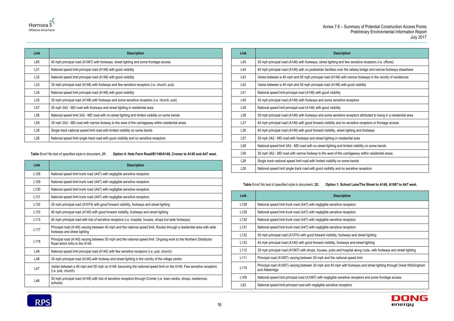| ption                                                 |
|-------------------------------------------------------|
| I few sensitive receptors (i.e. offices)              |
| the railway bridge and narrow footways elsewhere      |
| ith narrow footways in the vicinity of residences     |
| ith good visibility                                   |
|                                                       |
| e receptors                                           |
|                                                       |
| e receptors attributed to being in a residential area |
| o sensitive receptors or frontage access              |
| t lighting and footways                               |
| dential area                                          |
| limited visibility on some bends                      |
| carriageway within residential areas                  |
| ome bends                                             |
| o sensitive receptors                                 |



| Link            | <b>Description</b>                                                                               |
|-----------------|--------------------------------------------------------------------------------------------------|
| L85             | 40 mph principal road (A1067) with footways, street lighting and some frontage access            |
| L31             | National speed limit principal road (A148) with good visibility                                  |
| L32             | National speed limit principal road (A148) with good visibility                                  |
| L33             | 30 mph principal road (A148) with footways and few sensitive receptors (i.e. church, pub)        |
| L34             | National speed limit principal road (A148) with good visibility                                  |
| L35             | 30 mph principal road (A148) with footways and some sensitive receptors (i.e. church, pub)       |
| L57             | 30 mph 3A2 - MD road with footways and street lighting in residential area                       |
| L58             | National speed limit 3A2 - MD road with no street lighting and limited visibility on some bends  |
| L59             | 30 mph 3A2 - MD road with narrow footway to the west of the carriageway within residential areas |
| L28             | Single track national speed limit road with limited visibility on some bends                     |
| L <sub>26</sub> | National speed limit single track road with good visibility and no sensitive receptors           |

<span id="page-19-0"></span>**Table** Error! No text of specified style in document.**.31: Option 4: Hole Farm Road/B1149/A148, Cromer to A140 and A47 west.**

| Link             | <b>Description</b>                                                                                                                                     |
|------------------|--------------------------------------------------------------------------------------------------------------------------------------------------------|
| L <sub>128</sub> | National speed limit trunk road (A47) with negligible sensitive receptors                                                                              |
| L <sub>129</sub> | National speed limit trunk road (A47) with negligible sensitive receptors                                                                              |
| L <sub>130</sub> | National speed limit trunk road (A47) with negligible sensitive receptors                                                                              |
| L <sub>131</sub> | National speed limit trunk road (A47) with negligible sensitive receptors                                                                              |
| L <sub>132</sub> | 30 mph principal road (A1074) with good forward visibility, footways and street lighting                                                               |
| L <sub>133</sub> | 40 mph principal road (A140) with good forward visibility, footways and street lighting                                                                |
| L <sub>113</sub> | 40 mph principal road with lots of sensitive receptors (i.e. hospital, houses, shops but wide footways)                                                |
| L <sub>117</sub> | Principal road (A140) varying between 40 mph and the national speed limit. Routes through a residential area with wide<br>footways and street lighting |
| L118             | Principal road (A140) varying between 50 mph and the national speed limit. Ongoing work to the Northern Distributor<br>Road which links to the A140.   |
| L49              | National speed limit principal road (A140) with few sensitive receptors (i.e. pub, church)                                                             |
| L48              | 30 mph principal road (A140) with footway and street lighting in the vicinity of the village centre                                                    |
| L47              | Varies between a 40 mph and 50 mph on A149, becoming the national speed limit on the A140. Few sensitive receptors<br>(i.e. pub, church)               |
| L46              | 30 mph principal road (A149) with lots of sensitive receptors through Cromer (i.e. town centre, shops, residences,<br>schools)                         |

| <b>Description</b>                                                                                                |
|-------------------------------------------------------------------------------------------------------------------|
| 30 mph principal road (A148) with footways, street lighting and few sensitive receptors (i.e. offices)            |
| 40 mph principal road (A148) with no pedestrian facilities over the railway bridge and narrow footways elsewhere  |
| Varies between a 40 mph and 50 mph principal road (A148) with narrow footways in the vicinity of residences       |
| Varies between a 40 mph and 50 mph principal road (A148) with good visibility                                     |
| National speed limit principal road (A148) with good visibility                                                   |
| 30 mph principal road (A148) with footways and some sensitive receptors                                           |
| National speed limit principal road (A148) with good visibility                                                   |
| 30 mph principal road (A148) with footways and some sensitive receptors attributed to being in a residential area |
| 40 mph principal road (A148) with good forward visibility and no sensitive receptors or frontage access           |
| 40 mph principal road (A148) with good forward visibility, street lighting and footways                           |
| 30 mph 3A2 - MD road with footways and street lighting in residential area                                        |
| National speed limit 3A2 - MD road with no street lighting and limited visibility on some bends                   |
| 30 mph 3A2 - MD road with narrow footway to the west of the carriageway within residential areas                  |
| Single track national speed limit road with limited visibility on some bends                                      |
| National speed limit single track road with good visibility and no sensitive receptors                            |
|                                                                                                                   |

**Table** Error! No text of specified style in document.**.32: Option 1: School Lane/The Street to A148, A1067 to A47 west.**

<span id="page-19-1"></span>

| Link             | <b>Description</b>                                                                                                                      |
|------------------|-----------------------------------------------------------------------------------------------------------------------------------------|
| L <sub>128</sub> | National speed limit trunk road (A47) with negligible sensitive receptors                                                               |
| L <sub>129</sub> | National speed limit trunk road (A47) with negligible sensitive receptors                                                               |
| L <sub>130</sub> | National speed limit trunk road (A47) with negligible sensitive receptors                                                               |
| L <sub>131</sub> | National speed limit trunk road (A47) with negligible sensitive receptors                                                               |
| L <sub>132</sub> | 30 mph principal road (A1074) with good forward visibility, footways and street lighting                                                |
| L <sub>133</sub> | 40 mph principal road (A140) with good forward visibility, footways and street lighting                                                 |
| L <sub>112</sub> | 30 mph principal road (A1067) with shops, houses, pubs and hospital along route, with footways and street lighting                      |
| L <sub>111</sub> | Principal road (A1067) varying between 50 mph and the national speed limit                                                              |
| L <sub>110</sub> | Principal road (A1067) varying between 30 mph and 40 mph with footways and street lighting through Great Witchingham<br>and Attlebridge |
| L <sub>109</sub> | National speed limit principal road (A1067) with negligible sensitive receptors and some frontage access                                |
| L83              | National speed limit principal road with negligible sensitive receptors                                                                 |
|                  |                                                                                                                                         |

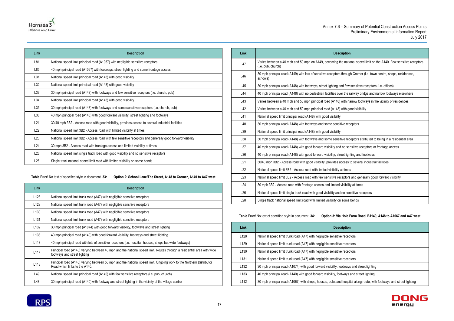

| Link            | <b>Description</b>                                                                                        |
|-----------------|-----------------------------------------------------------------------------------------------------------|
| L81             | National speed limit principal road (A1067) with negligible sensitive receptors                           |
| L85             | 40 mph principal road (A1067) with footways, street lighting and some frontage access                     |
| L31             | National speed limit principal road (A148) with good visibility                                           |
| L32             | National speed limit principal road (A148) with good visibility                                           |
| L33             | 30 mph principal road (A148) with footways and few sensitive receptors (i.e. church, pub)                 |
| L34             | National speed limit principal road (A148) with good visibility                                           |
| L35             | 30 mph principal road (A148) with footways and some sensitive receptors (i.e. church, pub)                |
| L36             | 40 mph principal road (A148) with good forward visibility, street lighting and footways                   |
| L21             | 30/40 mph 3B2 - Access road with good visibility, provides access to several industrial facilities        |
| L22             | National speed limit 3B2 - Access road with limited visibility at times                                   |
| L <sub>23</sub> | National speed limit 3B2 - Access road with few sensitive receptors and generally good forward visibility |
| L24             | 30 mph 3B2 - Access road with frontage access and limited visibility at times                             |
| L26             | National speed limit single track road with good visibility and no sensitive receptors                    |
| L <sub>28</sub> | Single track national speed limit road with limited visibility on some bends                              |

### <span id="page-20-0"></span>**Table** Error! No text of specified style in document.**.33: Option 2: School Lane/The Street, A148 to Cromer, A140 to A47 west.**

| Link             | <b>Description</b>                                                                                                                                     |
|------------------|--------------------------------------------------------------------------------------------------------------------------------------------------------|
| L128             | National speed limit trunk road (A47) with negligible sensitive receptors                                                                              |
| L <sub>129</sub> | National speed limit trunk road (A47) with negligible sensitive receptors                                                                              |
| L <sub>130</sub> | National speed limit trunk road (A47) with negligible sensitive receptors                                                                              |
| L <sub>131</sub> | National speed limit trunk road (A47) with negligible sensitive receptors                                                                              |
| L <sub>132</sub> | 30 mph principal road (A1074) with good forward visibility, footways and street lighting                                                               |
| L <sub>133</sub> | 40 mph principal road (A140) with good forward visibility, footways and street lighting                                                                |
| L113             | 40 mph principal road with lots of sensitive receptors (i.e. hospital, houses, shops but wide footways)                                                |
| L <sub>117</sub> | Principal road (A140) varying between 40 mph and the national speed limit. Routes through a residential area with wide<br>footways and street lighting |
| L118             | Principal road (A140) varying between 50 mph and the national speed limit. Ongoing work to the Northern Distributor<br>Road which links to the A140.   |
| L49              | National speed limit principal road (A140) with few sensitive receptors (i.e. pub, church)                                                             |
| L48              | 30 mph principal road (A140) with footway and street lighting in the vicinity of the village centre                                                    |

| Link            | <b>Description</b>                                                                                                                       |
|-----------------|------------------------------------------------------------------------------------------------------------------------------------------|
| L47             | Varies between a 40 mph and 50 mph on A149, becoming the national speed limit on the A140. Few sensitive receptors<br>(i.e. pub, church) |
| L46             | 30 mph principal road (A149) with lots of sensitive receptors through Cromer (i.e. town centre, shops, residences,<br>schools)           |
| L45             | 30 mph principal road (A148) with footways, street lighting and few sensitive receptors (i.e. offices)                                   |
| L44             | 40 mph principal road (A148) with no pedestrian facilities over the railway bridge and narrow footways elsewhere                         |
| L43             | Varies between a 40 mph and 50 mph principal road (A148) with narrow footways in the vicinity of residences                              |
| L42             | Varies between a 40 mph and 50 mph principal road (A148) with good visibility                                                            |
| L41             | National speed limit principal road (A148) with good visibility                                                                          |
| L40             | 30 mph principal road (A148) with footways and some sensitive receptors                                                                  |
| L39             | National speed limit principal road (A148) with good visibility                                                                          |
| L38             | 30 mph principal road (A148) with footways and some sensitive receptors attributed to being in a residential area                        |
| L37             | 40 mph principal road (A148) with good forward visibility and no sensitive receptors or frontage access                                  |
| L36             | 40 mph principal road (A148) with good forward visibility, street lighting and footways                                                  |
| L21             | 30/40 mph 3B2 - Access road with good visibility, provides access to several industrial facilities                                       |
| L22             | National speed limit 3B2 - Access road with limited visibility at times                                                                  |
| L23             | National speed limit 3B2 - Access road with few sensitive receptors and generally good forward visibility                                |
| L24             | 30 mph 3B2 - Access road with frontage access and limited visibility at times                                                            |
| L26             | National speed limit single track road with good visibility and no sensitive receptors                                                   |
| L <sub>28</sub> | Single track national speed limit road with limited visibility on some bends                                                             |

# <span id="page-20-1"></span>**Table** Error! No text of specified style in document.**.34: Option 3: Via Hole Farm Road, B1149, A148 to A1067 and A47 west.**

| Link             | <b>Description</b>                                                                                                 |
|------------------|--------------------------------------------------------------------------------------------------------------------|
| L <sub>128</sub> | National speed limit trunk road (A47) with negligible sensitive receptors                                          |
| L <sub>129</sub> | National speed limit trunk road (A47) with negligible sensitive receptors                                          |
| L <sub>130</sub> | National speed limit trunk road (A47) with negligible sensitive receptors                                          |
| L <sub>131</sub> | National speed limit trunk road (A47) with negligible sensitive receptors                                          |
| L <sub>132</sub> | 30 mph principal road (A1074) with good forward visibility, footways and street lighting                           |
| L <sub>133</sub> | 40 mph principal road (A140) with good forward visibility, footways and street lighting                            |
| L112             | 30 mph principal road (A1067) with shops, houses, pubs and hospital along route, with footways and street lighting |

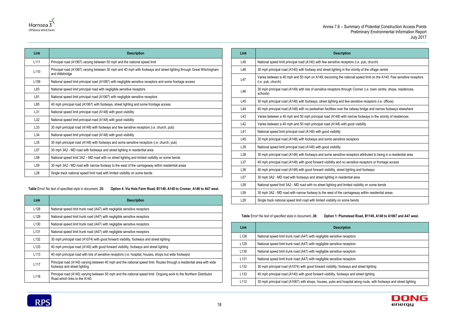



| Link             | <b>Description</b>                                                                                                                      |  |
|------------------|-----------------------------------------------------------------------------------------------------------------------------------------|--|
| L111             | Principal road (A1067) varying between 50 mph and the national speed limit                                                              |  |
| L <sub>110</sub> | Principal road (A1067) varying between 30 mph and 40 mph with footways and street lighting through Great Witchingham<br>and Attlebridge |  |
| L <sub>109</sub> | National speed limit principal road (A1067) with negligible sensitive receptors and some frontage access                                |  |
| L83              | National speed limit principal road with negligible sensitive receptors                                                                 |  |
| L81              | National speed limit principal road (A1067) with negligible sensitive receptors                                                         |  |
| L85              | 40 mph principal road (A1067) with footways, street lighting and some frontage access                                                   |  |
| L31              | National speed limit principal road (A148) with good visibility                                                                         |  |
| L32              | National speed limit principal road (A148) with good visibility                                                                         |  |
| L33              | 30 mph principal road (A148) with footways and few sensitive receptors (i.e. church, pub)                                               |  |
| L34              | National speed limit principal road (A148) with good visibility                                                                         |  |
| L35              | 30 mph principal road (A148) with footways and some sensitive receptors (i.e. church, pub)                                              |  |

| LJ4 | National speed limit principal road (A140) with good visibility                                  |
|-----|--------------------------------------------------------------------------------------------------|
| L35 | 30 mph principal road (A148) with footways and some sensitive receptors (i.e. church, pub)       |
| L57 | 30 mph 3A2 - MD road with footways and street lighting in residential area                       |
| L58 | National speed limit 3A2 - MD road with no street lighting and limited visibility on some bends  |
| L59 | 30 mph 3A2 - MD road with narrow footway to the west of the carriageway within residential areas |
| L28 | Single track national speed limit road with limited visibility on some bends                     |

<span id="page-21-0"></span>**Table** Error! No text of specified style in document.**.35: Option 4: Via Hole Farm Road, B1149, A148 to Cromer, A140 to A47 west.**

| Link             | <b>Description</b>                                                                                                                                     |
|------------------|--------------------------------------------------------------------------------------------------------------------------------------------------------|
| L128             | National speed limit trunk road (A47) with negligible sensitive receptors                                                                              |
| L129             | National speed limit trunk road (A47) with negligible sensitive receptors                                                                              |
| L130             | National speed limit trunk road (A47) with negligible sensitive receptors                                                                              |
| L <sub>131</sub> | National speed limit trunk road (A47) with negligible sensitive receptors                                                                              |
| L132             | 30 mph principal road (A1074) with good forward visibility, footways and street lighting                                                               |
| L <sub>133</sub> | 40 mph principal road (A140) with good forward visibility, footways and street lighting                                                                |
| L113             | 40 mph principal road with lots of sensitive receptors (i.e. hospital, houses, shops but wide footways)                                                |
| L <sub>117</sub> | Principal road (A140) varying between 40 mph and the national speed limit. Routes through a residential area with wide<br>footways and street lighting |
| L118             | Principal road (A140) varying between 50 mph and the national speed limit. Ongoing work to the Northern Distributor<br>Road which links to the A140.   |

| Link            | <b>Description</b>                                                                                                                       |
|-----------------|------------------------------------------------------------------------------------------------------------------------------------------|
| L49             | National speed limit principal road (A140) with few sensitive receptors (i.e. pub, church)                                               |
| L48             | 30 mph principal road (A140) with footway and street lighting in the vicinity of the village centre                                      |
| L47             | Varies between a 40 mph and 50 mph on A149, becoming the national speed limit on the A140. Few sensitive receptors<br>(i.e. pub, church) |
| L46             | 30 mph principal road (A149) with lots of sensitive receptors through Cromer (i.e. town centre, shops, residences,<br>schools)           |
| L45             | 30 mph principal road (A148) with footways, street lighting and few sensitive receptors (i.e. offices)                                   |
| L44             | 40 mph principal road (A148) with no pedestrian facilities over the railway bridge and narrow footways elsewhere                         |
| L43             | Varies between a 40 mph and 50 mph principal road (A148) with narrow footways in the vicinity of residences                              |
| L42             | Varies between a 40 mph and 50 mph principal road (A148) with good visibility                                                            |
| L41             | National speed limit principal road (A148) with good visibility                                                                          |
| L40             | 30 mph principal road (A148) with footways and some sensitive receptors                                                                  |
| L39             | National speed limit principal road (A148) with good visibility                                                                          |
| L38             | 30 mph principal road (A148) with footways and some sensitive receptors attributed to being in a residential area                        |
| L37             | 40 mph principal road (A148) with good forward visibility and no sensitive receptors or frontage access                                  |
| L36             | 40 mph principal road (A148) with good forward visibility, street lighting and footways                                                  |
| L57             | 30 mph 3A2 - MD road with footways and street lighting in residential area                                                               |
| L <sub>58</sub> | National speed limit 3A2 - MD road with no street lighting and limited visibility on some bends                                          |
| L <sub>59</sub> | 30 mph 3A2 - MD road with narrow footway to the west of the carriageway within residential areas                                         |
| L <sub>28</sub> | Single track national speed limit road with limited visibility on some bends                                                             |

<span id="page-21-1"></span>**Table** Error! No text of specified style in document.**.36: Option 1: Plumstead Road, B1149, A148 to A1067 and A47 west.**

| Link             | <b>Description</b>                                                                                                 |
|------------------|--------------------------------------------------------------------------------------------------------------------|
| L <sub>128</sub> | National speed limit trunk road (A47) with negligible sensitive receptors                                          |
| L <sub>129</sub> | National speed limit trunk road (A47) with negligible sensitive receptors                                          |
| L <sub>130</sub> | National speed limit trunk road (A47) with negligible sensitive receptors                                          |
| L <sub>131</sub> | National speed limit trunk road (A47) with negligible sensitive receptors                                          |
| L <sub>132</sub> | 30 mph principal road (A1074) with good forward visibility, footways and street lighting                           |
| L <sub>133</sub> | 40 mph principal road (A140) with good forward visibility, footways and street lighting                            |
| L <sub>112</sub> | 30 mph principal road (A1067) with shops, houses, pubs and hospital along route, with footways and street lighting |

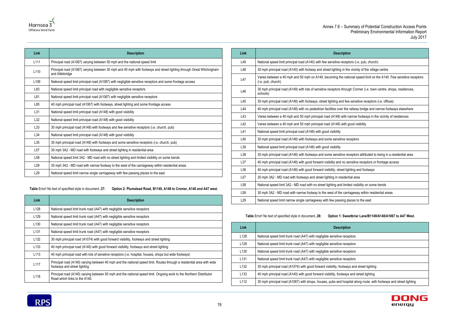



| Link             | <b>Description</b>                                                                                                                      |
|------------------|-----------------------------------------------------------------------------------------------------------------------------------------|
| L <sub>111</sub> | Principal road (A1067) varying between 50 mph and the national speed limit                                                              |
| L <sub>110</sub> | Principal road (A1067) varying between 30 mph and 40 mph with footways and street lighting through Great Witchingham<br>and Attlebridge |
| L <sub>109</sub> | National speed limit principal road (A1067) with negligible sensitive receptors and some frontage access                                |
| L83              | National speed limit principal road with negligible sensitive receptors                                                                 |
| L81              | National speed limit principal road (A1067) with negligible sensitive receptors                                                         |
| L85              | 40 mph principal road (A1067) with footways, street lighting and some frontage access                                                   |
| L31              | National speed limit principal road (A148) with good visibility                                                                         |
| L32              | National speed limit principal road (A148) with good visibility                                                                         |
| L33              | 30 mph principal road (A148) with footways and few sensitive receptors (i.e. church, pub)                                               |
| L34              | National speed limit principal road (A148) with good visibility                                                                         |
| L35              | 30 mph principal road (A148) with footways and some sensitive receptors (i.e. church, pub)                                              |
| L57              | 30 mph 3A2 - MD road with footways and street lighting in residential area                                                              |
| L <sub>58</sub>  | National speed limit 3A2 - MD road with no street lighting and limited visibility on some bends                                         |
| L <sub>59</sub>  | 30 mph 3A2 - MD road with narrow footway to the west of the carriageway within residential areas                                        |

<span id="page-22-0"></span>**Table** Error! No text of specified style in document.**.37: Option 2: Plumstead Road, B1149, A148 to Cromer, A140 and A47 west.**

L29 | National speed limit narrow single carriageway with few passing places to the east

| Link             | <b>Description</b>                                                                                                                                     |
|------------------|--------------------------------------------------------------------------------------------------------------------------------------------------------|
| L <sub>128</sub> | National speed limit trunk road (A47) with negligible sensitive receptors                                                                              |
| L <sub>129</sub> | National speed limit trunk road (A47) with negligible sensitive receptors                                                                              |
| L <sub>130</sub> | National speed limit trunk road (A47) with negligible sensitive receptors                                                                              |
| L <sub>131</sub> | National speed limit trunk road (A47) with negligible sensitive receptors                                                                              |
| L <sub>132</sub> | 30 mph principal road (A1074) with good forward visibility, footways and street lighting                                                               |
| L <sub>133</sub> | 40 mph principal road (A140) with good forward visibility, footways and street lighting                                                                |
| L <sub>113</sub> | 40 mph principal road with lots of sensitive receptors (i.e. hospital, houses, shops but wide footways)                                                |
| L117             | Principal road (A140) varying between 40 mph and the national speed limit. Routes through a residential area with wide<br>footways and street lighting |
| L118             | Principal road (A140) varying between 50 mph and the national speed limit. Ongoing work to the Northern Distributor<br>Road which links to the A140.   |

| Link            | <b>Description</b>                                                                                                                       |
|-----------------|------------------------------------------------------------------------------------------------------------------------------------------|
| L49             | National speed limit principal road (A140) with few sensitive receptors (i.e. pub, church)                                               |
| L48             | 30 mph principal road (A140) with footway and street lighting in the vicinity of the village centre                                      |
| L47             | Varies between a 40 mph and 50 mph on A149, becoming the national speed limit on the A140. Few sensitive receptors<br>(i.e. pub, church) |
| L46             | 30 mph principal road (A149) with lots of sensitive receptors through Cromer (i.e. town centre, shops, residences,<br>schools)           |
| L45             | 30 mph principal road (A148) with footways, street lighting and few sensitive receptors (i.e. offices)                                   |
| L44             | 40 mph principal road (A148) with no pedestrian facilities over the railway bridge and narrow footways elsewhere                         |
| L43             | Varies between a 40 mph and 50 mph principal road (A148) with narrow footways in the vicinity of residences                              |
| L42             | Varies between a 40 mph and 50 mph principal road (A148) with good visibility                                                            |
| L41             | National speed limit principal road (A148) with good visibility                                                                          |
| L40             | 30 mph principal road (A148) with footways and some sensitive receptors                                                                  |
| L39             | National speed limit principal road (A148) with good visibility                                                                          |
| L38             | 30 mph principal road (A148) with footways and some sensitive receptors attributed to being in a residential area                        |
| L37             | 40 mph principal road (A148) with good forward visibility and no sensitive receptors or frontage access                                  |
| L36             | 40 mph principal road (A148) with good forward visibility, street lighting and footways                                                  |
| L57             | 30 mph 3A2 - MD road with footways and street lighting in residential area                                                               |
| L <sub>58</sub> | National speed limit 3A2 - MD road with no street lighting and limited visibility on some bends                                          |
| L <sub>59</sub> | 30 mph 3A2 - MD road with narrow footway to the west of the carriageway within residential areas                                         |
| L <sub>29</sub> | National speed limit narrow single carriageway with few passing places to the east                                                       |

**Table** Error! No text of specified style in document.**.38: Option 1: Sweetbriar Lane/B1149/A148/A1067 to A47 West.**

<span id="page-22-1"></span>

| Link             | <b>Description</b>                                                                                                 |
|------------------|--------------------------------------------------------------------------------------------------------------------|
| L <sub>128</sub> | National speed limit trunk road (A47) with negligible sensitive receptors                                          |
| L <sub>129</sub> | National speed limit trunk road (A47) with negligible sensitive receptors                                          |
| L <sub>130</sub> | National speed limit trunk road (A47) with negligible sensitive receptors                                          |
| L <sub>131</sub> | National speed limit trunk road (A47) with negligible sensitive receptors                                          |
| L <sub>132</sub> | 30 mph principal road (A1074) with good forward visibility, footways and street lighting                           |
| L <sub>133</sub> | 40 mph principal road (A140) with good forward visibility, footways and street lighting                            |
| L112             | 30 mph principal road (A1067) with shops, houses, pubs and hospital along route, with footways and street lighting |

**RPS**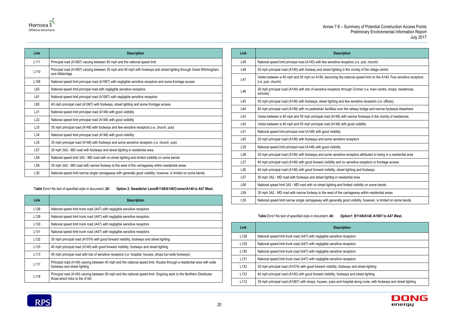



| Link |                                                 |
|------|-------------------------------------------------|
| L49  | National speed limit principal road (A140) with |

| <b>Link</b>      | <b>Description</b>                                                                                                                      |
|------------------|-----------------------------------------------------------------------------------------------------------------------------------------|
| L111             | Principal road (A1067) varying between 50 mph and the national speed limit                                                              |
| L110             | Principal road (A1067) varying between 30 mph and 40 mph with footways and street lighting through Great Witchingham<br>and Attlebridge |
| L <sub>109</sub> | National speed limit principal road (A1067) with negligible sensitive receptors and some frontage access                                |
| L83              | National speed limit principal road with negligible sensitive receptors                                                                 |
| L81              | National speed limit principal road (A1067) with negligible sensitive receptors                                                         |
| L85              | 40 mph principal road (A1067) with footways, street lighting and some frontage access                                                   |
| L31              | National speed limit principal road (A148) with good visibility                                                                         |
| L32              | National speed limit principal road (A148) with good visibility                                                                         |
| L33              | 30 mph principal road (A148) with footways and few sensitive receptors (i.e. church, pub)                                               |
| L34              | National speed limit principal road (A148) with good visibility                                                                         |
| L35              | 30 mph principal road (A148) with footways and some sensitive receptors (i.e. church, pub)                                              |
| L57              | 30 mph 3A2 - MD road with footways and street lighting in residential area                                                              |
| L <sub>58</sub>  | National speed limit 3A2 - MD road with no street lighting and limited visibility on some bends                                         |
| L <sub>59</sub>  | 30 mph 3A2 - MD road with narrow footway to the west of the carriageway within residential areas                                        |
| L30              | National speed limit narrow single carriageway with generally good visibility; however, is limited on some bends                        |

<span id="page-23-0"></span>**Table** Error! No text of specified style in document.**.39: Option 2: Sweetbriar Lane/B1149/A148/Cromer/A140 to A47 West.**

| Link             | <b>Description</b>                                                                                                                                     |
|------------------|--------------------------------------------------------------------------------------------------------------------------------------------------------|
| L128             | National speed limit trunk road (A47) with negligible sensitive receptors                                                                              |
| L <sub>129</sub> | National speed limit trunk road (A47) with negligible sensitive receptors                                                                              |
| L <sub>130</sub> | National speed limit trunk road (A47) with negligible sensitive receptors                                                                              |
| L <sub>131</sub> | National speed limit trunk road (A47) with negligible sensitive receptors                                                                              |
| L132             | 30 mph principal road (A1074) with good forward visibility, footways and street lighting                                                               |
| L <sub>133</sub> | 40 mph principal road (A140) with good forward visibility, footways and street lighting                                                                |
| L113             | 40 mph principal road with lots of sensitive receptors (i.e. hospital, houses, shops but wide footways)                                                |
| L <sub>117</sub> | Principal road (A140) varying between 40 mph and the national speed limit. Routes through a residential area with wide<br>footways and street lighting |
| L118             | Principal road (A140) varying between 50 mph and the national speed limit. Ongoing work to the Northern Distributor<br>Road which links to the A140.   |

| Link            | <b>Description</b>                                                                                                                       |
|-----------------|------------------------------------------------------------------------------------------------------------------------------------------|
| L49             | National speed limit principal road (A140) with few sensitive receptors (i.e. pub, church)                                               |
| L48             | 30 mph principal road (A140) with footway and street lighting in the vicinity of the village centre                                      |
| L47             | Varies between a 40 mph and 50 mph on A149, becoming the national speed limit on the A140. Few sensitive receptors<br>(i.e. pub, church) |
| L46             | 30 mph principal road (A149) with lots of sensitive receptors through Cromer (i.e. town centre, shops, residences,<br>schools)           |
| L45             | 30 mph principal road (A148) with footways, street lighting and few sensitive receptors (i.e. offices)                                   |
| L44             | 40 mph principal road (A148) with no pedestrian facilities over the railway bridge and narrow footways elsewhere                         |
| L43             | Varies between a 40 mph and 50 mph principal road (A148) with narrow footways in the vicinity of residences                              |
| L42             | Varies between a 40 mph and 50 mph principal road (A148) with good visibility                                                            |
| L41             | National speed limit principal road (A148) with good visibility                                                                          |
| L40             | 30 mph principal road (A148) with footways and some sensitive receptors                                                                  |
| L39             | National speed limit principal road (A148) with good visibility                                                                          |
| L38             | 30 mph principal road (A148) with footways and some sensitive receptors attributed to being in a residential area                        |
| L37             | 40 mph principal road (A148) with good forward visibility and no sensitive receptors or frontage access                                  |
| L36             | 40 mph principal road (A148) with good forward visibility, street lighting and footways                                                  |
| L57             | 30 mph 3A2 - MD road with footways and street lighting in residential area                                                               |
| L <sub>58</sub> | National speed limit 3A2 - MD road with no street lighting and limited visibility on some bends                                          |
| L <sub>59</sub> | 30 mph 3A2 - MD road with narrow footway to the west of the carriageway within residential areas                                         |
| L30             | National speed limit narrow single carriageway with generally good visibility; however, is limited on some bends                         |

**Table** Error! No text of specified style in document.**.40: Option1: B1149/A148 /A1067 to A47 West.**

<span id="page-23-1"></span>

| Link             | <b>Description</b>                                                                                                 |
|------------------|--------------------------------------------------------------------------------------------------------------------|
| L128             | National speed limit trunk road (A47) with negligible sensitive receptors                                          |
| L129             | National speed limit trunk road (A47) with negligible sensitive receptors                                          |
| L <sub>130</sub> | National speed limit trunk road (A47) with negligible sensitive receptors                                          |
| L <sub>131</sub> | National speed limit trunk road (A47) with negligible sensitive receptors                                          |
| L132             | 30 mph principal road (A1074) with good forward visibility, footways and street lighting                           |
| L <sub>133</sub> | 40 mph principal road (A140) with good forward visibility, footways and street lighting                            |
| L <sub>112</sub> | 30 mph principal road (A1067) with shops, houses, pubs and hospital along route, with footways and street lighting |

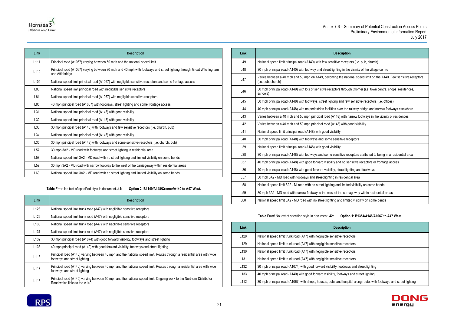



| Link             | <b>Description</b>                                                                                                                      |
|------------------|-----------------------------------------------------------------------------------------------------------------------------------------|
| L <sub>111</sub> | Principal road (A1067) varying between 50 mph and the national speed limit                                                              |
| L <sub>110</sub> | Principal road (A1067) varying between 30 mph and 40 mph with footways and street lighting through Great Witchingham<br>and Attlebridge |
| L <sub>109</sub> | National speed limit principal road (A1067) with negligible sensitive receptors and some frontage access                                |
| L83              | National speed limit principal road with negligible sensitive receptors                                                                 |
| L81              | National speed limit principal road (A1067) with negligible sensitive receptors                                                         |
| L85              | 40 mph principal road (A1067) with footways, street lighting and some frontage access                                                   |
| L31              | National speed limit principal road (A148) with good visibility                                                                         |
| L32              | National speed limit principal road (A148) with good visibility                                                                         |
| L33              | 30 mph principal road (A148) with footways and few sensitive receptors (i.e. church, pub)                                               |
| L34              | National speed limit principal road (A148) with good visibility                                                                         |
| L35              | 30 mph principal road (A148) with footways and some sensitive receptors (i.e. church, pub)                                              |
| L57              | 30 mph 3A2 - MD road with footways and street lighting in residential area                                                              |
| L <sub>58</sub>  | National speed limit 3A2 - MD road with no street lighting and limited visibility on some bends                                         |

| LU L | 30 THRIT 3AZ - MID TOdd WILL TOOLWAYS AND SILEEL IIGHTING IN FESIOENIJAL AFEA                    |
|------|--------------------------------------------------------------------------------------------------|
| -58  | National speed limit 3A2 - MD road with no street lighting and limited visibility on some bends  |
| ۔59∟ | 30 mph 3A2 - MD road with narrow footway to the west of the carriageway within residential areas |
| -60  | National speed limit 3A2 - MD road with no street lighting and limited visibility on some bends  |

**Table** Error! No text of specified style in document.**.41: Option 2: B1149/A148/Cromer/A140 to A47 West.**

<span id="page-24-0"></span>

| Link             | <b>Description</b>                                                                                                                                     |
|------------------|--------------------------------------------------------------------------------------------------------------------------------------------------------|
| L <sub>128</sub> | National speed limit trunk road (A47) with negligible sensitive receptors                                                                              |
| L <sub>129</sub> | National speed limit trunk road (A47) with negligible sensitive receptors                                                                              |
| L <sub>130</sub> | National speed limit trunk road (A47) with negligible sensitive receptors                                                                              |
| L <sub>131</sub> | National speed limit trunk road (A47) with negligible sensitive receptors                                                                              |
| L <sub>132</sub> | 30 mph principal road (A1074) with good forward visibility, footways and street lighting                                                               |
| L <sub>133</sub> | 40 mph principal road (A140) with good forward visibility, footways and street lighting                                                                |
| L113             | Principal road (A140) varying between 40 mph and the national speed limit. Routes through a residential area with wide<br>footways and street lighting |
| L <sub>117</sub> | Principal road (A140) varying between 40 mph and the national speed limit. Routes through a residential area with wide<br>footways and street lighting |
| L <sub>118</sub> | Principal road (A140) varying between 50 mph and the national speed limit. Ongoing work to the Northern Distributor<br>Road which links to the A140.   |

| Link            | <b>Description</b>                                                                                                                       |
|-----------------|------------------------------------------------------------------------------------------------------------------------------------------|
| L49             | National speed limit principal road (A140) with few sensitive receptors (i.e. pub, church)                                               |
| L48             | 30 mph principal road (A140) with footway and street lighting in the vicinity of the village centre                                      |
| L47             | Varies between a 40 mph and 50 mph on A149, becoming the national speed limit on the A140. Few sensitive receptors<br>(i.e. pub, church) |
| L46             | 30 mph principal road (A149) with lots of sensitive receptors through Cromer (i.e. town centre, shops, residences,<br>schools)           |
| L45             | 30 mph principal road (A148) with footways, street lighting and few sensitive receptors (i.e. offices)                                   |
| L44             | 40 mph principal road (A148) with no pedestrian facilities over the railway bridge and narrow footways elsewhere                         |
| L43             | Varies between a 40 mph and 50 mph principal road (A148) with narrow footways in the vicinity of residences                              |
| L42             | Varies between a 40 mph and 50 mph principal road (A148) with good visibility                                                            |
| L41             | National speed limit principal road (A148) with good visibility                                                                          |
| L40             | 30 mph principal road (A148) with footways and some sensitive receptors                                                                  |
| L39             | National speed limit principal road (A148) with good visibility                                                                          |
| L38             | 30 mph principal road (A148) with footways and some sensitive receptors attributed to being in a residential area                        |
| L37             | 40 mph principal road (A148) with good forward visibility and no sensitive receptors or frontage access                                  |
| L36             | 40 mph principal road (A148) with good forward visibility, street lighting and footways                                                  |
| L57             | 30 mph 3A2 - MD road with footways and street lighting in residential area                                                               |
| L <sub>58</sub> | National speed limit 3A2 - M' road with no street lighting and limited visibility on some bends                                          |
| L <sub>59</sub> | 30 mph 3A2 - MD road with narrow footway to the west of the carriageway within residential areas                                         |
| L60             | National speed limit 3A2 - MD road with no street lighting and limited visibility on some bends                                          |

### **Table** Error! No text of specified style in document.**.42: Option 1: B1354/A148/A1067 to A47 West.**

<span id="page-24-1"></span>

| Link             | <b>Description</b>                                                                                                 |
|------------------|--------------------------------------------------------------------------------------------------------------------|
| L128             | National speed limit trunk road (A47) with negligible sensitive receptors                                          |
| L <sub>129</sub> | National speed limit trunk road (A47) with negligible sensitive receptors                                          |
| L <sub>130</sub> | National speed limit trunk road (A47) with negligible sensitive receptors                                          |
| L <sub>131</sub> | National speed limit trunk road (A47) with negligible sensitive receptors                                          |
| L <sub>132</sub> | 30 mph principal road (A1074) with good forward visibility, footways and street lighting                           |
| L <sub>133</sub> | 40 mph principal road (A140) with good forward visibility, footways and street lighting                            |
| L <sub>112</sub> | 30 mph principal road (A1067) with shops, houses, pubs and hospital along route, with footways and street lighting |

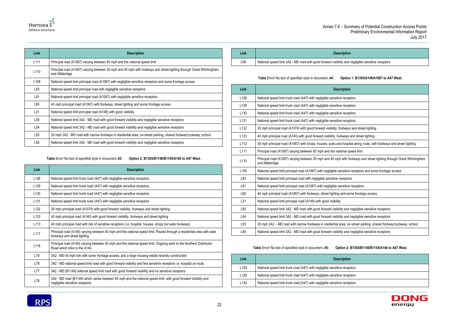and negligible sensitive receptors





| Link             | <b>Description</b>                                                                                                                      |
|------------------|-----------------------------------------------------------------------------------------------------------------------------------------|
| L <sub>111</sub> | Principal road (A1067) varying between 50 mph and the national speed limit                                                              |
| L <sub>110</sub> | Principal road (A1067) varying between 30 mph and 40 mph with footways and street lighting through Great Witchingham<br>and Attlebridge |
| L <sub>109</sub> | National speed limit principal road (A1067) with negligible sensitive receptors and some frontage access                                |
| L83              | National speed limit principal road with negligible sensitive receptors                                                                 |
| L81              | National speed limit principal road (A1067) with negligible sensitive receptors                                                         |
| L85              | 40 mph principal road (A1067) with footways, street lighting and some frontage access                                                   |
| L31              | National speed limit principal road (A148) with good visibility                                                                         |
| L50              | National speed limit 3A2 - MD road with good forward visibility and negligible sensitive receptors                                      |
| L54              | National speed limit 3A2 - MD road with good forward visibility and negligible sensitive receptors                                      |
| L <sub>55</sub>  | 30 mph 3A2 - MD road with narrow footways in residential area, on-street parking, shared footway/cycleway, school                       |
| L <sub>56</sub>  | National speed limit 3A2 - MD road with good forward visibility and negligible sensitive receptors                                      |

**Table** Error! No text of specified style in document.**.43: Option 2: B1354/B1149/B1145/A140 to A47 West.**

<span id="page-25-0"></span>

| Link             | <b>Description</b>                                                                                                                                     |
|------------------|--------------------------------------------------------------------------------------------------------------------------------------------------------|
| L <sub>128</sub> | National speed limit trunk road (A47) with negligible sensitive receptors                                                                              |
| L <sub>129</sub> | National speed limit trunk road (A47) with negligible sensitive receptors                                                                              |
| L <sub>130</sub> | National speed limit trunk road (A47) with negligible sensitive receptors                                                                              |
| L <sub>131</sub> | National speed limit trunk road (A47) with negligible sensitive receptors                                                                              |
| L <sub>132</sub> | 30 mph principal road (A1074) with good forward visibility, footways and street lighting                                                               |
| L <sub>133</sub> | 40 mph principal road (A140) with good forward visibility, footways and street lighting                                                                |
| L113             | 40 mph principal road with lots of sensitive receptors (i.e. hospital, houses, shops but wide footways)                                                |
| L117             | Principal road (A140) varying between 40 mph and the national speed limit. Routes through a residential area with wide<br>footways and street lighting |
| L118             | Principal road (A140) varying between 50 mph and the national speed limit. Ongoing work to the Northern Distributor<br>Road which links to the A140.   |
| L79              | 3A2 - MD 40 mph link with some frontage access, and a large housing estate recently constructed                                                        |
| L78              | 3A2 - MD national speed limit road with good forward visibility and few sensitive receptors i.e. hospital on route                                     |
| L77              | 3A2 - MD (B1149) national speed limit road with good forward visibility and no sensitive receptors                                                     |
| L76              | 3A2 - MD road (B1149) which varies between 50 mph and the national speed limit, with good forward visibility and<br>negligible sensitive receptors     |

| Link | <b>Description</b>                                                    |
|------|-----------------------------------------------------------------------|
| L56  | National speed limit 3A2 - MD road with good forward visibility and a |

# **Table** Error! No text of specified style in document.**.44: Option 1: B1354/A148/A1067 to A47 West.**

<span id="page-25-1"></span>

| Link             | <b>Description</b>                                                                                                                      |
|------------------|-----------------------------------------------------------------------------------------------------------------------------------------|
| L128             | National speed limit trunk road (A47) with negligible sensitive receptors                                                               |
| L129             | National speed limit trunk road (A47) with negligible sensitive receptors                                                               |
| L <sub>130</sub> | National speed limit trunk road (A47) with negligible sensitive receptors                                                               |
| L <sub>131</sub> | National speed limit trunk road (A47) with negligible sensitive receptors                                                               |
| L132             | 30 mph principal road (A1074) with good forward visibility, footways and street lighting                                                |
| L <sub>133</sub> | 40 mph principal road (A140) with good forward visibility, footways and street lighting                                                 |
| L112             | 30 mph principal road (A1067) with shops, houses, pubs and hospital along route, with footways and street lighting                      |
| L <sub>111</sub> | Principal road (A1067) varying between 50 mph and the national speed limit                                                              |
| L110             | Principal road (A1067) varying between 30 mph and 40 mph with footways and street lighting through Great Witchingham<br>and Attlebridge |
| L <sub>109</sub> | National speed limit principal road (A1067) with negligible sensitive receptors and some frontage access                                |
| L83              | National speed limit principal road with negligible sensitive receptors                                                                 |
| L81              | National speed limit principal road (A1067) with negligible sensitive receptors                                                         |
| L85              | 40 mph principal road (A1067) with footways, street lighting and some frontage access                                                   |
| L31              | National speed limit principal road (A148) with good visibility                                                                         |
| L <sub>50</sub>  | National speed limit 3A2 - MD road with good forward visibility and negligible sensitive receptors                                      |
| L <sub>54</sub>  | National speed limit 3A2 - MD road with good forward visibility and negligible sensitive receptors                                      |
| L <sub>55</sub>  | 30 mph 3A2 - MD road with narrow footways in residential area, on-street parking, shared footway/cycleway, school                       |
| L <sub>56</sub>  | National speed limit 3A2 - MD road with good forward visibility and negligible sensitive receptors                                      |
|                  |                                                                                                                                         |

### **Table** Error! No text of specified style in document.**.45: Option 2: B1354/B1149/B1145/A140 to A47 West.**

<span id="page-25-2"></span>

| Link | <b>Description</b>                                                        |
|------|---------------------------------------------------------------------------|
| L128 | National speed limit trunk road (A47) with negligible sensitive receptors |
| L129 | National speed limit trunk road (A47) with negligible sensitive receptors |
| L130 | National speed limit trunk road (A47) with negligible sensitive receptors |

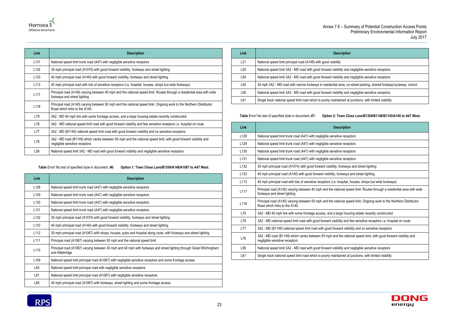and negligible sensitive receptors

and negligible sensitive receptors

a, on-street parking, shared footway/cycleway, school

and negligible sensitive receptors

ed at junctions, with limited visibility





| Link             | <b>Description</b>                                                                                                                                     |
|------------------|--------------------------------------------------------------------------------------------------------------------------------------------------------|
| L <sub>131</sub> | National speed limit trunk road (A47) with negligible sensitive receptors                                                                              |
| L <sub>132</sub> | 30 mph principal road (A1074) with good forward visibility, footways and street lighting                                                               |
| L <sub>133</sub> | 40 mph principal road (A140) with good forward visibility, footways and street lighting                                                                |
| L <sub>113</sub> | 40 mph principal road with lots of sensitive receptors (i.e. hospital, houses, shops but wide footways)                                                |
| L117             | Principal road (A140) varying between 40 mph and the national speed limit. Routes through a residential area with wide<br>footways and street lighting |
| L118             | Principal road (A140) varying between 50 mph and the national speed limit. Ongoing work to the Northern Distributor<br>Road which links to the A140.   |
| L79              | 3A2 - MD 40 mph link with some frontage access, and a large housing estate recently constructed                                                        |
| L78              | 3A2 - MD national speed limit road with good forward visibility and few sensitive receptors i.e. hospital on route                                     |
| L77              | 3A2 - MD (B1149) national speed limit road with good forward visibility and no sensitive receptors                                                     |
| L76              | 3A2 - MD road (B1149) which varies between 50 mph and the national speed limit, with good forward visibility and<br>negligible sensitive receptors     |
| L <sub>56</sub>  | National speed limit 3A2 - MD road with good forward visibility and negligible sensitive receptors                                                     |

**Table** Error! No text of specified style in document.**.46: Option 1: Town Close Lane/B1354/A148/A1067 to A47 West.**

<span id="page-26-0"></span>

| Link             | <b>Description</b>                                                                                                                      |
|------------------|-----------------------------------------------------------------------------------------------------------------------------------------|
| L128             | National speed limit trunk road (A47) with negligible sensitive receptors                                                               |
| L <sub>129</sub> | National speed limit trunk road (A47) with negligible sensitive receptors                                                               |
| L <sub>130</sub> | National speed limit trunk road (A47) with negligible sensitive receptors                                                               |
| L <sub>131</sub> | National speed limit trunk road (A47) with negligible sensitive receptors                                                               |
| L <sub>132</sub> | 30 mph principal road (A1074) with good forward visibility, footways and street lighting                                                |
| L <sub>133</sub> | 40 mph principal road (A140) with good forward visibility, footways and street lighting                                                 |
| L <sub>112</sub> | 30 mph principal road (A1067) with shops, houses, pubs and hospital along route, with footways and street lighting                      |
| L <sub>111</sub> | Principal road (A1067) varying between 50 mph and the national speed limit                                                              |
| L110             | Principal road (A1067) varying between 30 mph and 40 mph with footways and street lighting through Great Witchingham<br>and Attlebridge |
| L <sub>109</sub> | National speed limit principal road (A1067) with negligible sensitive receptors and some frontage access                                |
| L83              | National speed limit principal road with negligible sensitive receptors                                                                 |
| L81              | National speed limit principal road (A1067) with negligible sensitive receptors                                                         |
| L85              | 40 mph principal road (A1067) with footways, street lighting and some frontage access                                                   |

| Link            | <b>Description</b>                                                   |
|-----------------|----------------------------------------------------------------------|
| L31             | National speed limit principal road (A148) with good visibility      |
| L <sub>50</sub> | National speed limit 3A2 - MD road with good forward visibility and  |
| L <sub>54</sub> | National speed limit 3A2 - MD road with good forward visibility and  |
| L <sub>55</sub> | 30 mph 3A2 - MD road with narrow footways in residential area, on-   |
| L <sub>56</sub> | National speed limit 3A2 - MD road with good forward visibility and  |
| L61             | Single track national speed limit road which is poorly maintained at |
|                 |                                                                      |

<span id="page-26-1"></span>**Table** Error! No text of specified style in document.**.47: Option 2: Town Close Lane/B1354/B1149/B1145/A140 to A47 West.**

| Link             | <b>Description</b>                                                                                                                                     |
|------------------|--------------------------------------------------------------------------------------------------------------------------------------------------------|
| L <sub>128</sub> | National speed limit trunk road (A47) with negligible sensitive receptors                                                                              |
| L <sub>129</sub> | National speed limit trunk road (A47) with negligible sensitive receptors                                                                              |
| L <sub>130</sub> | National speed limit trunk road (A47) with negligible sensitive receptors                                                                              |
| L131             | National speed limit trunk road (A47) with negligible sensitive receptors                                                                              |
| L132             | 30 mph principal road (A1074) with good forward visibility, footways and street lighting                                                               |
| L <sub>133</sub> | 40 mph principal road (A140) with good forward visibility, footways and street lighting                                                                |
| L <sub>113</sub> | 40 mph principal road with lots of sensitive receptors (i.e. hospital, houses, shops but wide footways)                                                |
| L117             | Principal road (A140) varying between 40 mph and the national speed limit. Routes through a residential area with wide<br>footways and street lighting |
| L118             | Principal road (A140) varying between 50 mph and the national speed limit. Ongoing work to the Northern Distributor<br>Road which links to the A140.   |
| L79              | 3A2 - MD 40 mph link with some frontage access, and a large housing estate recently constructed                                                        |
| L78              | 3A2 - MD national speed limit road with good forward visibility and few sensitive receptors i.e. hospital on route                                     |
| L77              | 3A2 - MD (B1149) national speed limit road with good forward visibility and no sensitive receptors                                                     |
| L76              | 3A2 - MD road (B1149) which varies between 50 mph and the national speed limit, with good forward visibility and<br>negligible sensitive receptors     |
| L <sub>56</sub>  | National speed limit 3A2 - MD road with good forward visibility and negligible sensitive receptors                                                     |
| L61              | Single track national speed limit road which is poorly maintained at junctions, with limited visibility                                                |

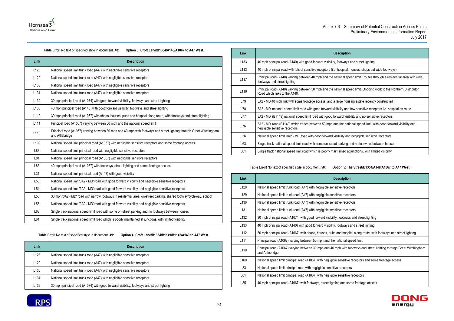



### **Table** Error! No text of specified style in document.**.48: Option 3: Croft Lane/B1354/A148/A1067 to A47 West.**

П

<span id="page-27-0"></span>

| Link             | <b>Description</b>                                                                                                                      |
|------------------|-----------------------------------------------------------------------------------------------------------------------------------------|
| L128             | National speed limit trunk road (A47) with negligible sensitive receptors                                                               |
| L <sub>129</sub> | National speed limit trunk road (A47) with negligible sensitive receptors                                                               |
| L <sub>130</sub> | National speed limit trunk road (A47) with negligible sensitive receptors                                                               |
| L <sub>131</sub> | National speed limit trunk road (A47) with negligible sensitive receptors                                                               |
| L <sub>132</sub> | 30 mph principal road (A1074) with good forward visibility, footways and street lighting                                                |
| L <sub>133</sub> | 40 mph principal road (A140) with good forward visibility, footways and street lighting                                                 |
| L112             | 30 mph principal road (A1067) with shops, houses, pubs and hospital along route, with footways and street lighting                      |
| L <sub>111</sub> | Principal road (A1067) varying between 50 mph and the national speed limit                                                              |
| L110             | Principal road (A1067) varying between 30 mph and 40 mph with footways and street lighting through Great Witchingham<br>and Attlebridge |
| L <sub>109</sub> | National speed limit principal road (A1067) with negligible sensitive receptors and some frontage access                                |
| L83              | National speed limit principal road with negligible sensitive receptors                                                                 |
| L81              | National speed limit principal road (A1067) with negligible sensitive receptors                                                         |
| L85              | 40 mph principal road (A1067) with footways, street lighting and some frontage access                                                   |
| L31              | National speed limit principal road (A148) with good visibility                                                                         |
| L <sub>50</sub>  | National speed limit '3A2 - MD' road with good forward visibility and negligible sensitive receptors                                    |
| L54              | National speed limit '3A2 - MD' road with good forward visibility and negligible sensitive receptors                                    |
| L <sub>55</sub>  | 30 mph '3A2 - MD' road with narrow footways in residential area, on-street parking, shared footway/cycleway, school                     |
| L <sub>56</sub>  | National speed limit '3A2 - MD' road with good forward visibility and negligible sensitive receptors                                    |
| L63              | Single track national speed limit road with some on-street parking and no footways between houses                                       |
| L61              | Single track national speed limit road which is poorly maintained at junctions, with limited visibility                                 |

### **Table** Error! No text of specified style in document.**.49: Option 4: Croft Lane/B1354/B1149/B1145/A140 to A47 West.**

<span id="page-27-1"></span>

| Link             | <b>Description</b>                                                                       |
|------------------|------------------------------------------------------------------------------------------|
| L128             | National speed limit trunk road (A47) with negligible sensitive receptors                |
| L129             | National speed limit trunk road (A47) with negligible sensitive receptors                |
| L <sub>130</sub> | National speed limit trunk road (A47) with negligible sensitive receptors                |
| L <sub>131</sub> | National speed limit trunk road (A47) with negligible sensitive receptors                |
| L132             | 30 mph principal road (A1074) with good forward visibility, footways and street lighting |



| Link             | <b>Description</b>                                                                                                                                     |
|------------------|--------------------------------------------------------------------------------------------------------------------------------------------------------|
| L <sub>133</sub> | 40 mph principal road (A140) with good forward visibility, footways and street lighting                                                                |
| L <sub>113</sub> | 40 mph principal road with lots of sensitive receptors (i.e. hospital, houses, shops but wide footways)                                                |
| L117             | Principal road (A140) varying between 40 mph and the national speed limit. Routes through a residential area with wide<br>footways and street lighting |
| L118             | Principal road (A140) varying between 50 mph and the national speed limit. Ongoing work to the Northern Distributor<br>Road which links to the A140.   |
| L79              | 3A2 - MD 40 mph link with some frontage access, and a large housing estate recently constructed                                                        |
| L78              | 3A2 - MD' national speed limit road with good forward visibility and few sensitive receptors i.e. hospital on route                                    |
| L77              | 3A2 - MD' (B1149) national speed limit road with good forward visibility and no sensitive receptors                                                    |
| L76              | 3A2 - MD' road (B1149) which varies between 50 mph and the national speed limit, with good forward visibility and<br>negligible sensitive receptors    |
| L <sub>56</sub>  | National speed limit '3A2 - MD' road with good forward visibility and negligible sensitive receptors                                                   |
| L63              | Single track national speed limit road with some on-street parking and no footways between houses                                                      |
| L61              | Single track national speed limit road which is poorly maintained at junctions, with limited visibility                                                |

### **Table** Error! No text of specified style in document.**.50: Option 5: The Street/B1354/A148/A1067 to A47 West.**

<span id="page-27-2"></span>

| Link             | <b>Description</b>                                                                                                                      |
|------------------|-----------------------------------------------------------------------------------------------------------------------------------------|
| L <sub>128</sub> | National speed limit trunk road (A47) with negligible sensitive receptors                                                               |
| L <sub>129</sub> | National speed limit trunk road (A47) with negligible sensitive receptors                                                               |
| L <sub>130</sub> | National speed limit trunk road (A47) with negligible sensitive receptors                                                               |
| L <sub>131</sub> | National speed limit trunk road (A47) with negligible sensitive receptors                                                               |
| L <sub>132</sub> | 30 mph principal road (A1074) with good forward visibility, footways and street lighting                                                |
| L <sub>133</sub> | 40 mph principal road (A140) with good forward visibility, footways and street lighting                                                 |
| L <sub>112</sub> | 30 mph principal road (A1067) with shops, houses, pubs and hospital along route, with footways and street lighting                      |
| L111             | Principal road (A1067) varying between 50 mph and the national speed limit                                                              |
| L110             | Principal road (A1067) varying between 30 mph and 40 mph with footways and street lighting through Great Witchingham<br>and Attlebridge |
| L <sub>109</sub> | National speed limit principal road (A1067) with negligible sensitive receptors and some frontage access                                |
| L83              | National speed limit principal road with negligible sensitive receptors                                                                 |
| L81              | National speed limit principal road (A1067) with negligible sensitive receptors                                                         |
| L85              | 40 mph principal road (A1067) with footways, street lighting and some frontage access                                                   |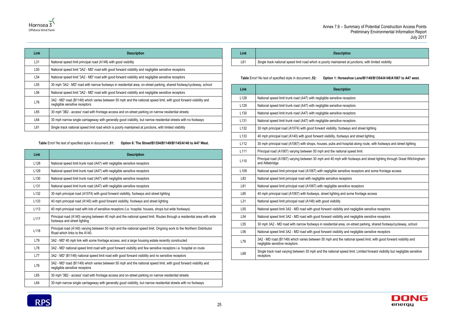d at junctions, with limited visibility



<span id="page-28-0"></span>**Link Description** L128 | National speed limit trunk road (A47) with negligible sensitive receptors L129 | National speed limit trunk road (A47) with negligible sensitive receptors L130 | National speed limit trunk road (A47) with negligible sensitive receptors L131 | National speed limit trunk road (A47) with negligible sensitive receptors L132 | 30 mph principal road (A1074) with good forward visibility, footways and street lighting L133 | 40 mph principal road (A140) with good forward visibility, footways and street lighting L113 | 40 mph principal road with lots of sensitive receptors (i.e. hospital, houses, shops but wide footways) **L117** Principal road (A140) varying between 40 mph and the national speed limit. Routes through a residential area with wide footways and street lighting **L118** Principal road (A140) varying between 50 mph and the national speed limit. Ongoing work to the Northern Distributor Road which links to the A140. L79 3A2 - MD' 40 mph link with some frontage access, and a large housing estate recently constructed L78 | 3A2 - MD' national speed limit road with good forward visibility and few sensitive receptors i.e. hospital on route L77 | 3A2 - MD' (B1149) national speed limit road with good forward visibility and no sensitive receptors L76 3A2 - MD' road (B1149) which varies between 50 mph and the national speed limit, with good forward visibility and negligible sensitive receptors L65 | 30 mph '3B2 - access' road with frontage access and on-street parking on narrow residential streets L64 30 mph narrow single carriageway with generally good visibility, but narrow residential streets with no footways



| Link            | <b>Description</b>                                                                                                                                  |
|-----------------|-----------------------------------------------------------------------------------------------------------------------------------------------------|
| L31             | National speed limit principal road (A148) with good visibility                                                                                     |
| L <sub>50</sub> | National speed limit '3A2 - MD' road with good forward visibility and negligible sensitive receptors                                                |
| L54             | National speed limit '3A2 - MD' road with good forward visibility and negligible sensitive receptors                                                |
| L <sub>55</sub> | 30 mph '3A2 - MD' road with narrow footways in residential area, on-street parking, shared footway/cycleway, school                                 |
| L56             | National speed limit '3A2 - MD' road with good forward visibility and negligible sensitive receptors                                                |
| L76             | 3A2 - MD' road (B1149) which varies between 50 mph and the national speed limit, with good forward visibility and<br>negligible sensitive receptors |
| L65             | 30 mph '3B2 - access' road with frontage access and on-street parking on narrow residential streets                                                 |
| L64             | 30 mph narrow single carriageway with generally good visibility, but narrow residential streets with no footways                                    |
| L61             | Single track national speed limit road which is poorly maintained at junctions, with limited visibility                                             |

**Table** Error! No text of specified style in document.**.51: Option 6: The Street/B1354/B1149/B1145/A140 to A47 West.**

| Link | <b>Description</b>                                                   |
|------|----------------------------------------------------------------------|
| L61  | Single track national speed limit road which is poorly maintained at |

<span id="page-28-1"></span>**Table** Error! No text of specified style in document.**.52: Option 1: Horseshoe Lane/B1149/B1354/A148/A1067 to A47 west.**

| <b>Description</b>                                                                                                                                 |
|----------------------------------------------------------------------------------------------------------------------------------------------------|
| National speed limit trunk road (A47) with negligible sensitive receptors                                                                          |
| National speed limit trunk road (A47) with negligible sensitive receptors                                                                          |
| National speed limit trunk road (A47) with negligible sensitive receptors                                                                          |
| National speed limit trunk road (A47) with negligible sensitive receptors                                                                          |
| 30 mph principal road (A1074) with good forward visibility, footways and street lighting                                                           |
| 40 mph principal road (A140) with good forward visibility, footways and street lighting                                                            |
| 30 mph principal road (A1067) with shops, houses, pubs and hospital along route, with footways and street lighting                                 |
| Principal road (A1067) varying between 50 mph and the national speed limit                                                                         |
| Principal road (A1067) varying between 30 mph and 40 mph with footways and street lighting through Great Witchingham<br>and Attlebridge            |
| National speed limit principal road (A1067) with negligible sensitive receptors and some frontage access                                           |
| National speed limit principal road with negligible sensitive receptors                                                                            |
| National speed limit principal road (A1067) with negligible sensitive receptors                                                                    |
| 40 mph principal road (A1067) with footways, street lighting and some frontage access                                                              |
| National speed limit principal road (A148) with good visibility                                                                                    |
| National speed limit 3A2 - MD road with good forward visibility and negligible sensitive receptors                                                 |
| National speed limit 3A2 - MD road with good forward visibility and negligible sensitive receptors                                                 |
| 30 mph 3A2 - MD road with narrow footways in residential area, on-street parking, shared footway/cycleway, school                                  |
| National speed limit 3A2 - MD road with good forward visibility and negligible sensitive receptors                                                 |
| 3A2 - MD road (B1149) which varies between 50 mph and the national speed limit, with good forward visibility and<br>negligible sensitive receptors |
| Single track road varying between 30 mph and the national speed limit. Limited forward visibility but negligible sensitive<br>receptors            |
|                                                                                                                                                    |

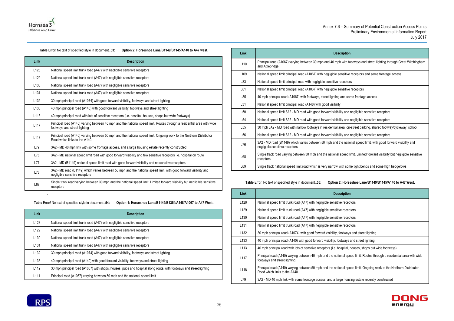



### **Table** Error! No text of specified style in document.**.53: Option 2: Horseshoe Lane/B1149/B1145/A140 to A47 west.**

<span id="page-29-0"></span>

| Link             | <b>Description</b>                                                                                                                                     |
|------------------|--------------------------------------------------------------------------------------------------------------------------------------------------------|
| L <sub>128</sub> | National speed limit trunk road (A47) with negligible sensitive receptors                                                                              |
| L <sub>129</sub> | National speed limit trunk road (A47) with negligible sensitive receptors                                                                              |
| L <sub>130</sub> | National speed limit trunk road (A47) with negligible sensitive receptors                                                                              |
| L <sub>131</sub> | National speed limit trunk road (A47) with negligible sensitive receptors                                                                              |
| L <sub>132</sub> | 30 mph principal road (A1074) with good forward visibility, footways and street lighting                                                               |
| L <sub>133</sub> | 40 mph principal road (A140) with good forward visibility, footways and street lighting                                                                |
| L113             | 40 mph principal road with lots of sensitive receptors (i.e. hospital, houses, shops but wide footways)                                                |
| L117             | Principal road (A140) varying between 40 mph and the national speed limit. Routes through a residential area with wide<br>footways and street lighting |
| L118             | Principal road (A140) varying between 50 mph and the national speed limit. Ongoing work to the Northern Distributor<br>Road which links to the A140.   |
| L79              | 3A2 - MD 40 mph link with some frontage access, and a large housing estate recently constructed                                                        |
| L78              | 3A2 - MD national speed limit road with good forward visibility and few sensitive receptors i.e. hospital on route                                     |
| L77              | 3A2 - MD (B1149) national speed limit road with good forward visibility and no sensitive receptors                                                     |
| L76              | 3A2 - MD road (B1149) which varies between 50 mph and the national speed limit, with good forward visibility and<br>negligible sensitive receptors     |
| L68              | Single track road varying between 30 mph and the national speed limit. Limited forward visibility but negligible sensitive<br>receptors                |

.

<span id="page-29-1"></span>**Table** Error! No text of specified style in document.**.54: Option 1: Horseshoe Lane/B1149/B1354/A148/A1067 to A47 West.**

| <b>Link</b>      | <b>Description</b>                                                                                                 |
|------------------|--------------------------------------------------------------------------------------------------------------------|
| L128             | National speed limit trunk road (A47) with negligible sensitive receptors                                          |
| L <sub>129</sub> | National speed limit trunk road (A47) with negligible sensitive receptors                                          |
| L <sub>130</sub> | National speed limit trunk road (A47) with negligible sensitive receptors                                          |
| L <sub>131</sub> | National speed limit trunk road (A47) with negligible sensitive receptors                                          |
| L <sub>132</sub> | 30 mph principal road (A1074) with good forward visibility, footways and street lighting                           |
| L <sub>133</sub> | 40 mph principal road (A140) with good forward visibility, footways and street lighting                            |
| L <sub>112</sub> | 30 mph principal road (A1067) with shops, houses, pubs and hospital along route, with footways and street lighting |
| L <sub>111</sub> | Principal road (A1067) varying between 50 mph and the national speed limit                                         |

| Link             | <b>Description</b>                                                                                                                                 |
|------------------|----------------------------------------------------------------------------------------------------------------------------------------------------|
| L <sub>110</sub> | Principal road (A1067) varying between 30 mph and 40 mph with footways and street lighting through Great Witchingham<br>and Attlebridge            |
| L <sub>109</sub> | National speed limit principal road (A1067) with negligible sensitive receptors and some frontage access                                           |
| L83              | National speed limit principal road with negligible sensitive receptors                                                                            |
| L81              | National speed limit principal road (A1067) with negligible sensitive receptors                                                                    |
| L85              | 40 mph principal road (A1067) with footways, street lighting and some frontage access                                                              |
| L31              | National speed limit principal road (A148) with good visibility                                                                                    |
| L <sub>50</sub>  | National speed limit 3A2 - MD road with good forward visibility and negligible sensitive receptors                                                 |
| L <sub>54</sub>  | National speed limit 3A2 - MD road with good forward visibility and negligible sensitive receptors                                                 |
| L55              | 30 mph 3A2 - MD road with narrow footways in residential area, on-street parking, shared footway/cycleway, school                                  |
| L <sub>56</sub>  | National speed limit 3A2 - MD road with good forward visibility and negligible sensitive receptors                                                 |
| L76              | 3A2 - MD road (B1149) which varies between 50 mph and the national speed limit, with good forward visibility and<br>negligible sensitive receptors |
| L68              | Single track road varying between 30 mph and the national speed limit. Limited forward visibility but negligible sensitive<br>receptors            |
| L69              | Single track national speed limit road which is very narrow with some tight bends and some high hedgerows                                          |

### **Table** Error! No text of specified style in document.**.55: Option 2: Horseshoe Lane/B1149/B1145/A140 to A47 West.**

<span id="page-29-2"></span>

| Link             | <b>Description</b>                                                                                                                                     |
|------------------|--------------------------------------------------------------------------------------------------------------------------------------------------------|
| L <sub>128</sub> | National speed limit trunk road (A47) with negligible sensitive receptors                                                                              |
| L <sub>129</sub> | National speed limit trunk road (A47) with negligible sensitive receptors                                                                              |
| L <sub>130</sub> | National speed limit trunk road (A47) with negligible sensitive receptors                                                                              |
| L <sub>131</sub> | National speed limit trunk road (A47) with negligible sensitive receptors                                                                              |
| L <sub>132</sub> | 30 mph principal road (A1074) with good forward visibility, footways and street lighting                                                               |
| L <sub>133</sub> | 40 mph principal road (A140) with good forward visibility, footways and street lighting                                                                |
| L <sub>113</sub> | 40 mph principal road with lots of sensitive receptors (i.e. hospital, houses, shops but wide footways)                                                |
| L117             | Principal road (A140) varying between 40 mph and the national speed limit. Routes through a residential area with wide<br>footways and street lighting |
| L118             | Principal road (A140) varying between 50 mph and the national speed limit. Ongoing work to the Northern Distributor<br>Road which links to the A140.   |
| L79              | 3A2 - MD 40 mph link with some frontage access, and a large housing estate recently constructed                                                        |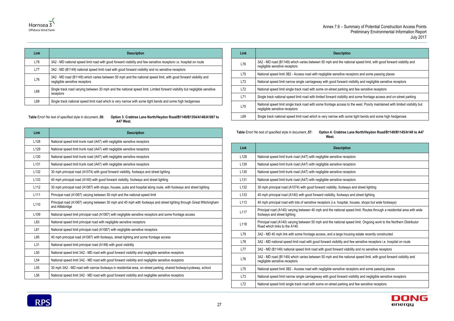# national speed limit, with good forward visibility and receptors and some passing places ard visibility and negligible sensitive receptors ing and few sensitive receptors ility and some frontage access and on-street parking ss to the west. Poorly maintained with limited visibility but some tight bends and some high hedgerows





| Link | <b>Description</b>                                                                                                                                 |
|------|----------------------------------------------------------------------------------------------------------------------------------------------------|
| L78  | 3A2 - MD national speed limit road with good forward visibility and few sensitive receptors i.e. hospital on route                                 |
| L77  | 3A2 - MD (B1149) national speed limit road with good forward visibility and no sensitive receptors                                                 |
| L76  | 3A2 - MD road (B1149) which varies between 50 mph and the national speed limit, with good forward visibility and<br>negligible sensitive receptors |
| L68  | Single track road varying between 30 mph and the national speed limit. Limited forward visibility but negligible sensitive<br>receptors            |
| L69  | Single track national speed limit road which is very narrow with some tight bends and some high hedgerows                                          |

<span id="page-30-0"></span>**Table** Error! No text of specified style in document.**.56: Option 3: Crabtree Lane North/Heydon Road/B1149/B1354/A148/A1067 to A47 West.**

| Link             | <b>Description</b>                                                                                                                      |
|------------------|-----------------------------------------------------------------------------------------------------------------------------------------|
| L128             | National speed limit trunk road (A47) with negligible sensitive receptors                                                               |
| L <sub>129</sub> | National speed limit trunk road (A47) with negligible sensitive receptors                                                               |
| L <sub>130</sub> | National speed limit trunk road (A47) with negligible sensitive receptors                                                               |
| L <sub>131</sub> | National speed limit trunk road (A47) with negligible sensitive receptors                                                               |
| L <sub>132</sub> | 30 mph principal road (A1074) with good forward visibility, footways and street lighting                                                |
| L <sub>133</sub> | 40 mph principal road (A140) with good forward visibility, footways and street lighting                                                 |
| L112             | 30 mph principal road (A1067) with shops, houses, pubs and hospital along route, with footways and street lighting                      |
| L <sub>111</sub> | Principal road (A1067) varying between 50 mph and the national speed limit                                                              |
| L110             | Principal road (A1067) varying between 30 mph and 40 mph with footways and street lighting through Great Witchingham<br>and Attlebridge |
| L <sub>109</sub> | National speed limit principal road (A1067) with negligible sensitive receptors and some frontage access                                |
| L83              | National speed limit principal road with negligible sensitive receptors                                                                 |
| L81              | National speed limit principal road (A1067) with negligible sensitive receptors                                                         |
| L85              | 40 mph principal road (A1067) with footways, street lighting and some frontage access                                                   |
| L31              | National speed limit principal road (A148) with good visibility                                                                         |
| L <sub>50</sub>  | National speed limit 3A2 - MD road with good forward visibility and negligible sensitive receptors                                      |
| L <sub>54</sub>  | National speed limit 3A2 - MD road with good forward visibility and negligible sensitive receptors                                      |
| L <sub>55</sub>  | 30 mph 3A2 - MD road with narrow footways in residential area, on-street parking, shared footway/cycleway, school                       |
| L <sub>56</sub>  | National speed limit 3A2 - MD road with good forward visibility and negligible sensitive receptors                                      |

| Link | <b>Description</b>                                                                                    |
|------|-------------------------------------------------------------------------------------------------------|
| L76  | 3A2 - MD road (B1149) which varies between 50 mph and the nation<br>negligible sensitive receptors    |
| L75  | National speed limit 3B2 - Access road with negligible sensitive rec                                  |
| L73  | National speed limit narrow single carriageway with good forward vi                                   |
| L72  | National speed limit single track road with some on-street parking a                                  |
| L71  | Single track national speed limit road with limited forward visibility a                              |
| L70  | National speed limit single track road with some frontage access to<br>negligible sensitive receptors |
| L69  | Single track national speed limit road which is very narrow with som                                  |

<span id="page-30-1"></span>**Table** Error! No text of specified style in document.**.57: Option 4: Crabtree Lane North/Heydon Road/B1149/B1145/A140 to A47 West.**

| Link             | <b>Description</b>                                                                                                                                     |
|------------------|--------------------------------------------------------------------------------------------------------------------------------------------------------|
| L128             | National speed limit trunk road (A47) with negligible sensitive receptors                                                                              |
| L129             | National speed limit trunk road (A47) with negligible sensitive receptors                                                                              |
| L <sub>130</sub> | National speed limit trunk road (A47) with negligible sensitive receptors                                                                              |
| L131             | National speed limit trunk road (A47) with negligible sensitive receptors                                                                              |
| L <sub>132</sub> | 30 mph principal road (A1074) with good forward visibility, footways and street lighting                                                               |
| L133             | 40 mph principal road (A140) with good forward visibility, footways and street lighting                                                                |
| L113             | 40 mph principal road with lots of sensitive receptors (i.e. hospital, houses, shops but wide footways)                                                |
| L117             | Principal road (A140) varying between 40 mph and the national speed limit. Routes through a residential area with wide<br>footways and street lighting |
| L118             | Principal road (A140) varying between 50 mph and the national speed limit. Ongoing work to the Northern Distributor<br>Road which links to the A140.   |
| L79              | 3A2 - MD 40 mph link with some frontage access, and a large housing estate recently constructed                                                        |
| L78              | 3A2 - MD national speed limit road with good forward visibility and few sensitive receptors i.e. hospital on route                                     |
| L77              | 3A2 - MD (B1149) national speed limit road with good forward visibility and no sensitive receptors                                                     |
| L76              | 3A2 - MD road (B1149) which varies between 50 mph and the national speed limit, with good forward visibility and<br>negligible sensitive receptors     |
| L75              | National speed limit 3B2 - Access road with negligible sensitive receptors and some passing places                                                     |
| L73              | National speed limit narrow single carriageway with good forward visibility and negligible sensitive receptors                                         |
| L72              | National speed limit single track road with some on-street parking and few sensitive receptors                                                         |

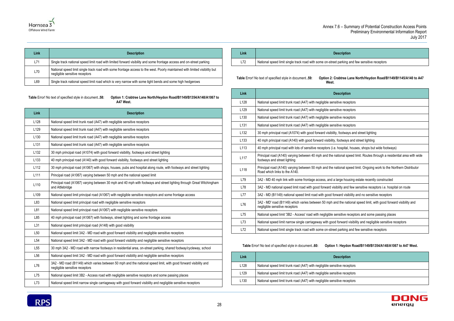king and few sensitive receptors



| Annex 7.6 - |  |
|-------------|--|
|             |  |

| Link | <b>Description</b>                                                                                                                                            |
|------|---------------------------------------------------------------------------------------------------------------------------------------------------------------|
| L71  | Single track national speed limit road with limited forward visibility and some frontage access and on-street parking                                         |
| L70  | National speed limit single track road with some frontage access to the west. Poorly maintained with limited visibility but<br>negligible sensitive receptors |
| L69  | Single track national speed limit road which is very narrow with some tight bends and some high hedgerows                                                     |

<span id="page-31-0"></span>**Table** Error! No text of specified style in document.**.58: Option 1: Crabtree Lane North/Heydon Road/B1149/B1354/A148/A1067 to A47 West.**

| Link             | <b>Description</b>                                                                                                                                 |
|------------------|----------------------------------------------------------------------------------------------------------------------------------------------------|
| L128             | National speed limit trunk road (A47) with negligible sensitive receptors                                                                          |
| L129             | National speed limit trunk road (A47) with negligible sensitive receptors                                                                          |
| L130             | National speed limit trunk road (A47) with negligible sensitive receptors                                                                          |
| L <sub>131</sub> | National speed limit trunk road (A47) with negligible sensitive receptors                                                                          |
| L <sub>132</sub> | 30 mph principal road (A1074) with good forward visibility, footways and street lighting                                                           |
| L <sub>133</sub> | 40 mph principal road (A140) with good forward visibility, footways and street lighting                                                            |
| L112             | 30 mph principal road (A1067) with shops, houses, pubs and hospital along route, with footways and street lighting                                 |
| L <sub>111</sub> | Principal road (A1067) varying between 50 mph and the national speed limit                                                                         |
| L110             | Principal road (A1067) varying between 30 mph and 40 mph with footways and street lighting through Great Witchingham<br>and Attlebridge            |
| L109             | National speed limit principal road (A1067) with negligible sensitive receptors and some frontage access                                           |
| L83              | National speed limit principal road with negligible sensitive receptors                                                                            |
| L81              | National speed limit principal road (A1067) with negligible sensitive receptors                                                                    |
| L85              | 40 mph principal road (A1067) with footways, street lighting and some frontage access                                                              |
| L31              | National speed limit principal road (A148) with good visibility                                                                                    |
| L <sub>50</sub>  | National speed limit 3A2 - MD road with good forward visibility and negligible sensitive receptors                                                 |
| L <sub>54</sub>  | National speed limit 3A2 - MD road with good forward visibility and negligible sensitive receptors                                                 |
| L <sub>55</sub>  | 30 mph 3A2 - MD road with narrow footways in residential area, on-street parking, shared footway/cycleway, school                                  |
| L <sub>56</sub>  | National speed limit 3A2 - MD road with good forward visibility and negligible sensitive receptors                                                 |
| L76              | 3A2 - MD road (B1149) which varies between 50 mph and the national speed limit, with good forward visibility and<br>negligible sensitive receptors |
| L75              | National speed limit 3B2 - Access road with negligible sensitive receptors and some passing places                                                 |
| L73              | National speed limit narrow single carriageway with good forward visibility and negligible sensitive receptors                                     |

| Link            | <b>Description</b>                                                   |
|-----------------|----------------------------------------------------------------------|
| L <sub>72</sub> | National speed limit single track road with some on-street parking a |

<span id="page-31-1"></span>**Table** Error! No text of specified style in document.**.59: Option 2: Crabtree Lane North/Heydon Road/B1149/B1145/A140 to A47 West.**

| Link             | <b>Description</b>                                                                                                                                     |
|------------------|--------------------------------------------------------------------------------------------------------------------------------------------------------|
| L128             | National speed limit trunk road (A47) with negligible sensitive receptors                                                                              |
| L <sub>129</sub> | National speed limit trunk road (A47) with negligible sensitive receptors                                                                              |
| L <sub>130</sub> | National speed limit trunk road (A47) with negligible sensitive receptors                                                                              |
| L <sub>131</sub> | National speed limit trunk road (A47) with negligible sensitive receptors                                                                              |
| L132             | 30 mph principal road (A1074) with good forward visibility, footways and street lighting                                                               |
| L <sub>133</sub> | 40 mph principal road (A140) with good forward visibility, footways and street lighting                                                                |
| L113             | 40 mph principal road with lots of sensitive receptors (i.e. hospital, houses, shops but wide footways)                                                |
| L117             | Principal road (A140) varying between 40 mph and the national speed limit. Routes through a residential area with wide<br>footways and street lighting |
| L118             | Principal road (A140) varying between 50 mph and the national speed limit. Ongoing work to the Northern Distributor<br>Road which links to the A140.   |
| L79              | 3A2 - MD 40 mph link with some frontage access, and a large housing estate recently constructed                                                        |
| L78              | 3A2 - MD national speed limit road with good forward visibility and few sensitive receptors i.e. hospital on route                                     |
| <b>L77</b>       | 3A2 - MD (B1149) national speed limit road with good forward visibility and no sensitive receptors                                                     |
| L76              | 3A2 - MD' road (B1149) which varies between 50 mph and the national speed limit, with good forward visibility and<br>negligible sensitive receptors    |
| L75              | National speed limit '3B2 - Access' road with negligible sensitive receptors and some passing places                                                   |
| L73              | National speed limit narrow single carriageway with good forward visibility and negligible sensitive receptors                                         |
| L72              | National speed limit single track road with some on-street parking and few sensitive receptors                                                         |

<span id="page-31-2"></span>**Table** Error! No text of specified style in document.**.60: Option 1: Heydon Road/B1149/B1354/A148/A1067 to A47 West.**

| Link | <b>Description</b>                                                        |
|------|---------------------------------------------------------------------------|
| L128 | National speed limit trunk road (A47) with negligible sensitive receptors |
| L129 | National speed limit trunk road (A47) with negligible sensitive receptors |
| L130 | National speed limit trunk road (A47) with negligible sensitive receptors |

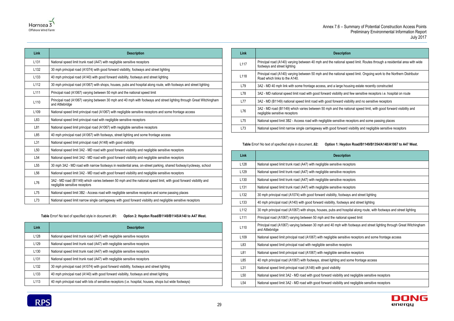



| Link             | <b>Description</b>                                                                                                                                 |
|------------------|----------------------------------------------------------------------------------------------------------------------------------------------------|
| L <sub>131</sub> | National speed limit trunk road (A47) with negligible sensitive receptors                                                                          |
| L <sub>132</sub> | 30 mph principal road (A1074) with good forward visibility, footways and street lighting                                                           |
| L <sub>133</sub> | 40 mph principal road (A140) with good forward visibility, footways and street lighting                                                            |
| L112             | 30 mph principal road (A1067) with shops, houses, pubs and hospital along route, with footways and street lighting                                 |
| L <sub>111</sub> | Principal road (A1067) varying between 50 mph and the national speed limit                                                                         |
| L <sub>110</sub> | Principal road (A1067) varying between 30 mph and 40 mph with footways and street lighting through Great Witchingham<br>and Attlebridge            |
| L <sub>109</sub> | National speed limit principal road (A1067) with negligible sensitive receptors and some frontage access                                           |
| L83              | National speed limit principal road with negligible sensitive receptors                                                                            |
| L81              | National speed limit principal road (A1067) with negligible sensitive receptors                                                                    |
| L85              | 40 mph principal road (A1067) with footways, street lighting and some frontage access                                                              |
| L31              | National speed limit principal road (A148) with good visibility                                                                                    |
| L <sub>50</sub>  | National speed limit 3A2 - MD road with good forward visibility and negligible sensitive receptors                                                 |
| L <sub>54</sub>  | National speed limit 3A2 - MD road with good forward visibility and negligible sensitive receptors                                                 |
| L <sub>55</sub>  | 30 mph 3A2 - MD road with narrow footways in residential area, on-street parking, shared footway/cycleway, school                                  |
| L <sub>56</sub>  | National speed limit 3A2 - MD road with good forward visibility and negligible sensitive receptors                                                 |
| L76              | 3A2 - MD road (B1149) which varies between 50 mph and the national speed limit, with good forward visibility and<br>negligible sensitive receptors |
| L75              | National speed limit 3B2 - Access road with negligible sensitive receptors and some passing places                                                 |
| L73              | National speed limit narrow single carriageway with good forward visibility and negligible sensitive receptors                                     |

**Table** Error! No text of specified style in document.**.61: Option 2: Heydon Road/B1149/B1145/A140 to A47 West.**

<span id="page-32-0"></span>

| Link             | <b>Description</b>                                                                                      |
|------------------|---------------------------------------------------------------------------------------------------------|
| L <sub>128</sub> | National speed limit trunk road (A47) with negligible sensitive receptors                               |
| L <sub>129</sub> | National speed limit trunk road (A47) with negligible sensitive receptors                               |
| L <sub>130</sub> | National speed limit trunk road (A47) with negligible sensitive receptors                               |
| L <sub>131</sub> | National speed limit trunk road (A47) with negligible sensitive receptors                               |
| L <sub>132</sub> | 30 mph principal road (A1074) with good forward visibility, footways and street lighting                |
| L <sub>133</sub> | 40 mph principal road (A140) with good forward visibility, footways and street lighting                 |
| L113             | 40 mph principal road with lots of sensitive receptors (i.e. hospital, houses, shops but wide footways) |

| Link             | <b>Description</b>                                                                                                                                     |
|------------------|--------------------------------------------------------------------------------------------------------------------------------------------------------|
| L <sub>117</sub> | Principal road (A140) varying between 40 mph and the national speed limit. Routes through a residential area with wide<br>footways and street lighting |
| L <sub>118</sub> | Principal road (A140) varying between 50 mph and the national speed limit. Ongoing work to the Northern Distributor<br>Road which links to the A140.   |
| L79              | 3A2 - MD 40 mph link with some frontage access, and a large housing estate recently constructed                                                        |
| L78              | 3A2 - MD national speed limit road with good forward visibility and few sensitive receptors i.e. hospital on route                                     |
| L77              | 3A2 - MD (B1149) national speed limit road with good forward visibility and no sensitive receptors                                                     |
| L76              | 3A2 - MD road (B1149) which varies between 50 mph and the national speed limit, with good forward visibility and<br>negligible sensitive receptors     |
| L75              | National speed limit 3B2 - Access road with negligible sensitive receptors and some passing places                                                     |
| L73              | National speed limit narrow single carriageway with good forward visibility and negligible sensitive receptors                                         |
|                  |                                                                                                                                                        |

**Table** Error! No text of specified style in document.**.62: Option 1: Heydon Road/B1149/B1354/A148/A1067 to A47 West.**

<span id="page-32-1"></span>

| Link             | <b>Description</b>                                                                                                                      |
|------------------|-----------------------------------------------------------------------------------------------------------------------------------------|
| L128             | National speed limit trunk road (A47) with negligible sensitive receptors                                                               |
| L129             | National speed limit trunk road (A47) with negligible sensitive receptors                                                               |
| L <sub>130</sub> | National speed limit trunk road (A47) with negligible sensitive receptors                                                               |
| L <sub>131</sub> | National speed limit trunk road (A47) with negligible sensitive receptors                                                               |
| L <sub>132</sub> | 30 mph principal road (A1074) with good forward visibility, footways and street lighting                                                |
| L <sub>133</sub> | 40 mph principal road (A140) with good forward visibility, footways and street lighting                                                 |
| L112             | 30 mph principal road (A1067) with shops, houses, pubs and hospital along route, with footways and street lighting                      |
| L <sub>111</sub> | Principal road (A1067) varying between 50 mph and the national speed limit                                                              |
| L110             | Principal road (A1067) varying between 30 mph and 40 mph with footways and street lighting through Great Witchingham<br>and Attlebridge |
| L <sub>109</sub> | National speed limit principal road (A1067) with negligible sensitive receptors and some frontage access                                |
| L83              | National speed limit principal road with negligible sensitive receptors                                                                 |
| L81              | National speed limit principal road (A1067) with negligible sensitive receptors                                                         |
| L85              | 40 mph principal road (A1067) with footways, street lighting and some frontage access                                                   |
| L31              | National speed limit principal road (A148) with good visibility                                                                         |
| L <sub>50</sub>  | National speed limit 3A2 - MD road with good forward visibility and negligible sensitive receptors                                      |
| L <sub>54</sub>  | National speed limit 3A2 - MD road with good forward visibility and negligible sensitive receptors                                      |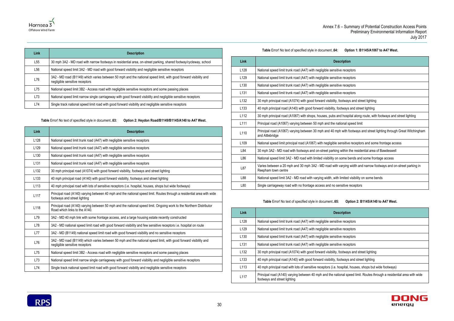# receptors receptors receptors receptors otways and street lighting tways and street lighting Inospital along route, with footways and street lighting onal speed limit with footways and street lighting through Great Witchingham nsitive receptors and some frontage access vithin the residential area of Bawdeswell ome bends and some frontage access arying width and narrow footways and on-street parking in mited visibility on some bends sitive receptors





| Link | <b>Description</b>                                                                                                                                 |
|------|----------------------------------------------------------------------------------------------------------------------------------------------------|
| L55  | 30 mph 3A2 - MD road with narrow footways in residential area, on-street parking, shared footway/cycleway, school                                  |
| L56  | National speed limit 3A2 - MD road with good forward visibility and negligible sensitive receptors                                                 |
| L76  | 3A2 - MD road (B1149) which varies between 50 mph and the national speed limit, with good forward visibility and<br>negligible sensitive receptors |
| L75  | National speed limit 3B2 - Access road with negligible sensitive receptors and some passing places                                                 |
| L73  | National speed limit narrow single carriageway with good forward visibility and negligible sensitive receptors                                     |
| L74  | Single track national speed limit road with good forward visibility and negligible sensitive receptors                                             |

**Table** Error! No text of specified style in document.**.63: Option 2: Heydon Road/B1149/B1145/A140 to A47 West.**

<span id="page-33-0"></span>

| <b>Link</b>      | <b>Description</b>                                                                                                                                     |
|------------------|--------------------------------------------------------------------------------------------------------------------------------------------------------|
| L128             | National speed limit trunk road (A47) with negligible sensitive receptors                                                                              |
| L129             | National speed limit trunk road (A47) with negligible sensitive receptors                                                                              |
| L <sub>130</sub> | National speed limit trunk road (A47) with negligible sensitive receptors                                                                              |
| L <sub>131</sub> | National speed limit trunk road (A47) with negligible sensitive receptors                                                                              |
| L <sub>132</sub> | 30 mph principal road (A1074) with good forward visibility, footways and street lighting                                                               |
| L <sub>133</sub> | 40 mph principal road (A140) with good forward visibility, footways and street lighting                                                                |
| L113             | 40 mph principal road with lots of sensitive receptors (i.e. hospital, houses, shops but wide footways)                                                |
| L117             | Principal road (A140) varying between 40 mph and the national speed limit. Routes through a residential area with wide<br>footways and street lighting |
| L118             | Principal road (A140) varying between 50 mph and the national speed limit. Ongoing work to the Northern Distributor<br>Road which links to the A140.   |
| L79              | 3A2 - MD 40 mph link with some frontage access, and a large housing estate recently constructed                                                        |
| L78              | 3A2 - MD national speed limit road with good forward visibility and few sensitive receptors i.e. hospital on route                                     |
| L77              | 3A2 - MD (B1149) national speed limit road with good forward visibility and no sensitive receptors                                                     |
| L76              | 3A2 - MD road (B1149) which varies between 50 mph and the national speed limit, with good forward visibility and<br>negligible sensitive receptors     |
| L75              | National speed limit 3B2 - Access road with negligible sensitive receptors and some passing places                                                     |
| L73              | National speed limit narrow single carriageway with good forward visibility and negligible sensitive receptors                                         |
| L74              | Single track national speed limit road with good forward visibility and negligible sensitive receptors                                                 |

**Table** Error! No text of specified style in document.**.64: Option 1: B1145/A1067 to A47 West.**

<span id="page-33-1"></span>

| Link             | <b>Description</b>                                                                   |
|------------------|--------------------------------------------------------------------------------------|
| L128             | National speed limit trunk road (A47) with negligible sensitive recep                |
| L129             | National speed limit trunk road (A47) with negligible sensitive recep                |
| L <sub>130</sub> | National speed limit trunk road (A47) with negligible sensitive recep                |
| L <sub>131</sub> | National speed limit trunk road (A47) with negligible sensitive recep                |
| L132             | 30 mph principal road (A1074) with good forward visibility, footways                 |
| L <sub>133</sub> | 40 mph principal road (A140) with good forward visibility, footways a                |
| L <sub>112</sub> | 30 mph principal road (A1067) with shops, houses, pubs and hospit                    |
| L111             | Principal road (A1067) varying between 50 mph and the national sp                    |
| L110             | Principal road (A1067) varying between 30 mph and 40 mph with fo<br>and Attlebridge  |
| L109             | National speed limit principal road (A1067) with negligible sensitive                |
| L84              | 30 mph 3A2 - MD road with footways and on-street parking within th                   |
| L86              | National speed limit 3A2 - MD road with limited visibility on some be                |
| L87              | Varies between a 20 mph and 30 mph 3A2 - MD road with varying<br>Reepham town centre |
| L88              | National speed limit 3A2 - MD road with varying width, with limited v                |
| L80              | Single carriageway road with no frontage access and no sensitive re                  |
|                  |                                                                                      |

### **Table** Error! No text of specified style in document.**.65: Option 2: B1145/A140 to A47 West.**

<span id="page-33-2"></span>

| <b>Link</b>      | <b>Description</b>                                                                                                                                     |
|------------------|--------------------------------------------------------------------------------------------------------------------------------------------------------|
| L128             | National speed limit trunk road (A47) with negligible sensitive receptors                                                                              |
| L <sub>129</sub> | National speed limit trunk road (A47) with negligible sensitive receptors                                                                              |
| L <sub>130</sub> | National speed limit trunk road (A47) with negligible sensitive receptors                                                                              |
| L <sub>131</sub> | National speed limit trunk road (A47) with negligible sensitive receptors                                                                              |
| L <sub>132</sub> | 30 mph principal road (A1074) with good forward visibility, footways and street lighting                                                               |
| L <sub>133</sub> | 40 mph principal road (A140) with good forward visibility, footways and street lighting                                                                |
| L <sub>113</sub> | 40 mph principal road with lots of sensitive receptors (i.e. hospital, houses, shops but wide footways)                                                |
| L117             | Principal road (A140) varying between 40 mph and the national speed limit. Routes through a residential area with wide<br>footways and street lighting |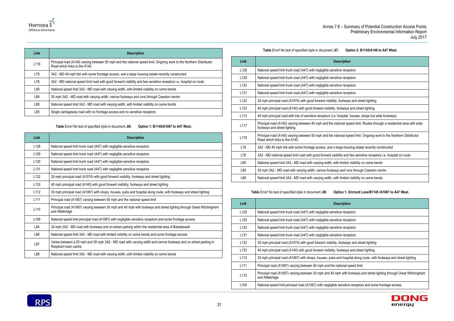

| <b>Link</b>      | <b>Description</b>                                                                                                                                   |
|------------------|------------------------------------------------------------------------------------------------------------------------------------------------------|
| L <sub>118</sub> | Principal road (A140) varying between 50 mph and the national speed limit. Ongoing work to the Northern Distributor<br>Road which links to the A140. |
| L79              | 3A2 - MD 40 mph link with some frontage access, and a large housing estate recently constructed                                                      |
| L78              | 3A2 - MD national speed limit road with good forward visibility and few sensitive receptors i.e. hospital on route                                   |
| L90              | National speed limit 3A2 - MD road with varying width, with limited visibility on some bends                                                         |
| L89              | 30 mph 3A2 - MD road with varying width, narrow footways and runs through Cawston centre                                                             |
| L88              | National speed limit 3A2 - MD road with varying width, with limited visibility on some bends                                                         |
| L80              | Single carriageway road with no frontage access and no sensitive receptors                                                                           |

**Table** Error! No text of specified style in document.**.66: Option 1: B1145/A1067 to A47 West.**

<span id="page-34-0"></span>

| Link             | <b>Description</b>                                                                                                                      |
|------------------|-----------------------------------------------------------------------------------------------------------------------------------------|
| L <sub>128</sub> | National speed limit trunk road (A47) with negligible sensitive receptors                                                               |
| L129             | National speed limit trunk road (A47) with negligible sensitive receptors                                                               |
| L <sub>130</sub> | National speed limit trunk road (A47) with negligible sensitive receptors                                                               |
| L <sub>131</sub> | National speed limit trunk road (A47) with negligible sensitive receptors                                                               |
| L <sub>132</sub> | 30 mph principal road (A1074) with good forward visibility, footways and street lighting                                                |
| L <sub>133</sub> | 40 mph principal road (A140) with good forward visibility, footways and street lighting                                                 |
| L112             | 30 mph principal road (A1067) with shops, houses, pubs and hospital along route, with footways and street lighting                      |
| L <sub>111</sub> | Principal road (A1067) varying between 50 mph and the national speed limit                                                              |
| L110             | Principal road (A1067) varying between 30 mph and 40 mph with footways and street lighting through Great Witchingham<br>and Attlebridge |
| L <sub>109</sub> | National speed limit principal road (A1067) with negligible sensitive receptors and some frontage access                                |
| L84              | 30 mph 3A2 - MD road with footways and on-street parking within the residential area of Bawdeswell                                      |
| L86              | National speed limit 3A2 - MD road with limited visibility on some bends and some frontage access                                       |
| L87              | Varies between a 20 mph and 30 mph 3A2 - MD road with varying width and narrow footways and on-street parking in<br>Reepham town centre |
| L88              | National speed limit 3A2 - MD road with varying width, with limited visibility on some bends                                            |

**Table** Error! No text of specified style in document.**.67: Option 2: B1145/A140 to A47 West.**

<span id="page-34-1"></span>

| <b>Description</b>                                                                                                                                     |
|--------------------------------------------------------------------------------------------------------------------------------------------------------|
| National speed limit trunk road (A47) with negligible sensitive receptors                                                                              |
| National speed limit trunk road (A47) with negligible sensitive receptors                                                                              |
| National speed limit trunk road (A47) with negligible sensitive receptors                                                                              |
| National speed limit trunk road (A47) with negligible sensitive receptors                                                                              |
| 30 mph principal road (A1074) with good forward visibility, footways and street lighting                                                               |
| 40 mph principal road (A140) with good forward visibility, footways and street lighting                                                                |
| 40 mph principal road with lots of sensitive receptors (i.e. hospital, houses, shops but wide footways)                                                |
| Principal road (A140) varying between 40 mph and the national speed limit. Routes through a residential area with wide<br>footways and street lighting |
| Principal road (A140) varying between 50 mph and the national speed limit. Ongoing work to the Northern Distributor<br>Road which links to the A140.   |
| 3A2 - MD 40 mph link with some frontage access, and a large housing estate recently constructed                                                        |
| 3A2 - MD national speed limit road with good forward visibility and few sensitive receptors i.e. hospital on route                                     |
| National speed limit 3A2 - MD road with varying width, with limited visibility on some bends                                                           |
| 30 mph 3A2 - MD road with varying width, narrow footways and runs through Cawston centre                                                               |
| National speed limit 3A2 - MD road with varying width, with limited visibility on some bends                                                           |
|                                                                                                                                                        |

**Table** Error! No text of specified style in document.**.68: Option 1: Orchard Lane/B1145 /A1067 to A47 West.**

<span id="page-34-2"></span>

| Link             | <b>Description</b>                                                                                                                      |
|------------------|-----------------------------------------------------------------------------------------------------------------------------------------|
| L <sub>128</sub> | National speed limit trunk road (A47) with negligible sensitive receptors                                                               |
| L <sub>129</sub> | National speed limit trunk road (A47) with negligible sensitive receptors                                                               |
| L <sub>130</sub> | National speed limit trunk road (A47) with negligible sensitive receptors                                                               |
| L <sub>131</sub> | National speed limit trunk road (A47) with negligible sensitive receptors                                                               |
| L <sub>132</sub> | 30 mph principal road (A1074) with good forward visibility, footways and street lighting                                                |
| L <sub>133</sub> | 40 mph principal road (A140) with good forward visibility, footways and street lighting                                                 |
| L112             | 30 mph principal road (A1067) with shops, houses, pubs and hospital along route, with footways and street lighting                      |
| L111             | Principal road (A1067) varying between 50 mph and the national speed limit                                                              |
| L110             | Principal road (A1067) varying between 30 mph and 40 mph with footways and street lighting through Great Witchingham<br>and Attlebridge |
| L <sub>109</sub> | National speed limit principal road (A1067) with negligible sensitive receptors and some frontage access                                |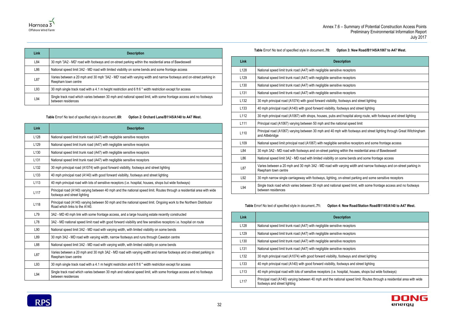



| Link | <b>Description</b>                                                                                                                        |
|------|-------------------------------------------------------------------------------------------------------------------------------------------|
| L84  | 30 mph '3A2 - MD' road with footways and on-street parking within the residential area of Bawdeswell                                      |
| L86  | National speed limit 3A2 - MD road with limited visibility on some bends and some frontage access                                         |
| L87  | Varies between a 20 mph and 30 mph '3A2 - MD' road with varying width and narrow footways and on-street parking in<br>Reepham town centre |
| L93  | 30 mph single track road with a 4.1 m height restriction and 6 ft 6" width restriction except for access                                  |
| L94  | Single track road which varies between 30 mph and national speed limit, with some frontage access and no footways<br>between residences   |

**Table** Error! No text of specified style in document.**.69: Option 2: Orchard Lane/B1145/A140 to A47 West.**

<span id="page-35-0"></span>

| <b>Link</b>      | <b>Description</b>                                                                                                                                     |
|------------------|--------------------------------------------------------------------------------------------------------------------------------------------------------|
| L <sub>128</sub> | National speed limit trunk road (A47) with negligible sensitive receptors                                                                              |
| L <sub>129</sub> | National speed limit trunk road (A47) with negligible sensitive receptors                                                                              |
| L <sub>130</sub> | National speed limit trunk road (A47) with negligible sensitive receptors                                                                              |
| L <sub>131</sub> | National speed limit trunk road (A47) with negligible sensitive receptors                                                                              |
| L <sub>132</sub> | 30 mph principal road (A1074) with good forward visibility, footways and street lighting                                                               |
| L <sub>133</sub> | 40 mph principal road (A140) with good forward visibility, footways and street lighting                                                                |
| L113             | 40 mph principal road with lots of sensitive receptors (i.e. hospital, houses, shops but wide footways)                                                |
| L117             | Principal road (A140) varying between 40 mph and the national speed limit. Routes through a residential area with wide<br>footways and street lighting |
| L118             | Principal road (A140) varying between 50 mph and the national speed limit. Ongoing work to the Northern Distributor<br>Road which links to the A140.   |
| L79              | 3A2 - MD 40 mph link with some frontage access, and a large housing estate recently constructed                                                        |
| L78              | 3A2 - MD national speed limit road with good forward visibility and few sensitive receptors i.e. hospital on route                                     |
| L90              | National speed limit 3A2 - MD road with varying width, with limited visibility on some bends                                                           |
| L89              | 30 mph 3A2 - MD road with varying width, narrow footways and runs through Cawston centre                                                               |
| L88              | National speed limit 3A2 - MD road with varying width, with limited visibility on some bends                                                           |
| L87              | Varies between a 20 mph and 30 mph 3A2 - MD road with varying width and narrow footways and on-street parking in<br>Reepham town centre                |
| L93              | 30 mph single track road with a 4.1 m height restriction and 6 ft 6 " width restriction except for access                                              |
| L94              | Single track road which varies between 30 mph and national speed limit, with some frontage access and no footways<br>between residences                |

**Table** Error! No text of specified style in document.**.70: Option 3: New Road/B1145/A1067 to A47 West.**

<span id="page-35-1"></span>

| Link             | <b>Description</b>                                                                                                                      |
|------------------|-----------------------------------------------------------------------------------------------------------------------------------------|
| L <sub>128</sub> | National speed limit trunk road (A47) with negligible sensitive receptors                                                               |
| L129             | National speed limit trunk road (A47) with negligible sensitive receptors                                                               |
| L <sub>130</sub> | National speed limit trunk road (A47) with negligible sensitive receptors                                                               |
| L <sub>131</sub> | National speed limit trunk road (A47) with negligible sensitive receptors                                                               |
| L <sub>132</sub> | 30 mph principal road (A1074) with good forward visibility, footways and street lighting                                                |
| L <sub>133</sub> | 40 mph principal road (A140) with good forward visibility, footways and street lighting                                                 |
| L <sub>112</sub> | 30 mph principal road (A1067) with shops, houses, pubs and hospital along route, with footways and street lighting                      |
| L <sub>111</sub> | Principal road (A1067) varying between 50 mph and the national speed limit                                                              |
| L <sub>110</sub> | Principal road (A1067) varying between 30 mph and 40 mph with footways and street lighting through Great Witchingham<br>and Attlebridge |
| L <sub>109</sub> | National speed limit principal road (A1067) with negligible sensitive receptors and some frontage access                                |
| L84              | 30 mph 3A2 - MD road with footways and on-street parking within the residential area of Bawdeswell                                      |
| L86              | National speed limit 3A2 - MD road with limited visibility on some bends and some frontage access                                       |
| L87              | Varies between a 20 mph and 30 mph 3A2 - MD road with varying width and narrow footways and on-street parking in<br>Reepham town centre |
| L92              | 30 mph narrow single carriageway with footways, lighting, on-street parking and some sensitive receptors                                |
| L94              | Single track road which varies between 30 mph and national speed limit, with some frontage access and no footways<br>between residences |
|                  |                                                                                                                                         |

**Table** Error! No text of specified style in document.**.71: Option 4: New Road/Station Road/B1145/A140 to A47 West.**

<span id="page-35-2"></span>

| <b>Link</b>      | <b>Description</b>                                                                                                                                     |
|------------------|--------------------------------------------------------------------------------------------------------------------------------------------------------|
| L <sub>128</sub> | National speed limit trunk road (A47) with negligible sensitive receptors                                                                              |
| L <sub>129</sub> | National speed limit trunk road (A47) with negligible sensitive receptors                                                                              |
| L <sub>130</sub> | National speed limit trunk road (A47) with negligible sensitive receptors                                                                              |
| L <sub>131</sub> | National speed limit trunk road (A47) with negligible sensitive receptors                                                                              |
| L <sub>132</sub> | 30 mph principal road (A1074) with good forward visibility, footways and street lighting                                                               |
| L <sub>133</sub> | 40 mph principal road (A140) with good forward visibility, footways and street lighting                                                                |
| L <sub>113</sub> | 40 mph principal road with lots of sensitive receptors (i.e. hospital, houses, shops but wide footways)                                                |
| L <sub>117</sub> | Principal road (A140) varying between 40 mph and the national speed limit. Routes through a residential area with wide<br>footways and street lighting |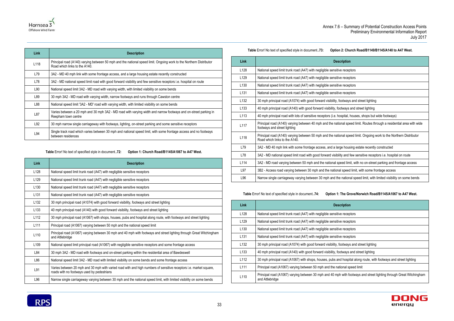

| Link | <b>Description</b>                                                                                                                                   |
|------|------------------------------------------------------------------------------------------------------------------------------------------------------|
| L118 | Principal road (A140) varying between 50 mph and the national speed limit. Ongoing work to the Northern Distributor<br>Road which links to the A140. |
| L79  | 3A2 - MD 40 mph link with some frontage access, and a large housing estate recently constructed                                                      |
| L78  | 3A2 - MD national speed limit road with good forward visibility and few sensitive receptors i.e. hospital on route                                   |
| L90  | National speed limit 3A2 - MD road with varying width, with limited visibility on some bends                                                         |
| L89  | 30 mph 3A2 - MD road with varying width, narrow footways and runs through Cawston centre                                                             |
| L88  | National speed limit '3A2 - MD' road with varying width, with limited visibility on some bends                                                       |
| L87  | Varies between a 20 mph and 30 mph 3A2 - MD road with varying width and narrow footways and on-street parking in<br>Reepham town centre              |
| L92  | 30 mph narrow single carriageway with footways, lighting, on-street parking and some sensitive receptors                                             |
| L94  | Single track road which varies between 30 mph and national speed limit, with some frontage access and no footways<br>between residences              |

**Table** Error! No text of specified style in document.**.72: Option 1: Church Road/B1145/A1067 to A47 West.**

<span id="page-36-0"></span>

| <b>Link</b>      | <b>Description</b>                                                                                                                                               |
|------------------|------------------------------------------------------------------------------------------------------------------------------------------------------------------|
| L128             | National speed limit trunk road (A47) with negligible sensitive receptors                                                                                        |
| L <sub>129</sub> | National speed limit trunk road (A47) with negligible sensitive receptors                                                                                        |
| L <sub>130</sub> | National speed limit trunk road (A47) with negligible sensitive receptors                                                                                        |
| L <sub>131</sub> | National speed limit trunk road (A47) with negligible sensitive receptors                                                                                        |
| L <sub>132</sub> | 30 mph principal road (A1074) with good forward visibility, footways and street lighting                                                                         |
| L <sub>133</sub> | 40 mph principal road (A140) with good forward visibility, footways and street lighting                                                                          |
| L <sub>112</sub> | 30 mph principal road (A1067) with shops, houses, pubs and hospital along route, with footways and street lighting                                               |
| L <sub>111</sub> | Principal road (A1067) varying between 50 mph and the national speed limit                                                                                       |
| L110             | Principal road (A1067) varying between 30 mph and 40 mph with footways and street lighting through Great Witchingham<br>and Attlebridge                          |
| L <sub>109</sub> | National speed limit principal road (A1067) with negligible sensitive receptors and some frontage access                                                         |
| L84              | 30 mph 3A2 - MD road with footways and on-street parking within the residential area of Bawdeswell                                                               |
| L86              | National speed limit 3A2 - MD road with limited visibility on some bends and some frontage access                                                                |
| L91              | Varies between 20 mph and 30 mph with varied road with and high numbers of sensitive receptors i.e. market square,<br>roads with no footways used by pedestrians |
| L96              | Narrow single carriageway varying between 30 mph and the national speed limit, with limited visibility on some bends                                             |

### **Table** Error! No text of specified style in document.**.73: Option 2: Church Road/B1149/B1145/A140 to A47 West.**

<span id="page-36-1"></span>

| <b>Description</b>                                                                                                                                     |
|--------------------------------------------------------------------------------------------------------------------------------------------------------|
| National speed limit trunk road (A47) with negligible sensitive receptors                                                                              |
| National speed limit trunk road (A47) with negligible sensitive receptors                                                                              |
| National speed limit trunk road (A47) with negligible sensitive receptors                                                                              |
| National speed limit trunk road (A47) with negligible sensitive receptors                                                                              |
| 30 mph principal road (A1074) with good forward visibility, footways and street lighting                                                               |
| 40 mph principal road (A140) with good forward visibility, footways and street lighting                                                                |
| 40 mph principal road with lots of sensitive receptors (i.e. hospital, houses, shops but wide footways)                                                |
| Principal road (A140) varying between 40 mph and the national speed limit. Routes through a residential area with wide<br>footways and street lighting |
| Principal road (A140) varying between 50 mph and the national speed limit. Ongoing work to the Northern Distributor<br>Road which links to the A140.   |
| 3A2 - MD 40 mph link with some frontage access, and a large housing estate recently constructed                                                        |
| 3A2 - MD national speed limit road with good forward visibility and few sensitive receptors i.e. hospital on route                                     |
| 3A2 - MD road varying between 50 mph and the national speed limit, with no on-street parking and frontage access                                       |
| 3B2 - Access road varying between 30 mph and the national speed limit, with some frontage access                                                       |
| Narrow single carriageway varying between 30 mph and the national speed limit, with limited visibility on some bends                                   |
|                                                                                                                                                        |

**Table** Error! No text of specified style in document.**.74: Option 1: The Grove/Norwich Road/B1145/A1067 to A47 West.**

<span id="page-36-2"></span>

| Link             | <b>Description</b>                                                                                                                      |
|------------------|-----------------------------------------------------------------------------------------------------------------------------------------|
| L <sub>128</sub> | National speed limit trunk road (A47) with negligible sensitive receptors                                                               |
| L <sub>129</sub> | National speed limit trunk road (A47) with negligible sensitive receptors                                                               |
| L <sub>130</sub> | National speed limit trunk road (A47) with negligible sensitive receptors                                                               |
| L <sub>131</sub> | National speed limit trunk road (A47) with negligible sensitive receptors                                                               |
| L <sub>132</sub> | 30 mph principal road (A1074) with good forward visibility, footways and street lighting                                                |
| L <sub>133</sub> | 40 mph principal road (A140) with good forward visibility, footways and street lighting                                                 |
| L112             | 30 mph principal road (A1067) with shops, houses, pubs and hospital along route, with footways and street lighting                      |
| L <sub>111</sub> | Principal road (A1067) varying between 50 mph and the national speed limit                                                              |
| L110             | Principal road (A1067) varying between 30 mph and 40 mph with footways and street lighting through Great Witchingham<br>and Attlebridge |

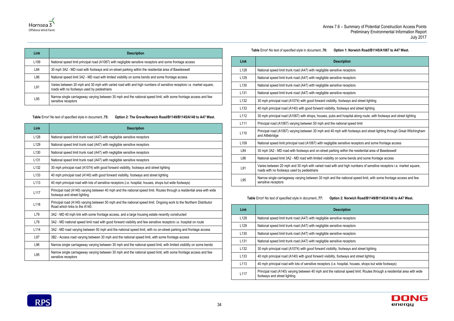### **The Brant Stable in Specified Stable in documents** in dominate 1: Norwich Road/B1145/A1067 to A47 West.



| Annex 7.6 - |
|-------------|
|-------------|

| Table Error! No text of specified style in document76: | Optio |
|--------------------------------------------------------|-------|
|--------------------------------------------------------|-------|

| Link             | <b>Description</b>                                                                                                                                               |
|------------------|------------------------------------------------------------------------------------------------------------------------------------------------------------------|
| L <sub>109</sub> | National speed limit principal road (A1067) with negligible sensitive receptors and some frontage access                                                         |
| L84              | 30 mph 3A2 - MD road with footways and on-street parking within the residential area of Bawdeswell                                                               |
| L86              | National speed limit 3A2 - MD road with limited visibility on some bends and some frontage access                                                                |
| L91              | Varies between 20 mph and 30 mph with varied road with and high numbers of sensitive receptors i.e. market square,<br>roads with no footways used by pedestrians |
| L95              | Narrow single carriageway varying between 30 mph and the national speed limit, with some frontage access and few<br>sensitive receptors                          |

<span id="page-37-0"></span>**Table** Error! No text of specified style in document.**.75: Option 2: The Grove/Norwich Road/B1149/B1145/A140 to A47 West.**

| <b>Link</b>      | <b>Description</b>                                                                                                                                     |
|------------------|--------------------------------------------------------------------------------------------------------------------------------------------------------|
| L128             | National speed limit trunk road (A47) with negligible sensitive receptors                                                                              |
| L <sub>129</sub> | National speed limit trunk road (A47) with negligible sensitive receptors                                                                              |
| L <sub>130</sub> | National speed limit trunk road (A47) with negligible sensitive receptors                                                                              |
| L <sub>131</sub> | National speed limit trunk road (A47) with negligible sensitive receptors                                                                              |
| L <sub>132</sub> | 30 mph principal road (A1074) with good forward visibility, footways and street lighting                                                               |
| L <sub>133</sub> | 40 mph principal road (A140) with good forward visibility, footways and street lighting                                                                |
| L <sub>113</sub> | 40 mph principal road with lots of sensitive receptors (i.e. hospital, houses, shops but wide footways)                                                |
| L117             | Principal road (A140) varying between 40 mph and the national speed limit. Routes through a residential area with wide<br>footways and street lighting |
| L118             | Principal road (A140) varying between 50 mph and the national speed limit. Ongoing work to the Northern Distributor<br>Road which links to the A140.   |
| L79              | 3A2 - MD 40 mph link with some frontage access, and a large housing estate recently constructed                                                        |
| L78              | 3A2 - MD national speed limit road with good forward visibility and few sensitive receptors i.e. hospital on route                                     |
| L114             | 3A2 - MD road varying between 50 mph and the national speed limit, with no on-street parking and frontage access                                       |
| L97              | 3B2 - Access road varying between 30 mph and the national speed limit, with some frontage access                                                       |
| L96              | Narrow single carriageway varying between 30 mph and the national speed limit, with limited visibility on some bends                                   |
| L95              | Narrow single carriageway varying between 30 mph and the national speed limit, with some frontage access and few<br>sensitive receptors                |

<span id="page-37-1"></span>

| Link             | <b>Description</b>                                                                                                                                               |
|------------------|------------------------------------------------------------------------------------------------------------------------------------------------------------------|
| L128             | National speed limit trunk road (A47) with negligible sensitive receptors                                                                                        |
| L129             | National speed limit trunk road (A47) with negligible sensitive receptors                                                                                        |
| L <sub>130</sub> | National speed limit trunk road (A47) with negligible sensitive receptors                                                                                        |
| L <sub>131</sub> | National speed limit trunk road (A47) with negligible sensitive receptors                                                                                        |
| L <sub>132</sub> | 30 mph principal road (A1074) with good forward visibility, footways and street lighting                                                                         |
| L <sub>133</sub> | 40 mph principal road (A140) with good forward visibility, footways and street lighting                                                                          |
| L112             | 30 mph principal road (A1067) with shops, houses, pubs and hospital along route, with footways and street lighting                                               |
| L <sub>111</sub> | Principal road (A1067) varying between 50 mph and the national speed limit                                                                                       |
| L110             | Principal road (A1067) varying between 30 mph and 40 mph with footways and street lighting through Great Witchingham<br>and Attlebridge                          |
| L <sub>109</sub> | National speed limit principal road (A1067) with negligible sensitive receptors and some frontage access                                                         |
| L84              | 30 mph 3A2 - MD road with footways and on-street parking within the residential area of Bawdeswell                                                               |
| L86              | National speed limit 3A2 - MD road with limited visibility on some bends and some frontage access                                                                |
| L91              | Varies between 20 mph and 30 mph with varied road with and high numbers of sensitive receptors i.e. market square,<br>roads with no footways used by pedestrians |
| L95              | Narrow single carriageway varying between 30 mph and the national speed limit, with some frontage access and few<br>sensitive receptors                          |

**Table** Error! No text of specified style in document.**.77: Option 2: Norwich Road/B1149/B1145/A140 to A47 West.**

<span id="page-37-2"></span>

| Link             | <b>Description</b>                                                                                                                                     |
|------------------|--------------------------------------------------------------------------------------------------------------------------------------------------------|
| L128             | National speed limit trunk road (A47) with negligible sensitive receptors                                                                              |
| L129             | National speed limit trunk road (A47) with negligible sensitive receptors                                                                              |
| L <sub>130</sub> | National speed limit trunk road (A47) with negligible sensitive receptors                                                                              |
| L <sub>131</sub> | National speed limit trunk road (A47) with negligible sensitive receptors                                                                              |
| L <sub>132</sub> | 30 mph principal road (A1074) with good forward visibility, footways and street lighting                                                               |
| L <sub>133</sub> | 40 mph principal road (A140) with good forward visibility, footways and street lighting                                                                |
| L113             | 40 mph principal road with lots of sensitive receptors (i.e. hospital, houses, shops but wide footways)                                                |
| L <sub>117</sub> | Principal road (A140) varying between 40 mph and the national speed limit. Routes through a residential area with wide<br>footways and street lighting |

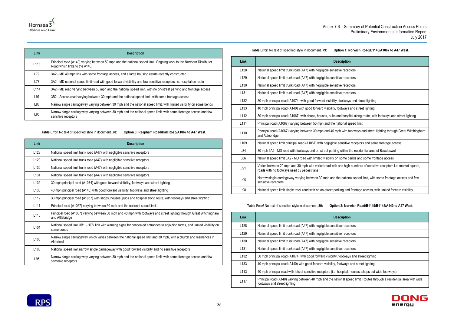

| <b>Link</b>      | <b>Description</b>                                                                                                                                   |
|------------------|------------------------------------------------------------------------------------------------------------------------------------------------------|
| L118             | Principal road (A140) varying between 50 mph and the national speed limit. Ongoing work to the Northern Distributor<br>Road which links to the A140. |
| L79              | 3A2 - MD 40 mph link with some frontage access, and a large housing estate recently constructed                                                      |
| L78              | 3A2 - MD national speed limit road with good forward visibility and few sensitive receptors i.e. hospital on route                                   |
| L <sub>114</sub> | 3A2 - MD road varying between 50 mph and the national speed limit, with no on-street parking and frontage access                                     |
| L97              | 3B2 - Access road varying between 30 mph and the national speed limit, with some frontage access                                                     |
| L96              | Narrow single carriageway varying between 30 mph and the national speed limit, with limited visibility on some bends                                 |
| L95              | Narrow single carriageway varying between 30 mph and the national speed limit, with some frontage access and few<br>sensitive receptors              |

**Table** Error! No text of specified style in document.**.78: Option 3: Reepham Road/Hall Road/A1067 to A47 West.**

<span id="page-38-0"></span>

| Link             | <b>Description</b>                                                                                                                         |
|------------------|--------------------------------------------------------------------------------------------------------------------------------------------|
| L <sub>128</sub> | National speed limit trunk road (A47) with negligible sensitive receptors                                                                  |
| L <sub>129</sub> | National speed limit trunk road (A47) with negligible sensitive receptors                                                                  |
| L <sub>130</sub> | National speed limit trunk road (A47) with negligible sensitive receptors                                                                  |
| L <sub>131</sub> | National speed limit trunk road (A47) with negligible sensitive receptors                                                                  |
| L <sub>132</sub> | 30 mph principal road (A1074) with good forward visibility, footways and street lighting                                                   |
| L <sub>133</sub> | 40 mph principal road (A140) with good forward visibility, footways and street lighting                                                    |
| L <sub>112</sub> | 30 mph principal road (A1067) with shops, houses, pubs and hospital along route, with footways and street lighting                         |
| L <sub>111</sub> | Principal road (A1067) varying between 50 mph and the national speed limit                                                                 |
| L110             | Principal road (A1067) varying between 30 mph and 40 mph with footways and street lighting through Great Witchingham<br>and Attlebridge    |
| L <sub>104</sub> | National speed limit 3B1 - HGV link with warning signs for concealed entrances to adjoining farms, and limited visibility on<br>some bends |
| L <sub>105</sub> | Narrow single carriageway which varies between the national speed limit and 30 mph, with a church and residences in<br>Alderford           |
| L <sub>103</sub> | National speed limit narrow single carriageway with good forward visibility and no sensitive receptors                                     |
| L95              | Narrow single carriageway varying between 30 mph and the national speed limit, with some frontage access and few<br>sensitive receptors    |

# **Table** Error! No text of specified style in document.**.79: Option 1: Norwich Road/B1145/A1067 to A47 West.**

<span id="page-38-1"></span>

| <b>Link</b>      | <b>Description</b>                                                                                                                                               |
|------------------|------------------------------------------------------------------------------------------------------------------------------------------------------------------|
| L128             | National speed limit trunk road (A47) with negligible sensitive receptors                                                                                        |
| L129             | National speed limit trunk road (A47) with negligible sensitive receptors                                                                                        |
| L <sub>130</sub> | National speed limit trunk road (A47) with negligible sensitive receptors                                                                                        |
| L <sub>131</sub> | National speed limit trunk road (A47) with negligible sensitive receptors                                                                                        |
| L132             | 30 mph principal road (A1074) with good forward visibility, footways and street lighting                                                                         |
| L <sub>133</sub> | 40 mph principal road (A140) with good forward visibility, footways and street lighting                                                                          |
| L112             | 30 mph principal road (A1067) with shops, houses, pubs and hospital along route, with footways and street lighting                                               |
| L111             | Principal road (A1067) varying between 50 mph and the national speed limit                                                                                       |
| L110             | Principal road (A1067) varying between 30 mph and 40 mph with footways and street lighting through Great Witchingham<br>and Attlebridge                          |
| L109             | National speed limit principal road (A1067) with negligible sensitive receptors and some frontage access                                                         |
| L84              | 30 mph 3A2 - MD road with footways and on-street parking within the residential area of Bawdeswell                                                               |
| L86              | National speed limit 3A2 - MD road with limited visibility on some bends and some frontage access                                                                |
| L91              | Varies between 20 mph and 30 mph with varied road with and high numbers of sensitive receptors i.e. market square,<br>roads with no footways used by pedestrians |
| L95              | Narrow single carriageway varying between 30 mph and the national speed limit, with some frontage access and few<br>sensitive receptors                          |
| L98              | National speed limit single track road with no on-street parking and frontage access, with limited forward visibility                                            |
|                  |                                                                                                                                                                  |

**Table** Error! No text of specified style in document.**.80: Option 2: Norwich Road/B1149/B1145/A140 to A47 West.**

<span id="page-38-2"></span>

| <b>Link</b>      | <b>Description</b>                                                                                                                                     |
|------------------|--------------------------------------------------------------------------------------------------------------------------------------------------------|
| L128             | National speed limit trunk road (A47) with negligible sensitive receptors                                                                              |
| L129             | National speed limit trunk road (A47) with negligible sensitive receptors                                                                              |
| L <sub>130</sub> | National speed limit trunk road (A47) with negligible sensitive receptors                                                                              |
| L <sub>131</sub> | National speed limit trunk road (A47) with negligible sensitive receptors                                                                              |
| L <sub>132</sub> | 30 mph principal road (A1074) with good forward visibility, footways and street lighting                                                               |
| L <sub>133</sub> | 40 mph principal road (A140) with good forward visibility, footways and street lighting                                                                |
| L <sub>113</sub> | 40 mph principal road with lots of sensitive receptors (i.e. hospital, houses, shops but wide footways)                                                |
| L <sub>117</sub> | Principal road (A140) varying between 40 mph and the national speed limit. Routes through a residential area with wide<br>footways and street lighting |

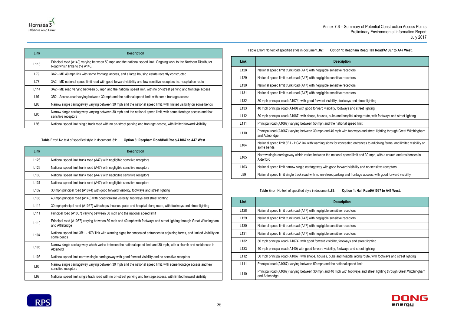

| <b>Link</b>      | <b>Description</b>                                                                                                                                   |
|------------------|------------------------------------------------------------------------------------------------------------------------------------------------------|
| L118             | Principal road (A140) varying between 50 mph and the national speed limit. Ongoing work to the Northern Distributor<br>Road which links to the A140. |
| L79              | 3A2 - MD 40 mph link with some frontage access, and a large housing estate recently constructed                                                      |
| L78              | 3A2 - MD national speed limit road with good forward visibility and few sensitive receptors i.e. hospital on route                                   |
| L <sub>114</sub> | 3A2 - MD road varying between 50 mph and the national speed limit, with no on-street parking and frontage access                                     |
| L97              | 3B2 - Access road varying between 30 mph and the national speed limit, with some frontage access                                                     |
| L96              | Narrow single carriageway varying between 30 mph and the national speed limit, with limited visibility on some bends                                 |
| L95              | Narrow single carriageway varying between 30 mph and the national speed limit, with some frontage access and few<br>sensitive receptors              |
| L98              | National speed limit single track road with no on-street parking and frontage access, with limited forward visibility                                |

**Table** Error! No text of specified style in document.**.81: Option 3: Reepham Road/Hall Road/A1067 to A47 West.**

<span id="page-39-0"></span>

| <b>Link</b>      | <b>Description</b>                                                                                                                         |
|------------------|--------------------------------------------------------------------------------------------------------------------------------------------|
| L128             | National speed limit trunk road (A47) with negligible sensitive receptors                                                                  |
| L129             | National speed limit trunk road (A47) with negligible sensitive receptors                                                                  |
| L <sub>130</sub> | National speed limit trunk road (A47) with negligible sensitive receptors                                                                  |
| L <sub>131</sub> | National speed limit trunk road (A47) with negligible sensitive receptors                                                                  |
| L <sub>132</sub> | 30 mph principal road (A1074) with good forward visibility, footways and street lighting                                                   |
| L <sub>133</sub> | 40 mph principal road (A140) with good forward visibility, footways and street lighting                                                    |
| L <sub>112</sub> | 30 mph principal road (A1067) with shops, houses, pubs and hospital along route, with footways and street lighting                         |
| L <sub>111</sub> | Principal road (A1067) varying between 50 mph and the national speed limit                                                                 |
| L110             | Principal road (A1067) varying between 30 mph and 40 mph with footways and street lighting through Great Witchingham<br>and Attlebridge    |
| L <sub>104</sub> | National speed limit 3B1 - HGV link with warning signs for concealed entrances to adjoining farms, and limited visibility on<br>some bends |
| L <sub>105</sub> | Narrow single carriageway which varies between the national speed limit and 30 mph, with a church and residences in<br>Alderford           |
| L <sub>103</sub> | National speed limit narrow single carriageway with good forward visibility and no sensitive receptors                                     |
| L95              | Narrow single carriageway varying between 30 mph and the national speed limit, with some frontage access and few<br>sensitive receptors    |
| L98              | National speed limit single track road with no on-street parking and frontage access, with limited forward visibility                      |

### **Table** Error! No text of specified style in document.**.82: Option 1: Reepham Road/Hall Road/A1067 to A47 West.**

<span id="page-39-1"></span>

| Link             | <b>Description</b>                                                                                                                         |
|------------------|--------------------------------------------------------------------------------------------------------------------------------------------|
| L128             | National speed limit trunk road (A47) with negligible sensitive receptors                                                                  |
| L <sub>129</sub> | National speed limit trunk road (A47) with negligible sensitive receptors                                                                  |
| L <sub>130</sub> | National speed limit trunk road (A47) with negligible sensitive receptors                                                                  |
| L <sub>131</sub> | National speed limit trunk road (A47) with negligible sensitive receptors                                                                  |
| L <sub>132</sub> | 30 mph principal road (A1074) with good forward visibility, footways and street lighting                                                   |
| L <sub>133</sub> | 40 mph principal road (A140) with good forward visibility, footways and street lighting                                                    |
| L112             | 30 mph principal road (A1067) with shops, houses, pubs and hospital along route, with footways and street lighting                         |
| L111             | Principal road (A1067) varying between 50 mph and the national speed limit                                                                 |
| L110             | Principal road (A1067) varying between 30 mph and 40 mph with footways and street lighting through Great Witchingham<br>and Attlebridge    |
| L <sub>104</sub> | National speed limit 3B1 - HGV link with warning signs for concealed entrances to adjoining farms, and limited visibility on<br>some bends |
| L <sub>105</sub> | Narrow single carriageway which varies between the national speed limit and 30 mph, with a church and residences in<br>Alderford           |
| L <sub>103</sub> | National speed limit narrow single carriageway with good forward visibility and no sensitive receptors                                     |
| L99              | National speed limit single track road with no on-street parking and frontage access, with good forward visibility                         |

### **Table** Error! No text of specified style in document.**.83: Option 1: Hall Road/A1067 to A47 West.**

<span id="page-39-2"></span>

| <b>Link</b>      | <b>Description</b>                                                                                                                      |
|------------------|-----------------------------------------------------------------------------------------------------------------------------------------|
| L <sub>128</sub> | National speed limit trunk road (A47) with negligible sensitive receptors                                                               |
| L <sub>129</sub> | National speed limit trunk road (A47) with negligible sensitive receptors                                                               |
| L <sub>130</sub> | National speed limit trunk road (A47) with negligible sensitive receptors                                                               |
| L <sub>131</sub> | National speed limit trunk road (A47) with negligible sensitive receptors                                                               |
| L <sub>132</sub> | 30 mph principal road (A1074) with good forward visibility, footways and street lighting                                                |
| L <sub>133</sub> | 40 mph principal road (A140) with good forward visibility, footways and street lighting                                                 |
| L <sub>112</sub> | 30 mph principal road (A1067) with shops, houses, pubs and hospital along route, with footways and street lighting                      |
| L <sub>111</sub> | Principal road (A1067) varying between 50 mph and the national speed limit                                                              |
| L <sub>110</sub> | Principal road (A1067) varying between 30 mph and 40 mph with footways and street lighting through Great Witchingham<br>and Attlebridge |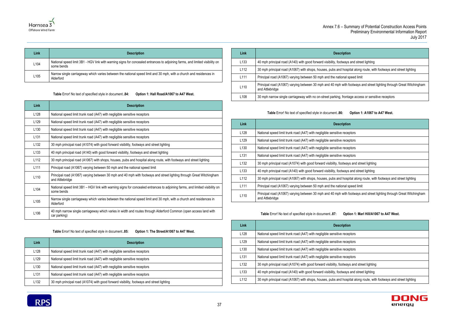ways and street lighting

hospital along route, with footways and street lighting

nal speed limit

with footways and street lighting through Great Witchingham

frontage access or sensitive receptors

# receptors receptors receptors receptors otways and street lighting tways and street lighting Inospital along route, with footways and street lighting onal speed limit with footways and street lighting through Great Witchingham



| Annex 7.6 - |  |
|-------------|--|
|             |  |

| Link | <b>Description</b>                                                                                                                         |
|------|--------------------------------------------------------------------------------------------------------------------------------------------|
| L104 | National speed limit 3B1 - HGV link with warning signs for concealed entrances to adjoining farms, and limited visibility on<br>some bends |
| L105 | Narrow single carriageway which varies between the national speed limit and 30 mph, with a church and residences in<br>Alderford           |

**Table** Error! No text of specified style in document.**.84: Option 1: Hall Road/A1067 to A47 West.**

<span id="page-40-0"></span>

| Link             | <b>Description</b>                                                                                                                         |
|------------------|--------------------------------------------------------------------------------------------------------------------------------------------|
| L128             | National speed limit trunk road (A47) with negligible sensitive receptors                                                                  |
| L129             | National speed limit trunk road (A47) with negligible sensitive receptors                                                                  |
| L <sub>130</sub> | National speed limit trunk road (A47) with negligible sensitive receptors                                                                  |
| L <sub>131</sub> | National speed limit trunk road (A47) with negligible sensitive receptors                                                                  |
| L <sub>132</sub> | 30 mph principal road (A1074) with good forward visibility, footways and street lighting                                                   |
| L <sub>133</sub> | 40 mph principal road (A140) with good forward visibility, footways and street lighting                                                    |
| L112             | 30 mph principal road (A1067) with shops, houses, pubs and hospital along route, with footways and street lighting                         |
| L <sub>111</sub> | Principal road (A1067) varying between 50 mph and the national speed limit                                                                 |
| L <sub>110</sub> | Principal road (A1067) varying between 30 mph and 40 mph with footways and street lighting through Great Witchingham<br>and Attlebridge    |
| L <sub>104</sub> | National speed limit 3B1 - HGV link with warning signs for concealed entrances to adjoining farms, and limited visibility on<br>some bends |
| L <sub>105</sub> | Narrow single carriageway which varies between the national speed limit and 30 mph, with a church and residences in<br>Alderford           |
| L <sub>106</sub> | 40 mph narrow single carriageway which varies in width and routes through Alderford Common (open access land with<br>car parking)          |

**Table** Error! No text of specified style in document.**.85: Option 1: The Street/A1067 to A47 West.**

<span id="page-40-1"></span>

| Link             | <b>Description</b>                                                                       |
|------------------|------------------------------------------------------------------------------------------|
| L <sub>128</sub> | National speed limit trunk road (A47) with negligible sensitive receptors                |
| L <sub>129</sub> | National speed limit trunk road (A47) with negligible sensitive receptors                |
| L <sub>130</sub> | National speed limit trunk road (A47) with negligible sensitive receptors                |
| L <sub>131</sub> | National speed limit trunk road (A47) with negligible sensitive receptors                |
| L <sub>132</sub> | 30 mph principal road (A1074) with good forward visibility, footways and street lighting |

| Link             | <b>Description</b>                                                                   |
|------------------|--------------------------------------------------------------------------------------|
| L <sub>133</sub> | 40 mph principal road (A140) with good forward visibility, footways a                |
| L <sub>112</sub> | 30 mph principal road (A1067) with shops, houses, pubs and hospit                    |
| L <sub>111</sub> | Principal road (A1067) varying between 50 mph and the national sp                    |
| L <sub>110</sub> | Principal road (A1067) varying between 30 mph and 40 mph with for<br>and Attlebridge |
| L <sub>108</sub> | 30 mph narrow single carriageway with no on-street parking, frontaged                |

**Table** Error! No text of specified style in document.**.86: Option 1: A1067 to A47 West.**

<span id="page-40-2"></span>

| Link             | <b>Description</b>                                                                  |
|------------------|-------------------------------------------------------------------------------------|
| L <sub>128</sub> | National speed limit trunk road (A47) with negligible sensitive recep               |
| L129             | National speed limit trunk road (A47) with negligible sensitive recep               |
| L <sub>130</sub> | National speed limit trunk road (A47) with negligible sensitive recep               |
| L131             | National speed limit trunk road (A47) with negligible sensitive recep               |
| L132             | 30 mph principal road (A1074) with good forward visibility, footways                |
| L <sub>133</sub> | 40 mph principal road (A140) with good forward visibility, footways a               |
| L112             | 30 mph principal road (A1067) with shops, houses, pubs and hospit                   |
| L <sub>111</sub> | Principal road (A1067) varying between 50 mph and the national sp                   |
| L110             | Principal road (A1067) varying between 30 mph and 40 mph with fo<br>and Attlebridge |

**Table** Error! No text of specified style in document.**.87: Option 1: Marl Hill/A1067 to A47 West.**

<span id="page-40-3"></span>

| <b>Link</b>      | <b>Description</b>                                                                                                 |
|------------------|--------------------------------------------------------------------------------------------------------------------|
| L128             | National speed limit trunk road (A47) with negligible sensitive receptors                                          |
| L <sub>129</sub> | National speed limit trunk road (A47) with negligible sensitive receptors                                          |
| L <sub>130</sub> | National speed limit trunk road (A47) with negligible sensitive receptors                                          |
| L <sub>131</sub> | National speed limit trunk road (A47) with negligible sensitive receptors                                          |
| L <sub>132</sub> | 30 mph principal road (A1074) with good forward visibility, footways and street lighting                           |
| L <sub>133</sub> | 40 mph principal road (A140) with good forward visibility, footways and street lighting                            |
| L112             | 30 mph principal road (A1067) with shops, houses, pubs and hospital along route, with footways and street lighting |
|                  |                                                                                                                    |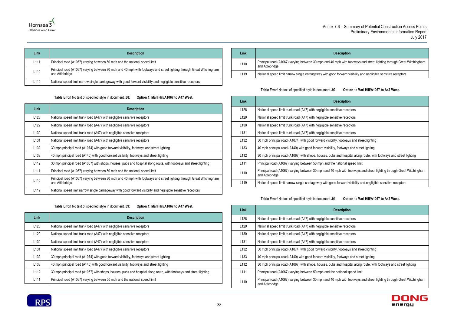with footways and street lighting through Great Witchingham

ard visibility and negligible sensitive receptors

| ption                                                       |
|-------------------------------------------------------------|
| eceptors                                                    |
| eceptors                                                    |
| eceptors                                                    |
| eceptors                                                    |
| tways and street lighting                                   |
| vays and street lighting                                    |
| nospital along route, with footways and street lighting     |
| al speed limit                                              |
| vith footways and street lighting through Great Witchingham |
| ard visibility and negligible sensitive receptors           |



| Link             | <b>Description</b>                                                                                                                      |
|------------------|-----------------------------------------------------------------------------------------------------------------------------------------|
| L <sub>111</sub> | Principal road (A1067) varying between 50 mph and the national speed limit                                                              |
| L110             | Principal road (A1067) varying between 30 mph and 40 mph with footways and street lighting through Great Witchingham<br>and Attlebridge |
| L <sub>119</sub> | National speed limit narrow single carriageway with good forward visibility and negligible sensitive receptors                          |

### **Table** Error! No text of specified style in document.**.88: Option 1: Marl Hill/A1067 to A47 West.**

<span id="page-41-0"></span>

| <b>Link</b>      | <b>Description</b>                                                                                                                      |
|------------------|-----------------------------------------------------------------------------------------------------------------------------------------|
| L <sub>128</sub> | National speed limit trunk road (A47) with negligible sensitive receptors                                                               |
| L <sub>129</sub> | National speed limit trunk road (A47) with negligible sensitive receptors                                                               |
| L <sub>130</sub> | National speed limit trunk road (A47) with negligible sensitive receptors                                                               |
| L <sub>131</sub> | National speed limit trunk road (A47) with negligible sensitive receptors                                                               |
| L <sub>132</sub> | 30 mph principal road (A1074) with good forward visibility, footways and street lighting                                                |
| L <sub>133</sub> | 40 mph principal road (A140) with good forward visibility, footways and street lighting                                                 |
| L <sub>112</sub> | 30 mph principal road (A1067) with shops, houses, pubs and hospital along route, with footways and street lighting                      |
| L <sub>111</sub> | Principal road (A1067) varying between 50 mph and the national speed limit                                                              |
| L110             | Principal road (A1067) varying between 30 mph and 40 mph with footways and street lighting through Great Witchingham<br>and Attlebridge |
| L <sub>119</sub> | National speed limit narrow single carriageway with good forward visibility and negligible sensitive receptors                          |

**Table** Error! No text of specified style in document.**.89: Option 1: Marl Hill/A1067 to A47 West.**

<span id="page-41-1"></span>

| <b>Link</b>      | <b>Description</b>                                                                                                 |
|------------------|--------------------------------------------------------------------------------------------------------------------|
| L <sub>128</sub> | National speed limit trunk road (A47) with negligible sensitive receptors                                          |
| L <sub>129</sub> | National speed limit trunk road (A47) with negligible sensitive receptors                                          |
| L <sub>130</sub> | National speed limit trunk road (A47) with negligible sensitive receptors                                          |
| L <sub>131</sub> | National speed limit trunk road (A47) with negligible sensitive receptors                                          |
| L <sub>132</sub> | 30 mph principal road (A1074) with good forward visibility, footways and street lighting                           |
| L <sub>133</sub> | 40 mph principal road (A140) with good forward visibility, footways and street lighting                            |
| L <sub>112</sub> | 30 mph principal road (A1067) with shops, houses, pubs and hospital along route, with footways and street lighting |
| L <sub>111</sub> | Principal road (A1067) varying between 50 mph and the national speed limit                                         |



| Link             | <b>Description</b>                                                                  |
|------------------|-------------------------------------------------------------------------------------|
| L <sub>110</sub> | Principal road (A1067) varying between 30 mph and 40 mph with fo<br>and Attlebridge |
| L <sub>119</sub> | National speed limit narrow single carriageway with good forward vi                 |

### **Table** Error! No text of specified style in document.**.90: Option 1: Marl Hill/A1067 to A47 West.**

<span id="page-41-2"></span>

| Link             | <b>Description</b>                                                                                                                      |
|------------------|-----------------------------------------------------------------------------------------------------------------------------------------|
| L128             | National speed limit trunk road (A47) with negligible sensitive receptors                                                               |
| L <sub>129</sub> | National speed limit trunk road (A47) with negligible sensitive receptors                                                               |
| L <sub>130</sub> | National speed limit trunk road (A47) with negligible sensitive receptors                                                               |
| L <sub>131</sub> | National speed limit trunk road (A47) with negligible sensitive receptors                                                               |
| L <sub>132</sub> | 30 mph principal road (A1074) with good forward visibility, footways and street lighting                                                |
| L <sub>133</sub> | 40 mph principal road (A140) with good forward visibility, footways and street lighting                                                 |
| L <sub>112</sub> | 30 mph principal road (A1067) with shops, houses, pubs and hospital along route, with footways and street lighting                      |
| L <sub>111</sub> | Principal road (A1067) varying between 50 mph and the national speed limit                                                              |
| L110             | Principal road (A1067) varying between 30 mph and 40 mph with footways and street lighting through Great Witchingham<br>and Attlebridge |
| L <sub>119</sub> | National speed limit narrow single carriageway with good forward visibility and negligible sensitive receptors                          |

### **Table** Error! No text of specified style in document.**.91: Option 1: Marl Hill/A1067 to A47 West.**

<span id="page-41-3"></span>

| Link             | <b>Description</b>                                                                                                                      |
|------------------|-----------------------------------------------------------------------------------------------------------------------------------------|
| L <sub>128</sub> | National speed limit trunk road (A47) with negligible sensitive receptors                                                               |
| L <sub>129</sub> | National speed limit trunk road (A47) with negligible sensitive receptors                                                               |
| L <sub>130</sub> | National speed limit trunk road (A47) with negligible sensitive receptors                                                               |
| L <sub>131</sub> | National speed limit trunk road (A47) with negligible sensitive receptors                                                               |
| L <sub>132</sub> | 30 mph principal road (A1074) with good forward visibility, footways and street lighting                                                |
| L <sub>133</sub> | 40 mph principal road (A140) with good forward visibility, footways and street lighting                                                 |
| L <sub>112</sub> | 30 mph principal road (A1067) with shops, houses, pubs and hospital along route, with footways and street lighting                      |
| L <sub>111</sub> | Principal road (A1067) varying between 50 mph and the national speed limit                                                              |
| L110             | Principal road (A1067) varying between 30 mph and 40 mph with footways and street lighting through Great Witchingham<br>and Attlebridge |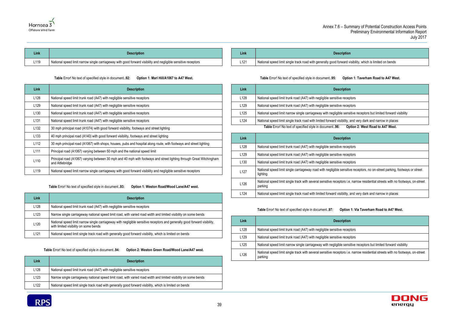ard visibility, which is limited on bends

receptors

receptors

sensitive receptors but limited forward visibility

ibility, and very dark and narrow in places

### **Option 2: West Road to A47 West.**

e receptors

e receptors

exteeptors

ensitive receptors, no on-street parking, footways or street

tors i.e. narrow residential streets with no footways, on-street

ibility, and very dark and narrow in places





| Link | <b>Description</b>                                                                                             | Link |              |
|------|----------------------------------------------------------------------------------------------------------------|------|--------------|
| L119 | National speed limit narrow single carriageway with good forward visibility and negligible sensitive receptors | 101  | National spe |

### **Table** Error! No text of specified style in document.**.92: Option 1: Marl Hill/A1067 to A47 West.**

<span id="page-42-0"></span>

| Link             | <b>Description</b>                                                                                                                      |
|------------------|-----------------------------------------------------------------------------------------------------------------------------------------|
| L <sub>128</sub> | National speed limit trunk road (A47) with negligible sensitive receptors                                                               |
| L <sub>129</sub> | National speed limit trunk road (A47) with negligible sensitive receptors                                                               |
| L <sub>130</sub> | National speed limit trunk road (A47) with negligible sensitive receptors                                                               |
| L <sub>131</sub> | National speed limit trunk road (A47) with negligible sensitive receptors                                                               |
| L <sub>132</sub> | 30 mph principal road (A1074) with good forward visibility, footways and street lighting                                                |
| L <sub>133</sub> | 40 mph principal road (A140) with good forward visibility, footways and street lighting                                                 |
| L <sub>112</sub> | 30 mph principal road (A1067) with shops, houses, pubs and hospital along route, with footways and street lighting                      |
| L <sub>111</sub> | Principal road (A1067) varying between 50 mph and the national speed limit                                                              |
| L110             | Principal road (A1067) varying between 30 mph and 40 mph with footways and street lighting through Great Witchingham<br>and Attlebridge |
| L119             | National speed limit narrow single carriageway with good forward visibility and negligible sensitive receptors                          |

**Table** Error! No text of specified style in document.**.93: Option 1: Weston Road/Wood Lane/A47 west.**

<span id="page-42-1"></span>

| Link             | <b>Description</b>                                                                                                                                                 |
|------------------|--------------------------------------------------------------------------------------------------------------------------------------------------------------------|
| L <sub>128</sub> | National speed limit trunk road (A47) with negligible sensitive receptors                                                                                          |
| L <sub>123</sub> | Narrow single carriageway national speed limit road, with varied road width and limited visibility on some bends                                                   |
| L <sub>120</sub> | National speed limit narrow single carriageway with negligible sensitive receptors and generally good forward visibility,<br>with limited visibility on some bends |
| L <sub>121</sub> | National speed limit single track road with generally good forward visibility, which is limited on bends                                                           |

**Table** Error! No text of specified style in document.**.94: Option 2: Weston Green Road/Wood Lane/A47 west.**

<span id="page-42-2"></span>

| Link             | <b>Description</b>                                                                                               |
|------------------|------------------------------------------------------------------------------------------------------------------|
| L <sub>128</sub> | National speed limit trunk road (A47) with negligible sensitive receptors                                        |
| L <sub>123</sub> | Narrow single carriageway national speed limit road, with varied road width and limited visibility on some bends |
| L <sub>122</sub> | National speed limit single track road with generally good forward visibility, which is limited on bends         |

| Link             | <b>Description</b>                                                    |
|------------------|-----------------------------------------------------------------------|
| L <sub>121</sub> | National speed limit single track road with generally good forward vi |

### **Table** Error! No text of specified style in document.**.95: Option 1: Taverham Road to A47 West.**

<span id="page-42-3"></span>

| <b>Description</b>                                                        | Link             |
|---------------------------------------------------------------------------|------------------|
| National speed limit trunk road (A47) with negligible sensitive recep     | L <sub>128</sub> |
| National speed limit trunk road (A47) with negligible sensitive recep     | L <sub>129</sub> |
| National speed limit narrow single carriageway with negligible sensi      | L <sub>125</sub> |
| National speed limit single track road with limited forward visibility, a | L <sub>124</sub> |
| Table Error! No text of specified style in document96:<br><b>Op</b>       |                  |
|                                                                           |                  |

<span id="page-42-4"></span>

| Link             | <b>Description</b>                                                                 |
|------------------|------------------------------------------------------------------------------------|
| L <sub>128</sub> | National speed limit trunk road (A47) with negligible sensitive recep              |
| L <sub>129</sub> | National speed limit trunk road (A47) with negligible sensitive recep              |
| L <sub>130</sub> | National speed limit trunk road (A47) with negligible sensitive recep              |
| L <sub>127</sub> | National speed limit single carriageway road with negligible sensitiv<br>lighting  |
| L <sub>126</sub> | National speed limit single track with several sensitive receptors i.e.<br>parking |
| L <sub>124</sub> | National speed limit single track road with limited forward visibility, a          |

### **Table** Error! No text of specified style in document.**.97: Option 1: Via Taverham Road to A47 West.**

<span id="page-42-5"></span>

| Link | <b>Description</b>                                                                                                                        |
|------|-------------------------------------------------------------------------------------------------------------------------------------------|
| L128 | National speed limit trunk road (A47) with negligible sensitive receptors                                                                 |
| L129 | National speed limit trunk road (A47) with negligible sensitive receptors                                                                 |
| L125 | National speed limit narrow single carriageway with negligible sensitive receptors but limited forward visibility                         |
| L126 | National speed limit single track with several sensitive receptors i.e. narrow residential streets with no footways, on-street<br>parking |

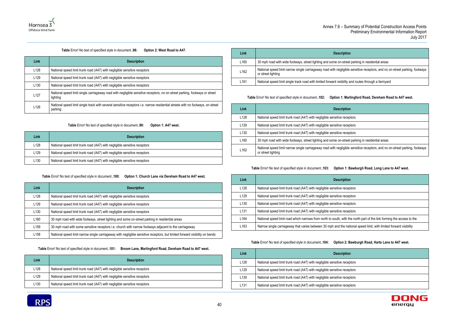-street parking in residential areas

ligible sensitive receptors, and no on-street parking, footways

bility and routes through a farmyard





### **Table** Error! No text of specified style in document.**.98: Option 2: West Road to A47.**

<span id="page-43-0"></span>

| Link             | <b>Description</b>                                                                                                                        |
|------------------|-------------------------------------------------------------------------------------------------------------------------------------------|
| L <sub>128</sub> | National speed limit trunk road (A47) with negligible sensitive receptors                                                                 |
| L <sub>129</sub> | National speed limit trunk road (A47) with negligible sensitive receptors                                                                 |
| L <sub>130</sub> | National speed limit trunk road (A47) with negligible sensitive receptors                                                                 |
| L <sub>127</sub> | National speed limit single carriageway road with negligible sensitive receptors, no on-street parking, footways or street<br>lighting    |
| L <sub>126</sub> | National speed limit single track with several sensitive receptors i.e. narrow residential streets with no footways, on-street<br>parking |

### **Table** Error! No text of specified style in document.**.99: Option 1: A47 west.**

<span id="page-43-1"></span>

| Link             | <b>Description</b>                                                        |
|------------------|---------------------------------------------------------------------------|
| L <sub>128</sub> | National speed limit trunk road (A47) with negligible sensitive receptors |
| L <sub>129</sub> | National speed limit trunk road (A47) with negligible sensitive receptors |
| L130             | National speed limit trunk road (A47) with negligible sensitive receptors |

### **Table** Error! No text of specified style in document.**.100: Option 1: Church Lane via Dereham Road to A47 west.**

<span id="page-43-2"></span>

| Link             | <b>Description</b>                                                                                                          |
|------------------|-----------------------------------------------------------------------------------------------------------------------------|
| L <sub>128</sub> | National speed limit trunk road (A47) with negligible sensitive receptors                                                   |
| L <sub>129</sub> | National speed limit trunk road (A47) with negligible sensitive receptors                                                   |
| L <sub>130</sub> | National speed limit trunk road (A47) with negligible sensitive receptors                                                   |
| L <sub>160</sub> | 30 mph road with wide footways, street lighting and some on-street parking in residential areas                             |
| L <sub>159</sub> | 30 mph road with some sensitive receptors i.e. church with narrow footways adjacent to the carriageway                      |
| L <sub>158</sub> | National speed limit narrow single carriageway with negligible sensitive receptors, but limited forward visibility on bends |

**Table** Error! No text of specified style in document.**.101: Broom Lane, Marlingford Road, Dereham Road to A47 west.**

<span id="page-43-3"></span>

| Link             | <b>Description</b>                                                        |
|------------------|---------------------------------------------------------------------------|
| L128             | National speed limit trunk road (A47) with negligible sensitive receptors |
| L <sub>129</sub> | National speed limit trunk road (A47) with negligible sensitive receptors |
| L <sub>130</sub> | National speed limit trunk road (A47) with negligible sensitive receptors |



| Link             | <b>Description</b>                                                                        |
|------------------|-------------------------------------------------------------------------------------------|
| L <sub>160</sub> | 30 mph road with wide footways, street lighting and some on-street                        |
| L <sub>162</sub> | National speed limit narrow single carriageway road with negligible<br>or street lighting |
| L <sub>161</sub> | National speed limit single track road with limited forward visibility a                  |

### **Table** Error! No text of specified style in document.**.102: Option 1: Marlingford Road, Dereham Road to A47 west.**

<span id="page-43-4"></span>

| Link             | <b>Description</b>                                                                                                                                |
|------------------|---------------------------------------------------------------------------------------------------------------------------------------------------|
| L <sub>128</sub> | National speed limit trunk road (A47) with negligible sensitive receptors                                                                         |
| L129             | National speed limit trunk road (A47) with negligible sensitive receptors                                                                         |
| L <sub>130</sub> | National speed limit trunk road (A47) with negligible sensitive receptors                                                                         |
| L160             | 30 mph road with wide footways, street lighting and some on-street parking in residential areas                                                   |
| L162             | National speed limit narrow single carriageway road with negligible sensitive receptors, and no on-street parking, footways<br>or street lighting |

### **Table** Error! No text of specified style in document.**.103: Option 1: Bawburgh Road, Long Lane to A47 west.**

<span id="page-43-5"></span>

| Link             | <b>Description</b>                                                                                                     |
|------------------|------------------------------------------------------------------------------------------------------------------------|
| L <sub>128</sub> | National speed limit trunk road (A47) with negligible sensitive receptors                                              |
| L <sub>129</sub> | National speed limit trunk road (A47) with negligible sensitive receptors                                              |
| L <sub>130</sub> | National speed limit trunk road (A47) with negligible sensitive receptors                                              |
| L <sub>131</sub> | National speed limit trunk road (A47) with negligible sensitive receptors                                              |
| L164             | National speed limit road which narrows from north to south, with the north part of the link forming the access to the |
| L163             | Narrow single carriageway that varies between 30 mph and the national speed limit, with limited forward visibility     |

### **Table** Error! No text of specified style in document.**.104: Option 2: Bawburgh Road, Harts Lane to A47 west.**

<span id="page-43-6"></span>

| Link             | <b>Description</b>                                                        |
|------------------|---------------------------------------------------------------------------|
| L128             | National speed limit trunk road (A47) with negligible sensitive receptors |
| L129             | National speed limit trunk road (A47) with negligible sensitive receptors |
| L <sub>130</sub> | National speed limit trunk road (A47) with negligible sensitive receptors |
| L131             | National speed limit trunk road (A47) with negligible sensitive receptors |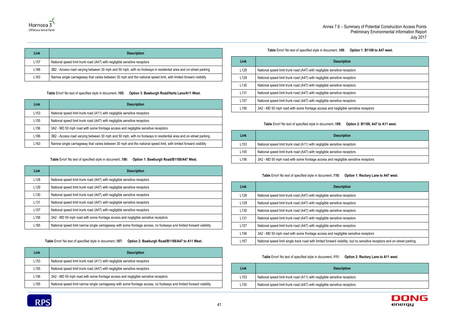### **08:** Option 1: B1108 to A47 west.



| Link             | <b>Description</b>                                                                                                 |
|------------------|--------------------------------------------------------------------------------------------------------------------|
| L <sub>157</sub> | National speed limit trunk road (A47) with negligible sensitive receptors                                          |
| L <sub>166</sub> | 3B2 - Access road varying between 30 mph and 50 mph, with no footways in residential area and on-street parking    |
| L <sub>163</sub> | Narrow single carriageway that varies between 30 mph and the national speed limit, with limited forward visibility |

**Table** Error! No text of specified style in document.**.105: Option 3: Bawburgh Road/Harts Lane/A11 West.**

<span id="page-44-0"></span>

| Link             | <b>Description</b>                                                                                                 |
|------------------|--------------------------------------------------------------------------------------------------------------------|
| L <sub>153</sub> | National speed limit trunk road (A11) with negligible sensitive receptors                                          |
| L <sub>155</sub> | National speed limit trunk road (A47) with negligible sensitive receptors                                          |
| L <sub>156</sub> | 3A2 - MD 50 mph road with some frontage access and negligible sensitive receptors                                  |
| L166             | 3B2 - Access road varying between 30 mph and 50 mph, with no footways in residential area and on-street parking    |
| L <sub>163</sub> | Narrow single carriageway that varies between 30 mph and the national speed limit, with limited forward visibility |

### **Table** Error! No text of specified style in document.**.106: Option 1: Bawburgh Road/B1108/A47 West.**

<span id="page-44-1"></span>

| Link             | <b>Description</b>                                                                                                   |
|------------------|----------------------------------------------------------------------------------------------------------------------|
| L <sub>128</sub> | National speed limit trunk road (A47) with negligible sensitive receptors                                            |
| L <sub>129</sub> | National speed limit trunk road (A47) with negligible sensitive receptors                                            |
| L <sub>130</sub> | National speed limit trunk road (A47) with negligible sensitive receptors                                            |
| L <sub>131</sub> | National speed limit trunk road (A47) with negligible sensitive receptors                                            |
| L <sub>157</sub> | National speed limit trunk road (A47) with negligible sensitive receptors                                            |
| L <sub>156</sub> | 3A2 - MD 50 mph road with some frontage access and negligible sensitive receptors                                    |
| L <sub>165</sub> | National speed limit narrow single carriageway with some frontage access, no footways and limited forward visibility |

**Table** Error! No text of specified style in document.**.107: Option 2: Bawburgh Road/B1108/A47 to A11 West.**

<span id="page-44-2"></span>

| Link             | <b>Description</b>                                                                                                   |
|------------------|----------------------------------------------------------------------------------------------------------------------|
| L <sub>153</sub> | National speed limit trunk road (A11) with negligible sensitive receptors                                            |
| L <sub>155</sub> | National speed limit trunk road (A47) with negligible sensitive receptors                                            |
| L156             | 3A2 - MD 50 mph road with some frontage access and negligible sensitive receptors                                    |
| L165             | National speed limit narrow single carriageway with some frontage access, no footways and limited forward visibility |

<span id="page-44-3"></span>

| Link             | <b>Description</b>                                                                |
|------------------|-----------------------------------------------------------------------------------|
| L <sub>128</sub> | National speed limit trunk road (A47) with negligible sensitive receptors         |
| L <sub>129</sub> | National speed limit trunk road (A47) with negligible sensitive receptors         |
| L <sub>130</sub> | National speed limit trunk road (A47) with negligible sensitive receptors         |
| L <sub>131</sub> | National speed limit trunk road (A47) with negligible sensitive receptors         |
| L <sub>157</sub> | National speed limit trunk road (A47) with negligible sensitive receptors         |
| L156             | 3A2 - MD 50 mph road with some frontage access and negligible sensitive receptors |

### **Table** Error! No text of specified style in document.**.109: Option 2: B1108, A47 to A11 west.**

<span id="page-44-4"></span>

| Link | <b>Description</b>                                                                |
|------|-----------------------------------------------------------------------------------|
| ∟153 | National speed limit trunk road (A11) with negligible sensitive receptors         |
| ∟155 | National speed limit trunk road (A47) with negligible sensitive receptors         |
| ∟156 | 3A2 - MD 50 mph road with some frontage access and negligible sensitive receptors |

### **Table** Error! No text of specified style in document.**.110: Option 1: Rectory Lane to A47 west.**

<span id="page-44-5"></span>

| Link             | <b>Description</b>                                                                                                       |
|------------------|--------------------------------------------------------------------------------------------------------------------------|
| L <sub>128</sub> | National speed limit trunk road (A47) with negligible sensitive receptors                                                |
| L <sub>129</sub> | National speed limit trunk road (A47) with negligible sensitive receptors                                                |
| L <sub>130</sub> | National speed limit trunk road (A47) with negligible sensitive receptors                                                |
| L <sub>131</sub> | National speed limit trunk road (A47) with negligible sensitive receptors                                                |
| L <sub>157</sub> | National speed limit trunk road (A47) with negligible sensitive receptors                                                |
| L <sub>156</sub> | 3A2 - MD 50 mph road with some frontage access and negligible sensitive receptors                                        |
| L <sub>167</sub> | National speed limit single track road with limited forward visibility, but no sensitive receptors and on-street parking |

**Table** Error! No text of specified style in document.**.111: Option 2: Rectory Lane to A11 west.**

<span id="page-44-6"></span>

| Link | <b>Description</b>                                                        |
|------|---------------------------------------------------------------------------|
| L153 | National speed limit trunk road (A11) with negligible sensitive receptors |
| ∟155 | National speed limit trunk road (A47) with negligible sensitive receptors |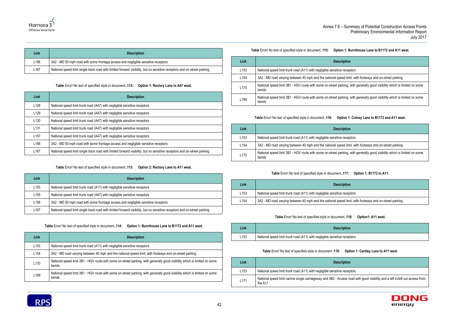receptors

ed limit, with footways and on-street parking

king, with generally good visibility which is limited on some

receptors

ed limit, with footways and on-street parking

receptors

receptors

ess road with good visibility and a left in/left out access from





| Link<br><b>Description</b> |                  |                                                                                                                          |  |  |  |
|----------------------------|------------------|--------------------------------------------------------------------------------------------------------------------------|--|--|--|
|                            | L <sub>156</sub> | 3A2 - MD 50 mph road with some frontage access and negligible sensitive receptors                                        |  |  |  |
| L <sub>167</sub>           |                  | National speed limit single track road with limited forward visibility, but no sensitive receptors and on-street parking |  |  |  |

**Table** Error! No text of specified style in document.**.112: Option 1: Rectory Lane to A47 west.**

<span id="page-45-0"></span>

| Link             | <b>Description</b>                                                                                                       |  |  |  |
|------------------|--------------------------------------------------------------------------------------------------------------------------|--|--|--|
| L128             | National speed limit trunk road (A47) with negligible sensitive receptors                                                |  |  |  |
| L <sub>129</sub> | National speed limit trunk road (A47) with negligible sensitive receptors                                                |  |  |  |
| L <sub>130</sub> | National speed limit trunk road (A47) with negligible sensitive receptors                                                |  |  |  |
| L <sub>131</sub> | National speed limit trunk road (A47) with negligible sensitive receptors                                                |  |  |  |
| L <sub>157</sub> | National speed limit trunk road (A47) with negligible sensitive receptors                                                |  |  |  |
| L <sub>156</sub> | 3A2 - MD 50 mph road with some frontage access and negligible sensitive receptors                                        |  |  |  |
| L <sub>167</sub> | National speed limit single track road with limited forward visibility, but no sensitive receptors and on-street parking |  |  |  |

### **Table** Error! No text of specified style in document.**.113: Option 2: Rectory Lane to A11 west.**

<span id="page-45-1"></span>

| Link             | <b>Description</b>                                                                                                       |  |  |
|------------------|--------------------------------------------------------------------------------------------------------------------------|--|--|
| L <sub>153</sub> | National speed limit trunk road (A11) with negligible sensitive receptors                                                |  |  |
| L <sub>155</sub> | National speed limit trunk road (A47) with negligible sensitive receptors                                                |  |  |
| L <sub>156</sub> | 3A2 - MD 50 mph road with some frontage access and negligible sensitive receptors                                        |  |  |
| L <sub>167</sub> | National speed limit single track road with limited forward visibility, but no sensitive receptors and on-street parking |  |  |

**Table** Error! No text of specified style in document.**.114: Option 1: Burnthouse Lane to B1172 and A11 west.**

<span id="page-45-2"></span>

| Link             | <b>Description</b>                                                                                                                 |  |  |
|------------------|------------------------------------------------------------------------------------------------------------------------------------|--|--|
| L <sub>153</sub> | National speed limit trunk road (A11) with negligible sensitive receptors                                                          |  |  |
| L <sub>154</sub> | 3A2 - MD road varying between 40 mph and the national speed limit, with footways and on-street parking                             |  |  |
| L <sub>170</sub> | National speed limit 3B1 - HGV route with some on-street parking, with generally good visibility which is limited on some<br>bends |  |  |
| L <sub>169</sub> | National speed limit 3B1 - HGV route with some on-street parking, with generally good visibility which is limited on some<br>bends |  |  |

### **Table** Error! No text of specified style in document.**.115: Option 1: Burnthouse Lane to B1172 and A11 west.**

<span id="page-45-3"></span>

| Link             | <b>Description</b>                                                                                                                 |
|------------------|------------------------------------------------------------------------------------------------------------------------------------|
| L153             | National speed limit trunk road (A11) with negligible sensitive receptors                                                          |
| L <sub>154</sub> | 3A2 - MD road varying between 40 mph and the national speed limit, with footways and on-street parking                             |
| L170             | National speed limit 3B1 - HGV route with some on-street parking, with generally good visibility which is limited on some<br>bends |
| L169             | National speed limit 3B1 - HGV route with some on-street parking, with generally good visibility which is limited on some<br>bends |

### **Table** Error! No text of specified style in document.**.116: Option 1: Colney Lane to B1172 and A11 west.**

<span id="page-45-4"></span>

| Link             | <b>Description</b>                                                         |
|------------------|----------------------------------------------------------------------------|
| L <sub>153</sub> | National speed limit trunk road (A11) with negligible sensitive recep      |
| L <sub>154</sub> | 3A2 - MD road varying between 40 mph and the national speed limi           |
| L <sub>170</sub> | National speed limit 3B1 - HGV route with some on-street parking,<br>bends |

### **Table** Error! No text of specified style in document.**.117: Option 1: B1172 to A11.**

<span id="page-45-5"></span>

| Link             | <b>Description</b>                                                    |
|------------------|-----------------------------------------------------------------------|
| L <sub>153</sub> | National speed limit trunk road (A11) with negligible sensitive recep |
| L154             | 3A2 - MD road varying between 40 mph and the national speed limi      |

### **Table** Error! No text of specified style in document.**.118: Option1: A11 west.**

<span id="page-45-6"></span>

| Link             | <b>Description</b>                                                    |
|------------------|-----------------------------------------------------------------------|
| L <sub>153</sub> | National speed limit trunk road (A11) with negligible sensitive recep |

### **Table** Error! No text of specified style in document.**.119: Option 1: Cantley Lane to A11 west.**

<span id="page-45-7"></span>

| Link             | <b>Description</b>                                                            |
|------------------|-------------------------------------------------------------------------------|
| L <sub>153</sub> | National speed limit trunk road (A11) with negligible sensitive recep         |
| L <sub>171</sub> | National speed limit narrow single carriageway and 3B2 - Access ro<br>the A11 |

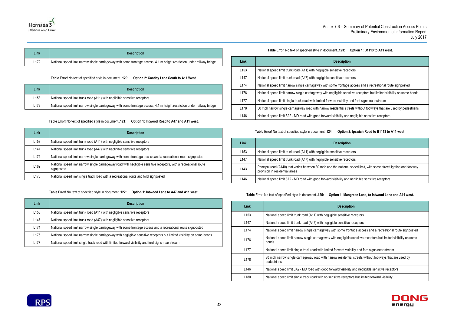access and a recreational route signposted

tive receptors but limited visibility on some bends

nd ford signs near stream

ets without footways that are used by pedestrians

negligible sensitive receptors

receptors

receptors **s** 

ational speed limit, with some street lighting and footway

ty and negligible sensitive receptors

|  |  | cription |
|--|--|----------|
|  |  |          |

nsitive receptors

nsitive receptors

me frontage access and a recreational route signposted

gligible sensitive receptors but limited visibility on some

Ind visibility and ford signs near stream

sidential streets without footways that are used by

isibility and negligible sensitive receptors

receptors but limited forward visibility





| Link             | <b>Description</b>                                                                                                      |
|------------------|-------------------------------------------------------------------------------------------------------------------------|
| L <sub>172</sub> | National speed limit narrow single carriageway with some frontage access, 4.1 m height restriction under railway bridge |

**Table** Error! No text of specified style in document.**.120: Option 2: Cantley Lane South to A11 West.**

<span id="page-46-0"></span>

| Link             | <b>Description</b>                                                                                                      |  |  |
|------------------|-------------------------------------------------------------------------------------------------------------------------|--|--|
| L <sub>153</sub> | National speed limit trunk road (A11) with negligible sensitive receptors                                               |  |  |
| L <sub>172</sub> | National speed limit narrow single carriageway with some frontage access, 4.1 m height restriction under railway bridge |  |  |

**Table** Error! No text of specified style in document.**.121: Option 1: Intwood Road to A47 and A11 west.**

<span id="page-46-1"></span>

| Link             | <b>Description</b>                                                                                                               |
|------------------|----------------------------------------------------------------------------------------------------------------------------------|
| L <sub>153</sub> | National speed limit trunk road (A11) with negligible sensitive receptors                                                        |
| L <sub>147</sub> | National speed limit trunk road (A47) with negligible sensitive receptors                                                        |
| L <sub>174</sub> | National speed limit narrow single carriageway with some frontage access and a recreational route signposted                     |
| L <sub>182</sub> | National speed limit narrow single carriageway road with negligible sensitive receptors, with a recreational route<br>signposted |
| L <sub>175</sub> | National speed limit single track road with a recreational route and ford signposted                                             |

**Table** Error! No text of specified style in document.**.122: Option 1: Intwood Lane to A47 and A11 west.**

<span id="page-46-2"></span>

| Link             | <b>Description</b>                                                                                                      |
|------------------|-------------------------------------------------------------------------------------------------------------------------|
| L <sub>153</sub> | National speed limit trunk road (A11) with negligible sensitive receptors                                               |
| L <sub>147</sub> | National speed limit trunk road (A47) with negligible sensitive receptors                                               |
| L <sub>174</sub> | National speed limit narrow single carriageway with some frontage access and a recreational route signposted            |
| L <sub>176</sub> | National speed limit narrow single carriageway with negligible sensitive receptors but limited visibility on some bends |
| L177             | National speed limit single track road with limited forward visibility and ford signs near stream                       |

**Table** Error! No text of specified style in document.**.123: Option 1: B1113 to A11 west.**

<span id="page-46-3"></span>

| Link             | <b>Description</b>                                                            |
|------------------|-------------------------------------------------------------------------------|
| L <sub>153</sub> | National speed limit trunk road (A11) with negligible sensitive receptors     |
| L <sub>147</sub> | National speed limit trunk road (A47) with negligible sensitive receptors     |
| L <sub>174</sub> | National speed limit narrow single carriageway with some frontage acce        |
| L176             | National speed limit narrow single carriageway with negligible sensitive      |
| L <sub>177</sub> | National speed limit single track road with limited forward visibility and fo |
| L178             | 30 mph narrow single carriageway road with narrow residential streets v       |
| L146             | National speed limit 3A2 - MD road with good forward visibility and negli     |

**Table** Error! No text of specified style in document.**.124: Option 2: Ipswich Road to B1113 to A11 west.**

<span id="page-46-4"></span>

| Link             | <b>Description</b>                                                                                  |
|------------------|-----------------------------------------------------------------------------------------------------|
| L <sub>153</sub> | National speed limit trunk road (A11) with negligible sensitive recep                               |
| L147             | National speed limit trunk road (A47) with negligible sensitive recep                               |
| L <sub>143</sub> | Principal road (A140) that varies between 30 mph and the national<br>provision in residential areas |
| L <sub>146</sub> | National speed limit 3A2 - MD road with good forward visibility and a                               |

**Table** Error! No text of specified style in document.**.125: Option 1: Mangreen Lane, to Intwood Lane and A11 west.**

<span id="page-46-5"></span>

| Link             | <b>Description</b>                                                             |
|------------------|--------------------------------------------------------------------------------|
| L <sub>153</sub> | National speed limit trunk road (A11) with negligible sensitive red            |
| L <sub>147</sub> | National speed limit trunk road (A47) with negligible sensitive red            |
| L <sub>174</sub> | National speed limit narrow single carriageway with some frontage              |
| L <sub>176</sub> | National speed limit narrow single carriageway with negligible se<br>bends     |
| L <sub>177</sub> | National speed limit single track road with limited forward visibilit          |
| L178             | 30 mph narrow single carriageway road with narrow residential s<br>pedestrians |
| L <sub>146</sub> | National speed limit 3A2 - MD road with good forward visibility ar             |
| L <sub>180</sub> | National speed limit single track road with no sensitive receptors             |
|                  |                                                                                |